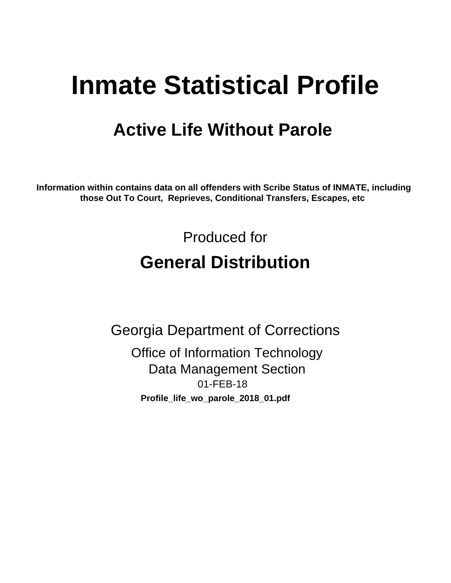# **Inmate Statistical Profile**

# **Active Life Without Parole**

Information within contains data on all offenders with Scribe Status of INMATE, including those Out To Court, Reprieves, Conditional Transfers, Escapes, etc

> Produced for **General Distribution**

**Georgia Department of Corrections Office of Information Technology Data Management Section** 01-FEB-18 Profile\_life\_wo\_parole\_2018\_01.pdf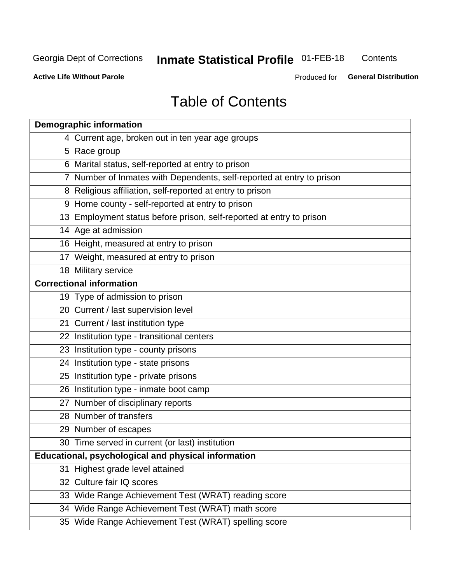# **Inmate Statistical Profile 01-FEB-18**

Contents

**Active Life Without Parole** 

Produced for General Distribution

# **Table of Contents**

|    | <b>Demographic information</b>                                        |
|----|-----------------------------------------------------------------------|
|    | 4 Current age, broken out in ten year age groups                      |
|    | 5 Race group                                                          |
|    | 6 Marital status, self-reported at entry to prison                    |
|    | 7 Number of Inmates with Dependents, self-reported at entry to prison |
|    | 8 Religious affiliation, self-reported at entry to prison             |
|    | 9 Home county - self-reported at entry to prison                      |
|    | 13 Employment status before prison, self-reported at entry to prison  |
|    | 14 Age at admission                                                   |
|    | 16 Height, measured at entry to prison                                |
|    | 17 Weight, measured at entry to prison                                |
|    | 18 Military service                                                   |
|    | <b>Correctional information</b>                                       |
|    | 19 Type of admission to prison                                        |
|    | 20 Current / last supervision level                                   |
|    | 21 Current / last institution type                                    |
|    | 22 Institution type - transitional centers                            |
|    | 23 Institution type - county prisons                                  |
|    | 24 Institution type - state prisons                                   |
|    | 25 Institution type - private prisons                                 |
|    | 26 Institution type - inmate boot camp                                |
|    | 27 Number of disciplinary reports                                     |
|    | 28 Number of transfers                                                |
|    | 29 Number of escapes                                                  |
|    | 30 Time served in current (or last) institution                       |
|    | Educational, psychological and physical information                   |
| 31 | Highest grade level attained                                          |
|    | 32 Culture fair IQ scores                                             |
|    | 33 Wide Range Achievement Test (WRAT) reading score                   |
|    | 34 Wide Range Achievement Test (WRAT) math score                      |
|    | 35 Wide Range Achievement Test (WRAT) spelling score                  |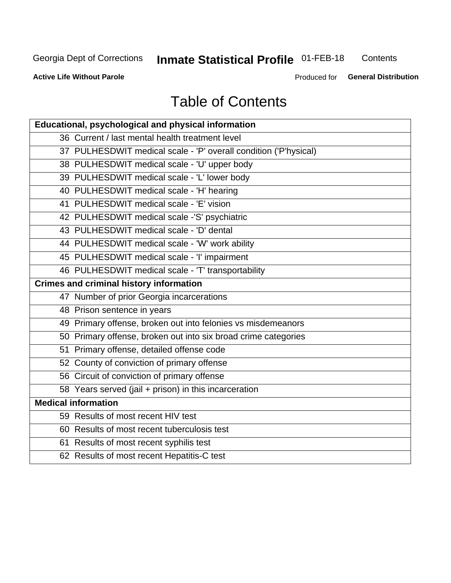# **Inmate Statistical Profile 01-FEB-18**

Contents

**Active Life Without Parole** 

Produced for General Distribution

# **Table of Contents**

| Educational, psychological and physical information              |
|------------------------------------------------------------------|
| 36 Current / last mental health treatment level                  |
| 37 PULHESDWIT medical scale - 'P' overall condition ('P'hysical) |
| 38 PULHESDWIT medical scale - 'U' upper body                     |
| 39 PULHESDWIT medical scale - 'L' lower body                     |
| 40 PULHESDWIT medical scale - 'H' hearing                        |
| 41 PULHESDWIT medical scale - 'E' vision                         |
| 42 PULHESDWIT medical scale -'S' psychiatric                     |
| 43 PULHESDWIT medical scale - 'D' dental                         |
| 44 PULHESDWIT medical scale - 'W' work ability                   |
| 45 PULHESDWIT medical scale - 'I' impairment                     |
| 46 PULHESDWIT medical scale - 'T' transportability               |
| <b>Crimes and criminal history information</b>                   |
| 47 Number of prior Georgia incarcerations                        |
| 48 Prison sentence in years                                      |
| 49 Primary offense, broken out into felonies vs misdemeanors     |
| 50 Primary offense, broken out into six broad crime categories   |
| 51 Primary offense, detailed offense code                        |
| 52 County of conviction of primary offense                       |
| 56 Circuit of conviction of primary offense                      |
| 58 Years served (jail + prison) in this incarceration            |
| <b>Medical information</b>                                       |
| 59 Results of most recent HIV test                               |
| 60 Results of most recent tuberculosis test                      |
| 61 Results of most recent syphilis test                          |
| 62 Results of most recent Hepatitis-C test                       |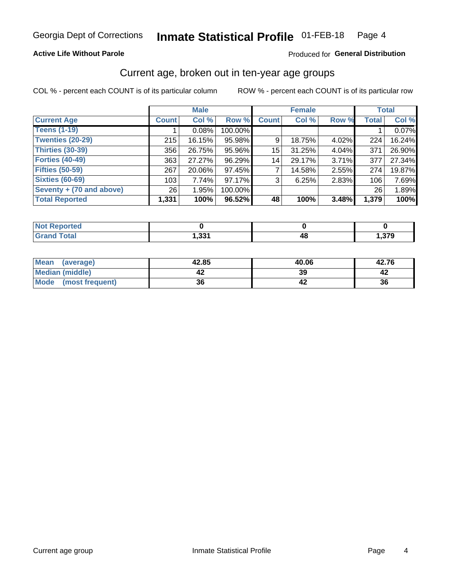### **Active Life Without Parole**

### Produced for General Distribution

# Current age, broken out in ten-year age groups

COL % - percent each COUNT is of its particular column

|                          |                 | <b>Male</b> |         |              | <b>Female</b> |       |              | <b>Total</b> |  |
|--------------------------|-----------------|-------------|---------|--------------|---------------|-------|--------------|--------------|--|
| <b>Current Age</b>       | <b>Count</b>    | Col %       | Row %   | <b>Count</b> | Col %         | Row % | <b>Total</b> | Col %        |  |
| <b>Teens (1-19)</b>      |                 | 0.08%       | 100.00% |              |               |       |              | 0.07%        |  |
| <b>Twenties (20-29)</b>  | 215             | 16.15%      | 95.98%  | 9            | 18.75%        | 4.02% | 224          | 16.24%       |  |
| Thirties (30-39)         | 356             | 26.75%      | 95.96%  | 15           | 31.25%        | 4.04% | 371          | 26.90%       |  |
| <b>Forties (40-49)</b>   | 363             | 27.27%      | 96.29%  | 14           | 29.17%        | 3.71% | 377          | 27.34%       |  |
| <b>Fifties (50-59)</b>   | 267             | 20.06%      | 97.45%  |              | 14.58%        | 2.55% | 274          | 19.87%       |  |
| <b>Sixties (60-69)</b>   | 103             | 7.74%       | 97.17%  | 3            | 6.25%         | 2.83% | 106          | 7.69%        |  |
| Seventy + (70 and above) | 26 <sub>1</sub> | 1.95%       | 100.00% |              |               |       | 26           | 1.89%        |  |
| <b>Total Reported</b>    | 1,331           | 100%        | 96.52%  | 48           | 100%          | 3.48% | 1,379        | 100%         |  |

| <b><i>College College College College College College College College College College College College College College College College College College College College College College College College College College College Coll</i></b><br>N<br>теп |         |       |
|--------------------------------------------------------------------------------------------------------------------------------------------------------------------------------------------------------------------------------------------------------|---------|-------|
| $f \wedge f \wedge f$                                                                                                                                                                                                                                  | -994    | 270   |
| _____                                                                                                                                                                                                                                                  | . دد, ۱ | ,১/ ১ |

| Mean<br>(average)    | 42.85 | 40.06 | 42.76 |
|----------------------|-------|-------|-------|
| Median (middle)      |       | 39    |       |
| Mode (most frequent) | 36    |       | 36    |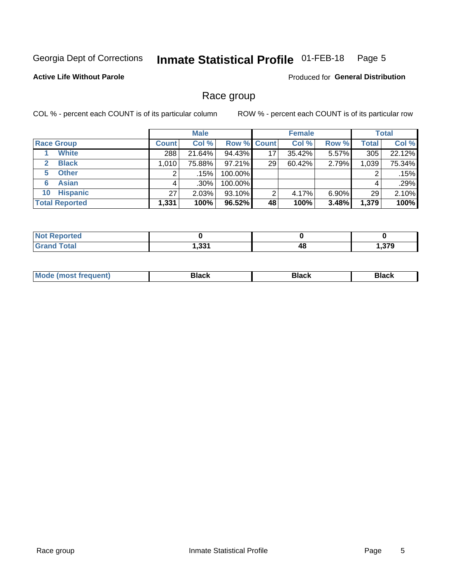#### Inmate Statistical Profile 01-FEB-18 Page 5

### **Active Life Without Parole**

Produced for General Distribution

## Race group

COL % - percent each COUNT is of its particular column

|                              |              | <b>Male</b> |                    |    | <b>Female</b> |          |              | <b>Total</b> |  |
|------------------------------|--------------|-------------|--------------------|----|---------------|----------|--------------|--------------|--|
| <b>Race Group</b>            | <b>Count</b> | Col %       | <b>Row % Count</b> |    | Col %         | Row %    | <b>Total</b> | Col %        |  |
| <b>White</b>                 | 288          | 21.64%      | 94.43%             | 17 | 35.42%        | 5.57%    | 305          | 22.12%       |  |
| <b>Black</b><br>$\mathbf{2}$ | 1,010        | 75.88%      | $97.21\%$          | 29 | 60.42%        | 2.79%    | 1,039        | 75.34%       |  |
| <b>Other</b><br>5.           |              | .15%        | 100.00%            |    |               |          | 2            | .15%         |  |
| <b>Asian</b><br>6            | 4            | $.30\%$     | 100.00%            |    |               |          | 4            | .29%         |  |
| <b>Hispanic</b><br>10        | 27           | 2.03%       | 93.10%             | 2  | 4.17%         | $6.90\%$ | 29           | 2.10%        |  |
| <b>Total Reported</b>        | 1,331        | 100%        | $96.52\%$          | 48 | 100%          | 3.48%    | 1,379        | 100%         |  |

| <b>rted</b>           |               |    |       |
|-----------------------|---------------|----|-------|
| <b>Total</b><br>_____ | ∌ מפ<br>. ככר | 4٤ | - 220 |

| –•••• |  | M |  |  |  |
|-------|--|---|--|--|--|
|-------|--|---|--|--|--|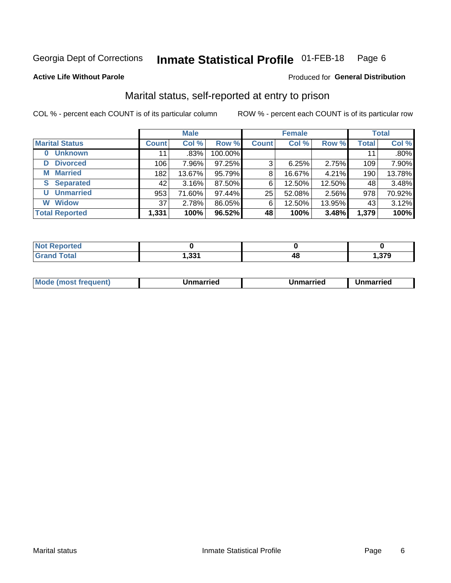#### **Inmate Statistical Profile 01-FEB-18** Page 6

#### **Active Life Without Parole**

### Produced for General Distribution

# Marital status, self-reported at entry to prison

COL % - percent each COUNT is of its particular column

|                            | <b>Male</b>  |         |         |              | <b>Female</b> | <b>Total</b> |              |        |
|----------------------------|--------------|---------|---------|--------------|---------------|--------------|--------------|--------|
| <b>Marital Status</b>      | <b>Count</b> | Col %   | Row %   | <b>Count</b> | Col %         | Row %        | <b>Total</b> | Col %  |
| <b>Unknown</b><br>$\bf{0}$ | 11           | $.83\%$ | 100.00% |              |               |              | 11           | .80%   |
| <b>Divorced</b><br>D       | 106          | 7.96%   | 97.25%  | 3            | 6.25%         | 2.75%        | 109          | 7.90%  |
| <b>Married</b><br>М        | 182          | 13.67%  | 95.79%  | 8            | 16.67%        | 4.21%        | 190          | 13.78% |
| <b>Separated</b><br>S      | 42           | 3.16%   | 87.50%  | 6            | 12.50%        | 12.50%       | 48           | 3.48%  |
| <b>Unmarried</b><br>U      | 953          | 71.60%  | 97.44%  | 25           | 52.08%        | 2.56%        | 978          | 70.92% |
| <b>Widow</b><br>W          | 37           | 2.78%   | 86.05%  | 6            | 12.50%        | 13.95%       | 43           | 3.12%  |
| <b>Total Reported</b>      | 1,331        | 100%    | 96.52%  | 48           | 100%          | 3.48%        | 1,379        | 100%   |

| orted<br><b>NOT</b><br>3 E I K<br>. <b>.</b> |                 |    |     |
|----------------------------------------------|-----------------|----|-----|
| Гоtal                                        | -224<br>ا دد, ا | т. | 270 |

|--|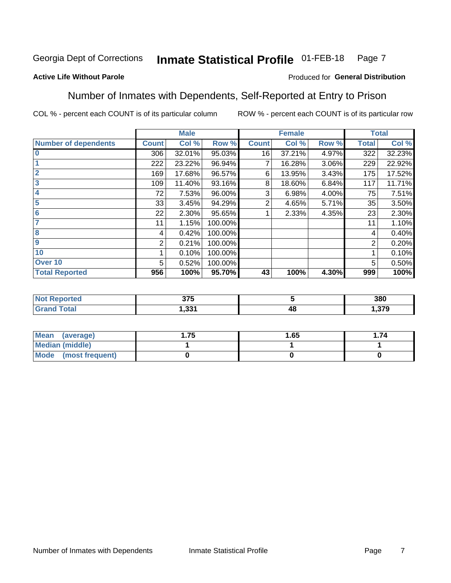#### **Inmate Statistical Profile 01-FEB-18** Page 7

### **Active Life Without Parole**

### Produced for General Distribution

## Number of Inmates with Dependents, Self-Reported at Entry to Prison

COL % - percent each COUNT is of its particular column

|                             |              | <b>Male</b> |         |              | <b>Female</b> |       |              | <b>Total</b> |
|-----------------------------|--------------|-------------|---------|--------------|---------------|-------|--------------|--------------|
| <b>Number of dependents</b> | <b>Count</b> | Col %       | Row %   | <b>Count</b> | Col %         | Row % | <b>Total</b> | Col %        |
| l 0                         | 306          | 32.01%      | 95.03%  | 16           | 37.21%        | 4.97% | 322          | 32.23%       |
|                             | 222          | 23.22%      | 96.94%  | 7            | 16.28%        | 3.06% | 229          | 22.92%       |
| $\overline{2}$              | 169          | 17.68%      | 96.57%  | 6            | 13.95%        | 3.43% | 175          | 17.52%       |
| $\overline{3}$              | 109          | 11.40%      | 93.16%  | 8            | 18.60%        | 6.84% | 117          | 11.71%       |
| 4                           | 72           | 7.53%       | 96.00%  | 3            | 6.98%         | 4.00% | 75           | 7.51%        |
| 5                           | 33           | 3.45%       | 94.29%  | 2            | 4.65%         | 5.71% | 35           | 3.50%        |
| 6                           | 22           | 2.30%       | 95.65%  |              | 2.33%         | 4.35% | 23           | 2.30%        |
| 7                           | 11           | 1.15%       | 100.00% |              |               |       | 11           | 1.10%        |
| $\overline{\mathbf{8}}$     | 4            | 0.42%       | 100.00% |              |               |       | 4            | 0.40%        |
| 9                           | 2            | 0.21%       | 100.00% |              |               |       | 2            | 0.20%        |
| 10                          |              | 0.10%       | 100.00% |              |               |       |              | 0.10%        |
| Over 10                     | 5            | 0.52%       | 100.00% |              |               |       | 5            | 0.50%        |
| <b>Total Reported</b>       | 956          | 100%        | 95.70%  | 43           | 100%          | 4.30% | 999          | 100%         |

| leu  | $\sim$ $\sim$ $\sim$<br><b>JIL</b> |              | 380    |
|------|------------------------------------|--------------|--------|
| υιαι | ∕ מפ<br>. טט                       | - 71 -<br>TL | 379. ا |

| Mean (average)          | 1.65 | . 74 |
|-------------------------|------|------|
| <b>Median (middle)</b>  |      |      |
| Mode<br>(most frequent) |      |      |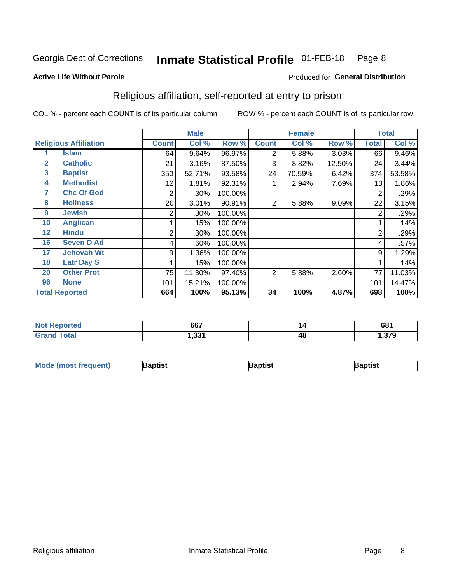#### Inmate Statistical Profile 01-FEB-18 Page 8

Produced for General Distribution

#### **Active Life Without Parole**

# Religious affiliation, self-reported at entry to prison

COL % - percent each COUNT is of its particular column

|              |                              | <b>Male</b>  |        |         |                | <b>Female</b> | <b>Total</b> |       |        |
|--------------|------------------------------|--------------|--------|---------|----------------|---------------|--------------|-------|--------|
|              | <b>Religious Affiliation</b> | <b>Count</b> | Col %  | Row %   | <b>Count</b>   | Col %         | Row %        | Total | Col %  |
|              | <b>Islam</b>                 | 64           | 9.64%  | 96.97%  | 2              | 5.88%         | 3.03%        | 66    | 9.46%  |
| $\mathbf{2}$ | <b>Catholic</b>              | 21           | 3.16%  | 87.50%  | 3              | 8.82%         | 12.50%       | 24    | 3.44%  |
| 3            | <b>Baptist</b>               | 350          | 52.71% | 93.58%  | 24             | 70.59%        | 6.42%        | 374   | 53.58% |
| 4            | <b>Methodist</b>             | 12           | 1.81%  | 92.31%  |                | 2.94%         | 7.69%        | 13    | 1.86%  |
| 7            | <b>Chc Of God</b>            | 2            | .30%   | 100.00% |                |               |              | 2     | .29%   |
| 8            | <b>Holiness</b>              | 20           | 3.01%  | 90.91%  | $\overline{2}$ | 5.88%         | 9.09%        | 22    | 3.15%  |
| 9            | <b>Jewish</b>                | 2            | .30%   | 100.00% |                |               |              | 2     | .29%   |
| 10           | <b>Anglican</b>              |              | .15%   | 100.00% |                |               |              |       | .14%   |
| 12           | <b>Hindu</b>                 | 2            | .30%   | 100.00% |                |               |              | 2     | .29%   |
| 16           | <b>Seven D Ad</b>            | 4            | .60%   | 100.00% |                |               |              | 4     | .57%   |
| 17           | <b>Jehovah Wt</b>            | 9            | 1.36%  | 100.00% |                |               |              | 9     | 1.29%  |
| 18           | <b>Latr Day S</b>            |              | .15%   | 100.00% |                |               |              |       | .14%   |
| 20           | <b>Other Prot</b>            | 75           | 11.30% | 97.40%  | 2              | 5.88%         | 2.60%        | 77    | 11.03% |
| 96           | <b>None</b>                  | 101          | 15.21% | 100.00% |                |               |              | 101   | 14.47% |
|              | <b>Total Reported</b>        | 664          | 100%   | 95.13%  | 34             | 100%          | 4.87%        | 698   | 100%   |

| rteo<br>. | 667     | 14 | 681    |
|-----------|---------|----|--------|
| _______   | $.$ nn/ | 4C | $\sim$ |

| <b>Mode (most frequent)</b> | 3aptist | 3aptist | Baptist |
|-----------------------------|---------|---------|---------|
|-----------------------------|---------|---------|---------|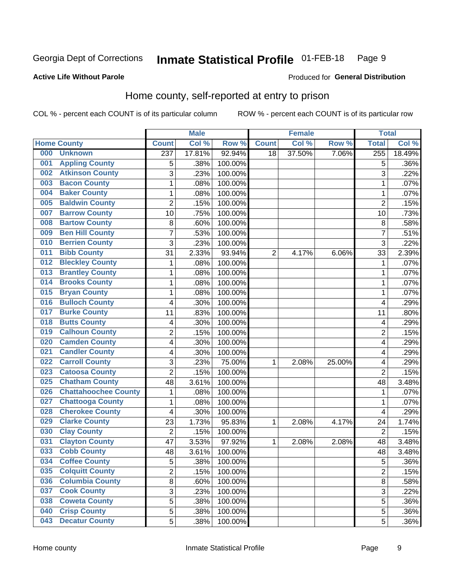#### Inmate Statistical Profile 01-FEB-18 Page 9

### **Active Life Without Parole**

### Produced for General Distribution

# Home county, self-reported at entry to prison

COL % - percent each COUNT is of its particular column

|     |                             |                | <b>Male</b> |         |              | <b>Female</b> |        | <b>Total</b>   |         |
|-----|-----------------------------|----------------|-------------|---------|--------------|---------------|--------|----------------|---------|
|     | <b>Home County</b>          | <b>Count</b>   | Col %       | Row %   | <b>Count</b> | Col %         | Row %  | <b>Total</b>   | Col %   |
| 000 | <b>Unknown</b>              | 237            | 17.81%      | 92.94%  | 18           | 37.50%        | 7.06%  | 255            | 18.49%  |
| 001 | <b>Appling County</b>       | 5              | .38%        | 100.00% |              |               |        | 5              | .36%    |
| 002 | <b>Atkinson County</b>      | 3              | .23%        | 100.00% |              |               |        | 3              | .22%    |
| 003 | <b>Bacon County</b>         | 1              | .08%        | 100.00% |              |               |        | 1              | .07%    |
| 004 | <b>Baker County</b>         | $\mathbf 1$    | .08%        | 100.00% |              |               |        | 1              | .07%    |
| 005 | <b>Baldwin County</b>       | $\overline{2}$ | .15%        | 100.00% |              |               |        | $\overline{2}$ | .15%    |
| 007 | <b>Barrow County</b>        | 10             | .75%        | 100.00% |              |               |        | 10             | .73%    |
| 008 | <b>Bartow County</b>        | 8              | .60%        | 100.00% |              |               |        | 8              | .58%    |
| 009 | <b>Ben Hill County</b>      | $\overline{7}$ | .53%        | 100.00% |              |               |        | 7              | .51%    |
| 010 | <b>Berrien County</b>       | 3              | .23%        | 100.00% |              |               |        | 3              | .22%    |
| 011 | <b>Bibb County</b>          | 31             | 2.33%       | 93.94%  | 2            | 4.17%         | 6.06%  | 33             | 2.39%   |
| 012 | <b>Bleckley County</b>      | 1              | .08%        | 100.00% |              |               |        | 1              | .07%    |
| 013 | <b>Brantley County</b>      | $\mathbf 1$    | .08%        | 100.00% |              |               |        | 1              | .07%    |
| 014 | <b>Brooks County</b>        | 1              | .08%        | 100.00% |              |               |        | 1              | .07%    |
| 015 | <b>Bryan County</b>         | $\mathbf 1$    | .08%        | 100.00% |              |               |        | 1              | .07%    |
| 016 | <b>Bulloch County</b>       | 4              | .30%        | 100.00% |              |               |        | 4              | .29%    |
| 017 | <b>Burke County</b>         | 11             | .83%        | 100.00% |              |               |        | 11             | .80%    |
| 018 | <b>Butts County</b>         | 4              | .30%        | 100.00% |              |               |        | 4              | .29%    |
| 019 | <b>Calhoun County</b>       | $\overline{2}$ | .15%        | 100.00% |              |               |        | $\overline{2}$ | .15%    |
| 020 | <b>Camden County</b>        | 4              | .30%        | 100.00% |              |               |        | 4              | .29%    |
| 021 | <b>Candler County</b>       | 4              | .30%        | 100.00% |              |               |        | 4              | .29%    |
| 022 | <b>Carroll County</b>       | 3              | .23%        | 75.00%  | 1            | 2.08%         | 25.00% | 4              | .29%    |
| 023 | <b>Catoosa County</b>       | $\overline{2}$ | .15%        | 100.00% |              |               |        | $\overline{2}$ | .15%    |
| 025 | <b>Chatham County</b>       | 48             | 3.61%       | 100.00% |              |               |        | 48             | 3.48%   |
| 026 | <b>Chattahoochee County</b> | $\mathbf 1$    | .08%        | 100.00% |              |               |        | 1              | .07%    |
| 027 | <b>Chattooga County</b>     | 1              | .08%        | 100.00% |              |               |        | 1              | .07%    |
| 028 | <b>Cherokee County</b>      | 4              | .30%        | 100.00% |              |               |        | 4              | .29%    |
| 029 | <b>Clarke County</b>        | 23             | 1.73%       | 95.83%  | 1            | 2.08%         | 4.17%  | 24             | 1.74%   |
| 030 | <b>Clay County</b>          | $\overline{2}$ | .15%        | 100.00% |              |               |        | $\overline{2}$ | .15%    |
| 031 | <b>Clayton County</b>       | 47             | 3.53%       | 97.92%  | 1            | 2.08%         | 2.08%  | 48             | 3.48%   |
| 033 | <b>Cobb County</b>          | 48             | 3.61%       | 100.00% |              |               |        | 48             | 3.48%   |
| 034 | <b>Coffee County</b>        | 5              | .38%        | 100.00% |              |               |        | 5              | .36%    |
| 035 | <b>Colquitt County</b>      | $\overline{2}$ | .15%        | 100.00% |              |               |        | $\overline{2}$ | .15%    |
| 036 | <b>Columbia County</b>      | 8              | .60%        | 100.00% |              |               |        | 8              | .58%    |
| 037 | <b>Cook County</b>          | 3              | .23%        | 100.00% |              |               |        | 3              | .22%    |
| 038 | <b>Coweta County</b>        | 5              | .38%        | 100.00% |              |               |        | 5              | .36%    |
| 040 | <b>Crisp County</b>         | 5              | .38%        | 100.00% |              |               |        | 5              | .36%    |
| 043 | <b>Decatur County</b>       | 5              | .38%        | 100.00% |              |               |        | 5              | $.36\%$ |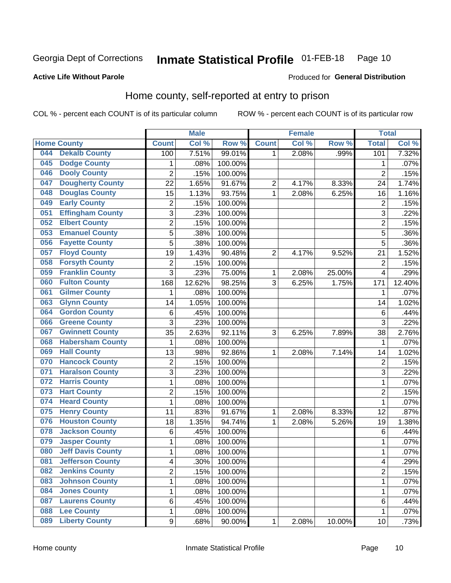#### **Inmate Statistical Profile 01-FEB-18** Page 10

### **Active Life Without Parole**

### Produced for General Distribution

# Home county, self-reported at entry to prison

COL % - percent each COUNT is of its particular column

|     |                          |                         | <b>Male</b> |         |                | <b>Female</b> |        | <b>Total</b>   |        |
|-----|--------------------------|-------------------------|-------------|---------|----------------|---------------|--------|----------------|--------|
|     | <b>Home County</b>       | <b>Count</b>            | Col %       | Row %   | <b>Count</b>   | Col %         | Row %  | <b>Total</b>   | Col%   |
| 044 | <b>Dekalb County</b>     | 100                     | 7.51%       | 99.01%  | 1              | 2.08%         | .99%   | 101            | 7.32%  |
| 045 | <b>Dodge County</b>      | 1                       | .08%        | 100.00% |                |               |        | 1              | .07%   |
| 046 | <b>Dooly County</b>      | $\overline{2}$          | .15%        | 100.00% |                |               |        | $\overline{2}$ | .15%   |
| 047 | <b>Dougherty County</b>  | 22                      | 1.65%       | 91.67%  | $\overline{c}$ | 4.17%         | 8.33%  | 24             | 1.74%  |
| 048 | <b>Douglas County</b>    | 15                      | 1.13%       | 93.75%  | $\mathbf{1}$   | 2.08%         | 6.25%  | 16             | 1.16%  |
| 049 | <b>Early County</b>      | $\overline{c}$          | .15%        | 100.00% |                |               |        | $\overline{c}$ | .15%   |
| 051 | <b>Effingham County</b>  | 3                       | .23%        | 100.00% |                |               |        | 3              | .22%   |
| 052 | <b>Elbert County</b>     | $\overline{2}$          | .15%        | 100.00% |                |               |        | $\overline{2}$ | .15%   |
| 053 | <b>Emanuel County</b>    | 5                       | .38%        | 100.00% |                |               |        | 5              | .36%   |
| 056 | <b>Fayette County</b>    | 5                       | .38%        | 100.00% |                |               |        | 5              | .36%   |
| 057 | <b>Floyd County</b>      | 19                      | 1.43%       | 90.48%  | $\overline{2}$ | 4.17%         | 9.52%  | 21             | 1.52%  |
| 058 | <b>Forsyth County</b>    | $\overline{2}$          | .15%        | 100.00% |                |               |        | $\overline{2}$ | .15%   |
| 059 | <b>Franklin County</b>   | 3                       | .23%        | 75.00%  | $\mathbf 1$    | 2.08%         | 25.00% | 4              | .29%   |
| 060 | <b>Fulton County</b>     | 168                     | 12.62%      | 98.25%  | 3              | 6.25%         | 1.75%  | 171            | 12.40% |
| 061 | <b>Gilmer County</b>     | 1                       | .08%        | 100.00% |                |               |        | 1              | .07%   |
| 063 | <b>Glynn County</b>      | 14                      | 1.05%       | 100.00% |                |               |        | 14             | 1.02%  |
| 064 | <b>Gordon County</b>     | 6                       | .45%        | 100.00% |                |               |        | $\,6$          | .44%   |
| 066 | <b>Greene County</b>     | 3                       | .23%        | 100.00% |                |               |        | 3              | .22%   |
| 067 | <b>Gwinnett County</b>   | 35                      | 2.63%       | 92.11%  | 3              | 6.25%         | 7.89%  | 38             | 2.76%  |
| 068 | <b>Habersham County</b>  | 1                       | .08%        | 100.00% |                |               |        | 1              | .07%   |
| 069 | <b>Hall County</b>       | 13                      | .98%        | 92.86%  | 1              | 2.08%         | 7.14%  | 14             | 1.02%  |
| 070 | <b>Hancock County</b>    | $\overline{2}$          | .15%        | 100.00% |                |               |        | $\overline{2}$ | .15%   |
| 071 | <b>Haralson County</b>   | 3                       | .23%        | 100.00% |                |               |        | 3              | .22%   |
| 072 | <b>Harris County</b>     | $\mathbf 1$             | .08%        | 100.00% |                |               |        | 1              | .07%   |
| 073 | <b>Hart County</b>       | $\overline{c}$          | .15%        | 100.00% |                |               |        | $\overline{c}$ | .15%   |
| 074 | <b>Heard County</b>      | 1                       | .08%        | 100.00% |                |               |        | 1              | .07%   |
| 075 | <b>Henry County</b>      | 11                      | .83%        | 91.67%  | 1              | 2.08%         | 8.33%  | 12             | .87%   |
| 076 | <b>Houston County</b>    | 18                      | 1.35%       | 94.74%  | 1              | 2.08%         | 5.26%  | 19             | 1.38%  |
| 078 | <b>Jackson County</b>    | 6                       | .45%        | 100.00% |                |               |        | $\,6$          | .44%   |
| 079 | <b>Jasper County</b>     | $\mathbf 1$             | .08%        | 100.00% |                |               |        | 1              | .07%   |
| 080 | <b>Jeff Davis County</b> | $\mathbf 1$             | .08%        | 100.00% |                |               |        | 1              | .07%   |
| 081 | <b>Jefferson County</b>  | $\overline{\mathbf{4}}$ | .30%        | 100.00% |                |               |        | 4              | .29%   |
| 082 | <b>Jenkins County</b>    | $\overline{2}$          | .15%        | 100.00% |                |               |        | 2              | .15%   |
| 083 | <b>Johnson County</b>    | $\mathbf 1$             | .08%        | 100.00% |                |               |        | 1              | .07%   |
| 084 | <b>Jones County</b>      | $\mathbf 1$             | .08%        | 100.00% |                |               |        | 1              | .07%   |
| 087 | <b>Laurens County</b>    | 6                       | .45%        | 100.00% |                |               |        | 6              | .44%   |
| 088 | <b>Lee County</b>        | $\mathbf{1}$            | .08%        | 100.00% |                |               |        | 1              | .07%   |
| 089 | <b>Liberty County</b>    | 9                       | .68%        | 90.00%  | 1              | 2.08%         | 10.00% | 10             | .73%   |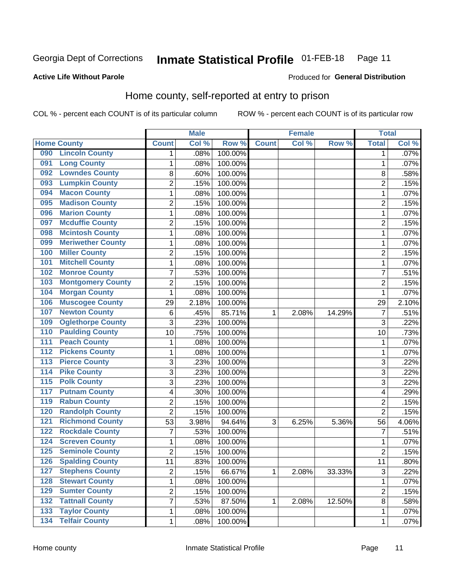#### Inmate Statistical Profile 01-FEB-18 Page 11

### **Active Life Without Parole**

#### Produced for General Distribution

# Home county, self-reported at entry to prison

COL % - percent each COUNT is of its particular column

|                  |                          |                          | <b>Male</b> |         |              | <b>Female</b> |        | <b>Total</b>   |         |
|------------------|--------------------------|--------------------------|-------------|---------|--------------|---------------|--------|----------------|---------|
|                  | <b>Home County</b>       | <b>Count</b>             | Col %       | Row %   | <b>Count</b> | Col %         | Row %  | <b>Total</b>   | Col %   |
| 090              | <b>Lincoln County</b>    | 1                        | .08%        | 100.00% |              |               |        | 1              | .07%    |
| 091              | <b>Long County</b>       | $\mathbf{1}$             | .08%        | 100.00% |              |               |        | 1              | .07%    |
| 092              | <b>Lowndes County</b>    | 8                        | .60%        | 100.00% |              |               |        | 8              | .58%    |
| 093              | <b>Lumpkin County</b>    | $\overline{2}$           | .15%        | 100.00% |              |               |        | $\overline{2}$ | .15%    |
| 094              | <b>Macon County</b>      | 1                        | .08%        | 100.00% |              |               |        | 1              | .07%    |
| 095              | <b>Madison County</b>    | $\overline{2}$           | .15%        | 100.00% |              |               |        | $\overline{2}$ | .15%    |
| 096              | <b>Marion County</b>     | 1                        | .08%        | 100.00% |              |               |        | 1              | .07%    |
| 097              | <b>Mcduffie County</b>   | $\overline{2}$           | .15%        | 100.00% |              |               |        | $\overline{2}$ | .15%    |
| 098              | <b>Mcintosh County</b>   | $\mathbf{1}$             | .08%        | 100.00% |              |               |        | 1              | .07%    |
| 099              | <b>Meriwether County</b> | $\mathbf{1}$             | .08%        | 100.00% |              |               |        | 1              | .07%    |
| 100              | <b>Miller County</b>     | $\overline{c}$           | .15%        | 100.00% |              |               |        | $\overline{c}$ | .15%    |
| 101              | <b>Mitchell County</b>   | $\mathbf{1}$             | .08%        | 100.00% |              |               |        | 1              | .07%    |
| 102              | <b>Monroe County</b>     | $\overline{7}$           | .53%        | 100.00% |              |               |        | 7              | .51%    |
| 103              | <b>Montgomery County</b> | $\overline{2}$           | .15%        | 100.00% |              |               |        | $\overline{2}$ | .15%    |
| 104              | <b>Morgan County</b>     | $\mathbf{1}$             | .08%        | 100.00% |              |               |        | 1              | .07%    |
| 106              | <b>Muscogee County</b>   | 29                       | 2.18%       | 100.00% |              |               |        | 29             | 2.10%   |
| 107              | <b>Newton County</b>     | $\,6$                    | .45%        | 85.71%  | 1            | 2.08%         | 14.29% | 7              | .51%    |
| 109              | <b>Oglethorpe County</b> | 3                        | .23%        | 100.00% |              |               |        | 3              | .22%    |
| 110              | <b>Paulding County</b>   | 10                       | .75%        | 100.00% |              |               |        | 10             | .73%    |
| 111              | <b>Peach County</b>      | 1                        | .08%        | 100.00% |              |               |        | 1              | .07%    |
| 112              | <b>Pickens County</b>    | $\mathbf{1}$             | .08%        | 100.00% |              |               |        | 1              | .07%    |
| $\overline{113}$ | <b>Pierce County</b>     | 3                        | .23%        | 100.00% |              |               |        | 3              | .22%    |
| 114              | <b>Pike County</b>       | 3                        | .23%        | 100.00% |              |               |        | 3              | .22%    |
| 115              | <b>Polk County</b>       | 3                        | .23%        | 100.00% |              |               |        | 3              | .22%    |
| 117              | <b>Putnam County</b>     | $\overline{\mathcal{A}}$ | .30%        | 100.00% |              |               |        | 4              | .29%    |
| 119              | <b>Rabun County</b>      | $\overline{2}$           | .15%        | 100.00% |              |               |        | $\overline{2}$ | .15%    |
| 120              | <b>Randolph County</b>   | $\overline{2}$           | .15%        | 100.00% |              |               |        | $\overline{2}$ | .15%    |
| 121              | <b>Richmond County</b>   | 53                       | 3.98%       | 94.64%  | 3            | 6.25%         | 5.36%  | 56             | 4.06%   |
| 122              | <b>Rockdale County</b>   | $\overline{7}$           | .53%        | 100.00% |              |               |        | 7              | .51%    |
| 124              | <b>Screven County</b>    | $\mathbf{1}$             | .08%        | 100.00% |              |               |        | 1              | $.07\%$ |
| 125              | <b>Seminole County</b>   | $\overline{2}$           | .15%        | 100.00% |              |               |        | $\overline{2}$ | .15%    |
| 126              | <b>Spalding County</b>   | 11                       | .83%        | 100.00% |              |               |        | 11             | $.80\%$ |
| 127              | <b>Stephens County</b>   | $\overline{2}$           | .15%        | 66.67%  | $\mathbf{1}$ | 2.08%         | 33.33% | 3              | .22%    |
| 128              | <b>Stewart County</b>    | $\mathbf 1$              | .08%        | 100.00% |              |               |        | 1              | $.07\%$ |
| 129              | <b>Sumter County</b>     | $\overline{2}$           | .15%        | 100.00% |              |               |        | 2              | .15%    |
| 132              | <b>Tattnall County</b>   | $\overline{7}$           | .53%        | 87.50%  | 1            | 2.08%         | 12.50% | 8              | .58%    |
| 133              | <b>Taylor County</b>     | $\mathbf 1$              | .08%        | 100.00% |              |               |        | 1              | .07%    |
| 134              | <b>Telfair County</b>    | $\mathbf 1$              | .08%        | 100.00% |              |               |        | 1              | .07%    |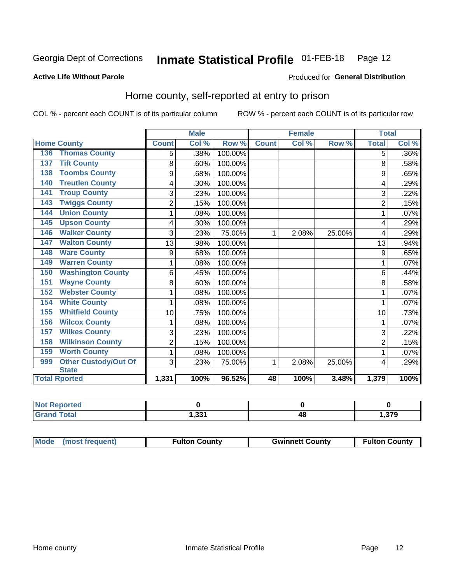#### Inmate Statistical Profile 01-FEB-18 Page 12

### **Active Life Without Parole**

#### Produced for General Distribution

# Home county, self-reported at entry to prison

COL % - percent each COUNT is of its particular column

|                                 | <b>Male</b>    |       | <b>Female</b> |              |       | <b>Total</b> |                |         |
|---------------------------------|----------------|-------|---------------|--------------|-------|--------------|----------------|---------|
| <b>Home County</b>              | <b>Count</b>   | Col % | Row %         | <b>Count</b> | Col % | Row %        | <b>Total</b>   | Col %   |
| <b>Thomas County</b><br>136     | 5              | .38%  | 100.00%       |              |       |              | 5              | $.36\%$ |
| <b>Tift County</b><br>137       | 8              | .60%  | 100.00%       |              |       |              | 8              | .58%    |
| <b>Toombs County</b><br>138     | 9              | .68%  | 100.00%       |              |       |              | 9              | .65%    |
| <b>Treutlen County</b><br>140   | 4              | .30%  | 100.00%       |              |       |              | 4              | .29%    |
| <b>Troup County</b><br>141      | 3              | .23%  | 100.00%       |              |       |              | 3              | .22%    |
| <b>Twiggs County</b><br>143     | $\overline{2}$ | .15%  | 100.00%       |              |       |              | $\overline{2}$ | .15%    |
| <b>Union County</b><br>144      | 1              | .08%  | 100.00%       |              |       |              | 1              | .07%    |
| <b>Upson County</b><br>145      | 4              | .30%  | 100.00%       |              |       |              | 4              | .29%    |
| <b>Walker County</b><br>146     | 3              | .23%  | 75.00%        | 1            | 2.08% | 25.00%       | 4              | .29%    |
| <b>Walton County</b><br>147     | 13             | .98%  | 100.00%       |              |       |              | 13             | .94%    |
| <b>Ware County</b><br>148       | 9              | .68%  | 100.00%       |              |       |              | 9              | .65%    |
| <b>Warren County</b><br>149     | 1              | .08%  | 100.00%       |              |       |              |                | .07%    |
| <b>Washington County</b><br>150 | 6              | .45%  | 100.00%       |              |       |              | 6              | .44%    |
| <b>Wayne County</b><br>151      | 8              | .60%  | 100.00%       |              |       |              | 8              | .58%    |
| <b>Webster County</b><br>152    | 1              | .08%  | 100.00%       |              |       |              |                | .07%    |
| <b>White County</b><br>154      | 1              | .08%  | 100.00%       |              |       |              | 1              | .07%    |
| <b>Whitfield County</b><br>155  | 10             | .75%  | 100.00%       |              |       |              | 10             | .73%    |
| <b>Wilcox County</b><br>156     | 1              | .08%  | 100.00%       |              |       |              | 1              | .07%    |
| <b>Wilkes County</b><br>157     | 3              | .23%  | 100.00%       |              |       |              | 3              | .22%    |
| <b>Wilkinson County</b><br>158  | $\overline{2}$ | .15%  | 100.00%       |              |       |              | 2              | .15%    |
| <b>Worth County</b><br>159      | 1              | .08%  | 100.00%       |              |       |              |                | .07%    |
| Other Custody/Out Of<br>999     | 3              | .23%  | 75.00%        | 1            | 2.08% | 25.00%       | 4              | .29%    |
| <b>State</b>                    |                |       |               |              |       |              |                |         |
| <b>Total Rported</b>            | 1,331          | 100%  | 96.52%        | 48           | 100%  | 3.48%        | 1,379          | 100%    |

| າorted<br><b>NIC</b> |              |    |      |
|----------------------|--------------|----|------|
| $\sim$               | 224<br>נכ, י | 4C | ,379 |

| Mode (most frequent)<br><b>Fulton County</b> | <b>Gwinnett County</b> | <b>Fulton County</b> |
|----------------------------------------------|------------------------|----------------------|
|----------------------------------------------|------------------------|----------------------|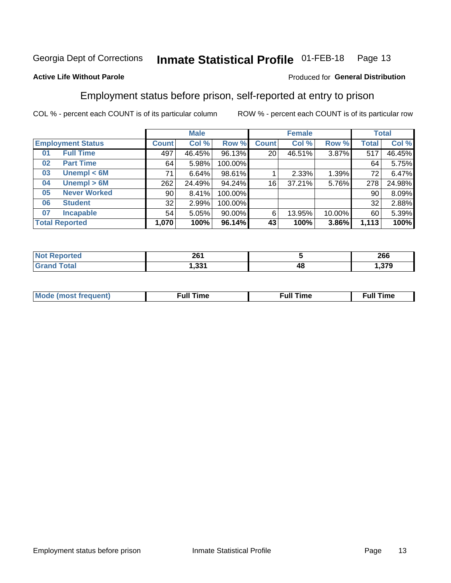#### Inmate Statistical Profile 01-FEB-18 Page 13

### **Active Life Without Parole**

### Produced for General Distribution

# Employment status before prison, self-reported at entry to prison

COL % - percent each COUNT is of its particular column

|                           |                 | <b>Male</b> |           |              | <b>Female</b> |        |       | <b>Total</b> |  |
|---------------------------|-----------------|-------------|-----------|--------------|---------------|--------|-------|--------------|--|
| <b>Employment Status</b>  | <b>Count</b>    | Col %       | Row %     | <b>Count</b> | Col %         | Row %  | Total | Col %        |  |
| <b>Full Time</b><br>01    | 497             | 46.45%      | 96.13%    | 20           | 46.51%        | 3.87%  | 517   | 46.45%       |  |
| <b>Part Time</b><br>02    | 64              | 5.98%       | 100.00%   |              |               |        | 64    | 5.75%        |  |
| Unempl $<$ 6M<br>03       | 71              | 6.64%       | 98.61%    |              | 2.33%         | 1.39%  | 72    | 6.47%        |  |
| Unempl > 6M<br>04         | 262             | 24.49%      | 94.24%    | 16           | 37.21%        | 5.76%  | 278   | 24.98%       |  |
| <b>Never Worked</b><br>05 | 90 <sub>1</sub> | 8.41%       | 100.00%   |              |               |        | 90    | 8.09%        |  |
| <b>Student</b><br>06      | 32              | 2.99%       | 100.00%   |              |               |        | 32    | 2.88%        |  |
| <b>Incapable</b><br>07    | 54              | 5.05%       | $90.00\%$ | 6            | 13.95%        | 10.00% | 60    | 5.39%        |  |
| <b>Total Reported</b>     | 1,070           | 100%        | 96.14%    | 43           | 100%          | 3.86%  | 1,113 | 100%         |  |

| 961<br>ZU I<br>____ |    | 266                 |
|---------------------|----|---------------------|
| - 221<br>ا دد. ا    | 4۵ | 270<br>1.J <i>i</i> |

| Mc | ----<br>me<br>ш | nc<br>. |
|----|-----------------|---------|
|    |                 |         |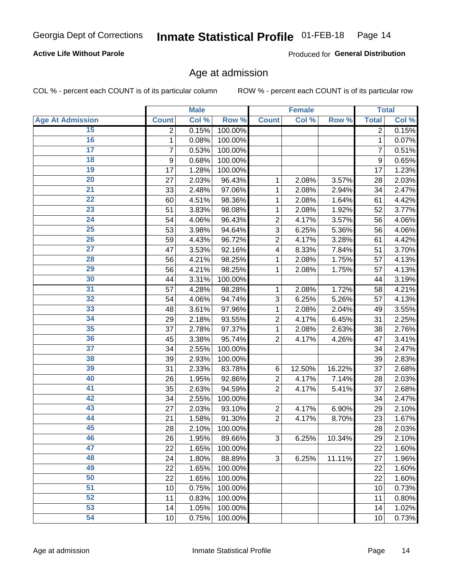### **Active Life Without Parole**

Produced for General Distribution

### Age at admission

COL % - percent each COUNT is of its particular column

|                         |              | <b>Male</b> |         |                | <b>Female</b> |        |                | <b>Total</b> |
|-------------------------|--------------|-------------|---------|----------------|---------------|--------|----------------|--------------|
| <b>Age At Admission</b> | <b>Count</b> | Col %       | Row %   | <b>Count</b>   | Col %         | Row %  | <b>Total</b>   | Col %        |
| 15                      | 2            | 0.15%       | 100.00% |                |               |        | 2              | 0.15%        |
| 16                      | 1            | 0.08%       | 100.00% |                |               |        | 1              | 0.07%        |
| $\overline{17}$         | 7            | 0.53%       | 100.00% |                |               |        | $\overline{7}$ | 0.51%        |
| 18                      | 9            | 0.68%       | 100.00% |                |               |        | 9              | 0.65%        |
| 19                      | 17           | 1.28%       | 100.00% |                |               |        | 17             | 1.23%        |
| $\overline{20}$         | 27           | 2.03%       | 96.43%  | 1              | 2.08%         | 3.57%  | 28             | 2.03%        |
| 21                      | 33           | 2.48%       | 97.06%  | 1              | 2.08%         | 2.94%  | 34             | 2.47%        |
| 22                      | 60           | 4.51%       | 98.36%  | 1              | 2.08%         | 1.64%  | 61             | 4.42%        |
| 23                      | 51           | 3.83%       | 98.08%  | 1              | 2.08%         | 1.92%  | 52             | 3.77%        |
| 24                      | 54           | 4.06%       | 96.43%  | $\overline{2}$ | 4.17%         | 3.57%  | 56             | 4.06%        |
| $\overline{25}$         | 53           | 3.98%       | 94.64%  | 3              | 6.25%         | 5.36%  | 56             | 4.06%        |
| 26                      | 59           | 4.43%       | 96.72%  | $\overline{2}$ | 4.17%         | 3.28%  | 61             | 4.42%        |
| $\overline{27}$         | 47           | 3.53%       | 92.16%  | 4              | 8.33%         | 7.84%  | 51             | 3.70%        |
| 28                      | 56           | 4.21%       | 98.25%  | 1              | 2.08%         | 1.75%  | 57             | 4.13%        |
| 29                      | 56           | 4.21%       | 98.25%  | 1              | 2.08%         | 1.75%  | 57             | 4.13%        |
| 30                      | 44           | 3.31%       | 100.00% |                |               |        | 44             | 3.19%        |
| 31                      | 57           | 4.28%       | 98.28%  | 1              | 2.08%         | 1.72%  | 58             | 4.21%        |
| 32                      | 54           | 4.06%       | 94.74%  | 3              | 6.25%         | 5.26%  | 57             | 4.13%        |
| 33                      | 48           | 3.61%       | 97.96%  | 1              | 2.08%         | 2.04%  | 49             | 3.55%        |
| 34                      | 29           | 2.18%       | 93.55%  | $\overline{2}$ | 4.17%         | 6.45%  | 31             | 2.25%        |
| 35                      | 37           | 2.78%       | 97.37%  | 1              | 2.08%         | 2.63%  | 38             | 2.76%        |
| 36                      | 45           | 3.38%       | 95.74%  | $\overline{2}$ | 4.17%         | 4.26%  | 47             | 3.41%        |
| 37                      | 34           | 2.55%       | 100.00% |                |               |        | 34             | 2.47%        |
| 38                      | 39           | 2.93%       | 100.00% |                |               |        | 39             | 2.83%        |
| 39                      | 31           | 2.33%       | 83.78%  | 6              | 12.50%        | 16.22% | 37             | 2.68%        |
| 40                      | 26           | 1.95%       | 92.86%  | $\overline{2}$ | 4.17%         | 7.14%  | 28             | 2.03%        |
| 41                      | 35           | 2.63%       | 94.59%  | $\overline{2}$ | 4.17%         | 5.41%  | 37             | 2.68%        |
| 42                      | 34           | 2.55%       | 100.00% |                |               |        | 34             | 2.47%        |
| 43                      | 27           | 2.03%       | 93.10%  | $\overline{2}$ | 4.17%         | 6.90%  | 29             | 2.10%        |
| 44                      | 21           | 1.58%       | 91.30%  | $\overline{2}$ | 4.17%         | 8.70%  | 23             | 1.67%        |
| 45                      | 28           | 2.10%       | 100.00% |                |               |        | 28             | 2.03%        |
| 46                      | 26           | 1.95%       | 89.66%  | 3              | 6.25%         | 10.34% | 29             | 2.10%        |
| 47                      | 22           | 1.65%       | 100.00% |                |               |        | 22             | 1.60%        |
| 48                      | 24           | 1.80%       | 88.89%  | 3              | 6.25%         | 11.11% | 27             | 1.96%        |
| 49                      | 22           | 1.65%       | 100.00% |                |               |        | 22             | 1.60%        |
| 50                      | 22           | 1.65%       | 100.00% |                |               |        | 22             | 1.60%        |
| $\overline{51}$         | 10           | 0.75%       | 100.00% |                |               |        | 10             | 0.73%        |
| 52                      | 11           | 0.83%       | 100.00% |                |               |        | 11             | 0.80%        |
| 53                      | 14           | 1.05%       | 100.00% |                |               |        | 14             | 1.02%        |
| 54                      | 10           | 0.75%       | 100.00% |                |               |        | 10             | 0.73%        |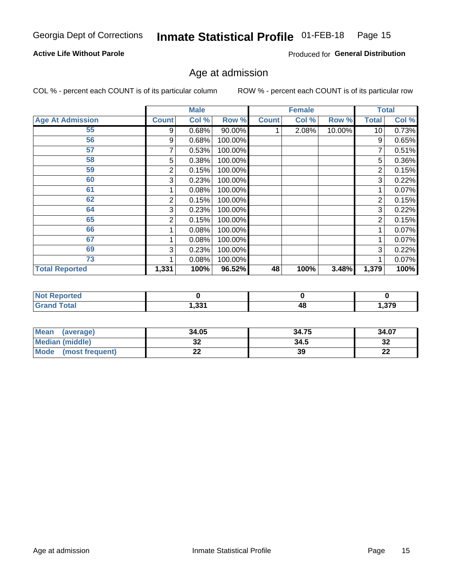#### Inmate Statistical Profile 01-FEB-18 Page 15

### **Active Life Without Parole**

Produced for General Distribution

### Age at admission

COL % - percent each COUNT is of its particular column

|                         |       | <b>Male</b> |         |              | <b>Female</b> |        |                | <b>Total</b> |
|-------------------------|-------|-------------|---------|--------------|---------------|--------|----------------|--------------|
| <b>Age At Admission</b> | Count | Col %       | Row %   | <b>Count</b> | Col %         | Row %  | <b>Total</b>   | Col %        |
| 55                      | 9     | 0.68%       | 90.00%  |              | 2.08%         | 10.00% | 10             | 0.73%        |
| 56                      | 9     | 0.68%       | 100.00% |              |               |        | 9              | 0.65%        |
| 57                      |       | 0.53%       | 100.00% |              |               |        | 7              | 0.51%        |
| 58                      | 5     | 0.38%       | 100.00% |              |               |        | 5              | 0.36%        |
| 59                      | 2     | 0.15%       | 100.00% |              |               |        | 2              | 0.15%        |
| 60                      | 3     | 0.23%       | 100.00% |              |               |        | 3              | 0.22%        |
| 61                      |       | 0.08%       | 100.00% |              |               |        |                | 0.07%        |
| 62                      | 2     | 0.15%       | 100.00% |              |               |        | 2              | 0.15%        |
| 64                      | 3     | 0.23%       | 100.00% |              |               |        | 3              | 0.22%        |
| 65                      | 2     | 0.15%       | 100.00% |              |               |        | $\overline{2}$ | 0.15%        |
| 66                      |       | 0.08%       | 100.00% |              |               |        |                | 0.07%        |
| 67                      |       | 0.08%       | 100.00% |              |               |        |                | 0.07%        |
| 69                      | 3     | 0.23%       | 100.00% |              |               |        | 3              | 0.22%        |
| 73                      |       | 0.08%       | 100.00% |              |               |        |                | 0.07%        |
| <b>Total Reported</b>   | 1,331 | 100%        | 96.52%  | 48           | 100%          | 3.48%  | 1,379          | 100%         |

| <b>Reported</b><br><b>NOT</b> |       |    |                      |
|-------------------------------|-------|----|----------------------|
| <b>Total</b><br><b>CHAM</b>   | 1,331 | 48 | <b>270</b><br>ט וט ו |

| <b>Mean</b><br>(average) | 34.05 | 34.75 | 34.07     |
|--------------------------|-------|-------|-----------|
| Median (middle)          | JZ    | 34.5  | …<br>34   |
| Mode<br>(most frequent)  | --    | 39    | ng,<br>LL |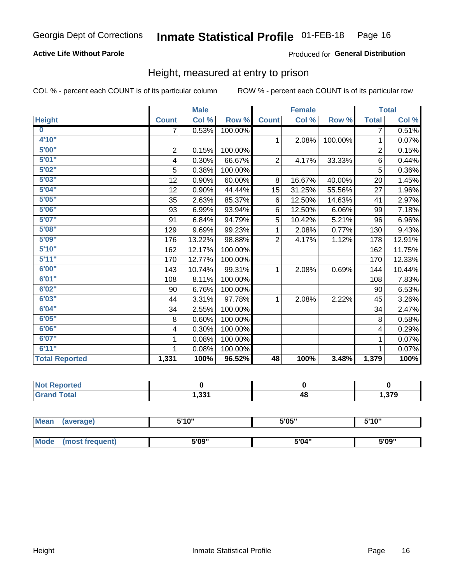### **Active Life Without Parole**

### Produced for General Distribution

### Height, measured at entry to prison

COL % - percent each COUNT is of its particular column

|                       |                | <b>Male</b> |         |                 | <b>Female</b> |         |                | <b>Total</b> |
|-----------------------|----------------|-------------|---------|-----------------|---------------|---------|----------------|--------------|
| <b>Height</b>         | <b>Count</b>   | Col %       | Row %   | <b>Count</b>    | Col %         | Row %   | <b>Total</b>   | Col %        |
| $\bf{0}$              | $\overline{7}$ | 0.53%       | 100.00% |                 |               |         | 7              | 0.51%        |
| 4'10''                |                |             |         | $\mathbf{1}$    | 2.08%         | 100.00% | 1              | 0.07%        |
| 5'00''                | $\sqrt{2}$     | 0.15%       | 100.00% |                 |               |         | $\overline{2}$ | 0.15%        |
| 5'01"                 | 4              | 0.30%       | 66.67%  | $\overline{2}$  | 4.17%         | 33.33%  | 6              | 0.44%        |
| 5'02"                 | 5              | 0.38%       | 100.00% |                 |               |         | 5              | 0.36%        |
| 5'03''                | 12             | 0.90%       | 60.00%  | 8               | 16.67%        | 40.00%  | 20             | 1.45%        |
| 5'04"                 | 12             | 0.90%       | 44.44%  | 15              | 31.25%        | 55.56%  | 27             | 1.96%        |
| 5'05"                 | 35             | 2.63%       | 85.37%  | 6               | 12.50%        | 14.63%  | 41             | 2.97%        |
| 5'06''                | 93             | 6.99%       | 93.94%  | 6               | 12.50%        | 6.06%   | 99             | 7.18%        |
| 5'07''                | 91             | 6.84%       | 94.79%  | 5               | 10.42%        | 5.21%   | 96             | 6.96%        |
| 5'08''                | 129            | 9.69%       | 99.23%  | 1               | 2.08%         | 0.77%   | 130            | 9.43%        |
| 5'09''                | 176            | 13.22%      | 98.88%  | $\overline{2}$  | 4.17%         | 1.12%   | 178            | 12.91%       |
| 5'10''                | 162            | 12.17%      | 100.00% |                 |               |         | 162            | 11.75%       |
| 5'11"                 | 170            | 12.77%      | 100.00% |                 |               |         | 170            | 12.33%       |
| 6'00''                | 143            | 10.74%      | 99.31%  | 1               | 2.08%         | 0.69%   | 144            | 10.44%       |
| 6'01''                | 108            | 8.11%       | 100.00% |                 |               |         | 108            | 7.83%        |
| 6'02"                 | 90             | 6.76%       | 100.00% |                 |               |         | 90             | 6.53%        |
| 6'03''                | 44             | 3.31%       | 97.78%  | $\mathbf{1}$    | 2.08%         | 2.22%   | 45             | 3.26%        |
| 6'04"                 | 34             | 2.55%       | 100.00% |                 |               |         | 34             | 2.47%        |
| 6'05"                 | 8              | 0.60%       | 100.00% |                 |               |         | 8              | 0.58%        |
| 6'06''                | 4              | 0.30%       | 100.00% |                 |               |         | 4              | 0.29%        |
| 6'07''                | 1              | 0.08%       | 100.00% |                 |               |         | 1              | 0.07%        |
| 6'11''                |                | 0.08%       | 100.00% |                 |               |         |                | 0.07%        |
| <b>Total Reported</b> | 1,331          | 100%        | 96.52%  | $\overline{48}$ | 100%          | 3.48%   | 1,379          | 100%         |

| <b>Reported</b> |       |    |      |
|-----------------|-------|----|------|
| <b>otal</b>     | 1.331 | 48 | .379 |

| <b>Mean</b> | (average)       | 5'10" | 5'05" | 5'10'' |  |
|-------------|-----------------|-------|-------|--------|--|
|             |                 |       |       |        |  |
| <b>Mode</b> | (most frequent) | 5'09" | 5'04" | 5'09"  |  |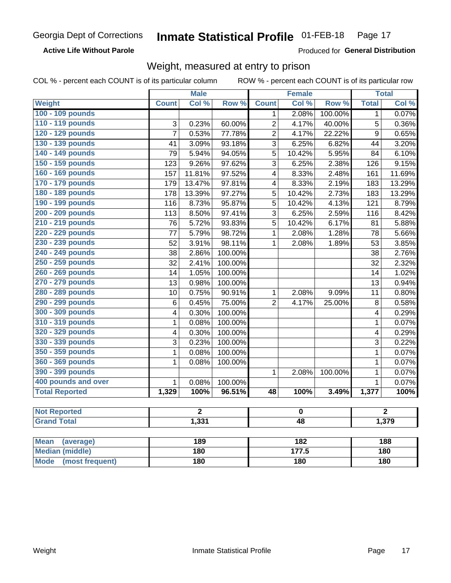**Active Life Without Parole** 

Produced for General Distribution

# Weight, measured at entry to prison

| <b>Weight</b><br>Col %<br>Row %<br><b>Count</b><br>Col %<br>Row %<br><b>Total</b><br>Col %<br><b>Count</b><br>100 - 109 pounds<br>2.08%<br>100.00%<br>1<br>0.07%<br>1<br>110 - 119 pounds<br>$\overline{2}$<br>5<br>3<br>0.23%<br>60.00%<br>4.17%<br>40.00%<br>0.36%<br>120 - 129 pounds<br>$\overline{7}$<br>$\overline{2}$<br>$\overline{9}$<br>0.53%<br>77.78%<br>4.17%<br>22.22%<br>0.65%<br>130 - 139 pounds<br>$\overline{3}$<br>6.25%<br>41<br>3.09%<br>93.18%<br>6.82%<br>44<br>3.20%<br>140 - 149 pounds<br>5<br>79<br>5.94%<br>94.05%<br>10.42%<br>5.95%<br>6.10%<br>84 |
|-----------------------------------------------------------------------------------------------------------------------------------------------------------------------------------------------------------------------------------------------------------------------------------------------------------------------------------------------------------------------------------------------------------------------------------------------------------------------------------------------------------------------------------------------------------------------------------|
|                                                                                                                                                                                                                                                                                                                                                                                                                                                                                                                                                                                   |
|                                                                                                                                                                                                                                                                                                                                                                                                                                                                                                                                                                                   |
|                                                                                                                                                                                                                                                                                                                                                                                                                                                                                                                                                                                   |
|                                                                                                                                                                                                                                                                                                                                                                                                                                                                                                                                                                                   |
|                                                                                                                                                                                                                                                                                                                                                                                                                                                                                                                                                                                   |
|                                                                                                                                                                                                                                                                                                                                                                                                                                                                                                                                                                                   |
| 150 - 159 pounds<br>9.26%<br>$\overline{3}$<br>2.38%<br>123<br>97.62%<br>6.25%<br>126<br>9.15%                                                                                                                                                                                                                                                                                                                                                                                                                                                                                    |
| 160 - 169 pounds<br>11.81%<br>97.52%<br>8.33%<br>2.48%<br>161<br>11.69%<br>157<br>$\overline{\mathbf{4}}$                                                                                                                                                                                                                                                                                                                                                                                                                                                                         |
| 170 - 179 pounds<br>8.33%<br>2.19%<br>13.29%<br>13.47%<br>97.81%<br>183<br>179<br>$\overline{\mathbf{4}}$                                                                                                                                                                                                                                                                                                                                                                                                                                                                         |
| 180 - 189 pounds<br>97.27%<br>5<br>2.73%<br>13.39%<br>10.42%<br>183<br>13.29%<br>178                                                                                                                                                                                                                                                                                                                                                                                                                                                                                              |
| 190 - 199 pounds<br>8.73%<br>95.87%<br>5<br>10.42%<br>4.13%<br>116<br>121<br>8.79%                                                                                                                                                                                                                                                                                                                                                                                                                                                                                                |
| 200 - 209 pounds<br>$\overline{3}$<br>113<br>8.50%<br>97.41%<br>6.25%<br>2.59%<br>116<br>8.42%                                                                                                                                                                                                                                                                                                                                                                                                                                                                                    |
| 210 - 219 pounds<br>5.72%<br>93.83%<br>5<br>10.42%<br>6.17%<br>5.88%<br>76<br>81                                                                                                                                                                                                                                                                                                                                                                                                                                                                                                  |
| 220 - 229 pounds<br>5.79%<br>98.72%<br>$\mathbf{1}$<br>2.08%<br>1.28%<br>5.66%<br>77<br>78                                                                                                                                                                                                                                                                                                                                                                                                                                                                                        |
| 230 - 239 pounds<br>3.91%<br>98.11%<br>3.85%<br>52<br>$\mathbf{1}$<br>2.08%<br>1.89%<br>53                                                                                                                                                                                                                                                                                                                                                                                                                                                                                        |
| 240 - 249 pounds<br>38<br>2.86%<br>100.00%<br>2.76%<br>38                                                                                                                                                                                                                                                                                                                                                                                                                                                                                                                         |
| 250 - 259 pounds<br>2.41%<br>100.00%<br>2.32%<br>32<br>32                                                                                                                                                                                                                                                                                                                                                                                                                                                                                                                         |
| 260 - 269 pounds<br>1.02%<br>1.05%<br>100.00%<br>14<br>14                                                                                                                                                                                                                                                                                                                                                                                                                                                                                                                         |
| 270 - 279 pounds<br>0.98%<br>100.00%<br>0.94%<br>13<br>13                                                                                                                                                                                                                                                                                                                                                                                                                                                                                                                         |
| 280 - 289 pounds<br>0.75%<br>90.91%<br>9.09%<br>0.80%<br>10<br>$\mathbf{1}$<br>2.08%<br>11                                                                                                                                                                                                                                                                                                                                                                                                                                                                                        |
| 290 - 299 pounds<br>75.00%<br>$\overline{2}$<br>0.58%<br>6<br>0.45%<br>4.17%<br>25.00%<br>$\, 8$                                                                                                                                                                                                                                                                                                                                                                                                                                                                                  |
| 300 - 309 pounds<br>0.30%<br>100.00%<br>4<br>0.29%<br>4                                                                                                                                                                                                                                                                                                                                                                                                                                                                                                                           |
| 310 - 319 pounds<br>0.08%<br>100.00%<br>0.07%<br>1<br>$\mathbf{1}$                                                                                                                                                                                                                                                                                                                                                                                                                                                                                                                |
| 320 - 329 pounds<br>0.29%<br>0.30%<br>100.00%<br>4<br>4                                                                                                                                                                                                                                                                                                                                                                                                                                                                                                                           |
| 330 - 339 pounds<br>0.23%<br>3<br>0.22%<br>3<br>100.00%                                                                                                                                                                                                                                                                                                                                                                                                                                                                                                                           |
| 350 - 359 pounds<br>0.08%<br>100.00%<br>0.07%<br>1<br>1                                                                                                                                                                                                                                                                                                                                                                                                                                                                                                                           |
| 360 - 369 pounds<br>0.07%<br>$\mathbf{1}$<br>0.08%<br>$\mathbf{1}$<br>100.00%                                                                                                                                                                                                                                                                                                                                                                                                                                                                                                     |
| 390 - 399 pounds<br>$\mathbf{1}$<br>0.07%<br>$\mathbf{1}$<br>2.08%<br>100.00%                                                                                                                                                                                                                                                                                                                                                                                                                                                                                                     |
| 400 pounds and over<br>$\mathbf{1}$<br>0.08%<br>100.00%<br>0.07%<br>$\mathbf{1}$                                                                                                                                                                                                                                                                                                                                                                                                                                                                                                  |
| <b>Total Reported</b><br>1,329<br>100%<br>100%<br>96.51%<br>$\overline{48}$<br>100%<br>3.49%<br>1,377                                                                                                                                                                                                                                                                                                                                                                                                                                                                             |
|                                                                                                                                                                                                                                                                                                                                                                                                                                                                                                                                                                                   |
| <b>Not Reported</b><br>$\overline{2}$<br>$\overline{2}$<br>$\bf{0}$                                                                                                                                                                                                                                                                                                                                                                                                                                                                                                               |
| <b>Grand Total</b><br>1,331<br>$\overline{48}$<br>1,379                                                                                                                                                                                                                                                                                                                                                                                                                                                                                                                           |
| 189<br>182<br>188<br><b>Mean</b><br>(average)                                                                                                                                                                                                                                                                                                                                                                                                                                                                                                                                     |
| <b>Median (middle)</b><br>180<br>177.5<br><b>180</b>                                                                                                                                                                                                                                                                                                                                                                                                                                                                                                                              |
| <b>Mode</b><br>(most frequent)<br>180<br><b>180</b><br><b>180</b>                                                                                                                                                                                                                                                                                                                                                                                                                                                                                                                 |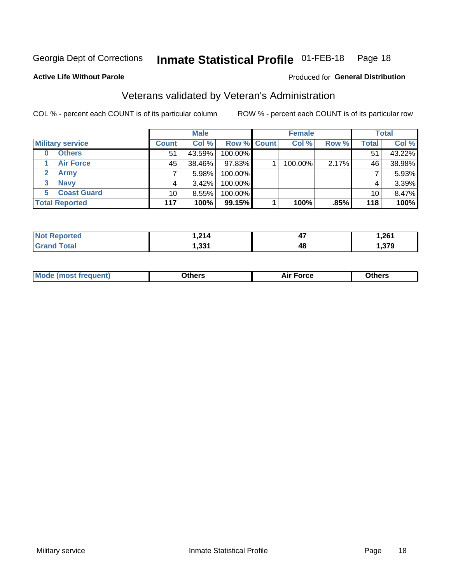#### **Inmate Statistical Profile 01-FEB-18** Page 18

**Active Life Without Parole** 

### Produced for General Distribution

# Veterans validated by Veteran's Administration

COL % - percent each COUNT is of its particular column

|                          |                 | <b>Male</b> |             | <b>Female</b> |       |              | <b>Total</b> |
|--------------------------|-----------------|-------------|-------------|---------------|-------|--------------|--------------|
| <b>Military service</b>  | <b>Count</b>    | Col %       | Row % Count | Col %         | Row % | <b>Total</b> | Col %        |
| <b>Others</b><br>0       | 51              | 43.59%      | 100.00%     |               |       | 51           | 43.22%       |
| <b>Air Force</b>         | 45              | 38.46%      | 97.83%      | 100.00%       | 2.17% | 46           | 38.98%       |
| <b>Army</b>              |                 | 5.98%       | 100.00%     |               |       |              | 5.93%        |
| <b>Navy</b><br>3         |                 | $3.42\%$    | 100.00%     |               |       | 4            | 3.39%        |
| <b>Coast Guard</b><br>5. | 10 <sup>1</sup> | 8.55%       | 100.00%     |               |       | 10           | 8.47%        |
| <b>Total Reported</b>    | 117             | 100%        | 99.15%      | 100%          | .85%  | 118          | 100%         |

| rtea : | 24<br>14<br>$\sim$<br>$\sim$ $\sim$ | $\overline{a}$<br>. .<br>T 1 | .261  |
|--------|-------------------------------------|------------------------------|-------|
| Гоtal  | - 221<br>. ככר                      | 48                           | - 270 |

| Mode (most frequent) | งthers | Force | <b>Dthers</b> |
|----------------------|--------|-------|---------------|
|                      |        |       |               |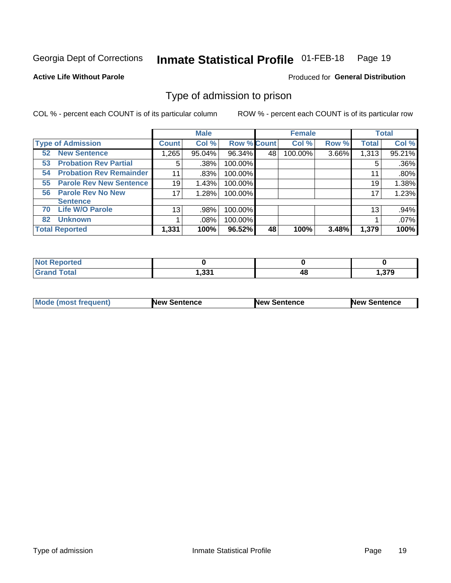#### **Inmate Statistical Profile 01-FEB-18** Page 19

**Active Life Without Parole** 

Produced for General Distribution

# Type of admission to prison

COL % - percent each COUNT is of its particular column

|                                      |                 | <b>Male</b> |                    |    | <b>Female</b> |       |              | <b>Total</b> |
|--------------------------------------|-----------------|-------------|--------------------|----|---------------|-------|--------------|--------------|
| <b>Type of Admission</b>             | <b>Count</b>    | Col %       | <b>Row % Count</b> |    | Col %         | Row % | <b>Total</b> | Col %        |
| <b>52 New Sentence</b>               | 1,265           | 95.04%      | 96.34%             | 48 | 100.00%       | 3.66% | 1,313        | 95.21%       |
| <b>Probation Rev Partial</b><br>53   | 5               | .38%        | 100.00%            |    |               |       | 5            | .36%         |
| <b>Probation Rev Remainder</b><br>54 | 11              | .83%        | 100.00%            |    |               |       | 11           | .80%         |
| <b>Parole Rev New Sentence</b><br>55 | 19              | 1.43%       | 100.00%            |    |               |       | 19           | 1.38%        |
| <b>Parole Rev No New</b><br>56       | 17              | 1.28%       | 100.00%            |    |               |       | 17           | 1.23%        |
| <b>Sentence</b>                      |                 |             |                    |    |               |       |              |              |
| <b>Life W/O Parole</b><br>70         | 13 <sub>1</sub> | .98%        | 100.00%            |    |               |       | 13           | .94%         |
| <b>Unknown</b><br>82                 |                 | .08%        | 100.00%            |    |               |       |              | .07%         |
| <b>Total Reported</b>                | 1,331           | 100%        | 96.52%             | 48 | 100%          | 3.48% | 1,379        | 100%         |

| Reported<br><b>NOT</b> |            |    |       |
|------------------------|------------|----|-------|
| <b>Total</b><br>Gra    | ີ<br>ו טטו | тu | 379،، |

| Mode (most frequent) | <b>New Sentence</b> | <b>New Sentence</b> | <b>New Sentence</b> |
|----------------------|---------------------|---------------------|---------------------|
|                      |                     |                     |                     |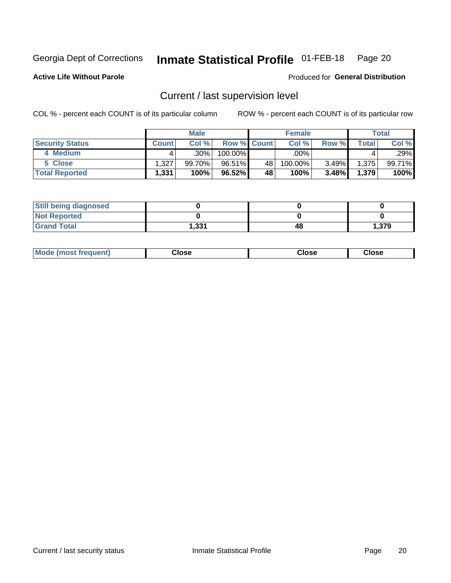#### Inmate Statistical Profile 01-FEB-18 Page 20

**Active Life Without Parole** 

Produced for General Distribution

# Current / last supervision level

COL % - percent each COUNT is of its particular column

|                        |              | <b>Male</b> |                    |    | <b>Female</b> |       |       | <b>Total</b> |
|------------------------|--------------|-------------|--------------------|----|---------------|-------|-------|--------------|
| <b>Security Status</b> | <b>Count</b> | Col%        | <b>Row % Count</b> |    | Col %         | Row % | Total | Col %        |
| 4 Medium               |              | $.30\%$     | 100.00%            |    | .00%          |       |       | .29%         |
| 5 Close                | l.327        | 99.70%      | 96.51%             | 48 | 100.00%       | 3.49% | 1,375 | 99.71%       |
| <b>Total Reported</b>  | 1,331        | 100%        | 96.52%             | 48 | 100%          | 3.48% | 1,379 | 100%         |

| <b>Still being diagnosed</b> |       |    |        |
|------------------------------|-------|----|--------|
| <b>Not Reported</b>          |       |    |        |
| <b>Grand Total</b>           | 331.ا | 48 | 379. ا |

| <b>Mode (most frequent)</b> | Close | ∵lose | Close |
|-----------------------------|-------|-------|-------|
|                             |       |       |       |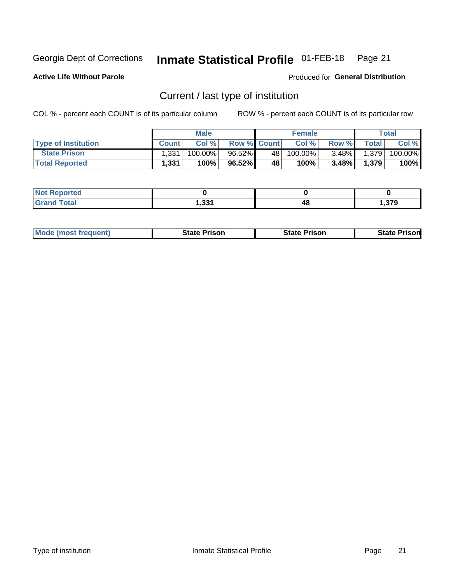#### Inmate Statistical Profile 01-FEB-18 Page 21

**Active Life Without Parole** 

Produced for General Distribution

# Current / last type of institution

COL % - percent each COUNT is of its particular column

|                            |              | <b>Male</b> |                    |    | <b>Female</b> |          |              | Total   |
|----------------------------|--------------|-------------|--------------------|----|---------------|----------|--------------|---------|
| <b>Type of Institution</b> | <b>Count</b> | Col %       | <b>Row % Count</b> |    | Col %         | Row %    | <b>Total</b> | Col %   |
| <b>State Prison</b>        | 1,331        | 100.00%     | 96.52%             | 48 | $100.00\%$    | $3.48\%$ | 1,379        | 100.00% |
| <b>Total Reported</b>      | 1,331        | 100%        | 96.52%             | 48 | 100%          | $3.48\%$ | 1,379        | 100%    |

| rted<br>. |                 |    |              |
|-----------|-----------------|----|--------------|
|           | ∕ פר<br>. دد, ۱ | 4č | 270<br>. 313 |

|  | <b>Mode (most frequent)</b> | State Prison | <b>State Prison</b> | <b>State Prison</b> |
|--|-----------------------------|--------------|---------------------|---------------------|
|--|-----------------------------|--------------|---------------------|---------------------|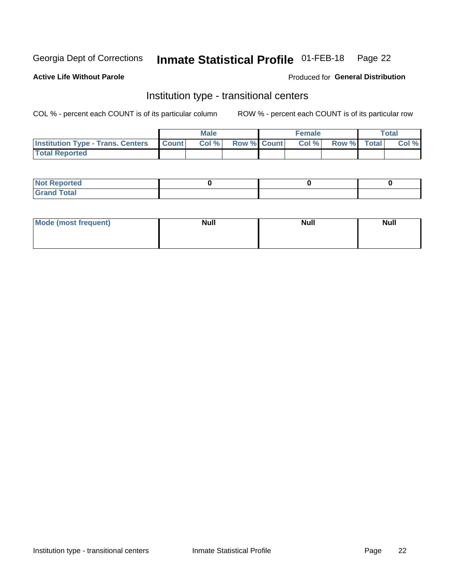#### **Inmate Statistical Profile 01-FEB-18** Page 22

### **Active Life Without Parole**

#### Produced for General Distribution

# Institution type - transitional centers

COL % - percent each COUNT is of its particular column

|                                                | Male  |                    | <b>Female</b> |                   | Total |
|------------------------------------------------|-------|--------------------|---------------|-------------------|-------|
| <b>Institution Type - Trans. Centers Count</b> | Col % | <b>Row % Count</b> |               | Col % Row % Total | Col % |
| <b>Total Reported</b>                          |       |                    |               |                   |       |

| <b>Reported</b><br><b>NOT</b><br>$\sim$            |  |  |
|----------------------------------------------------|--|--|
| $f$ $f \circ f \circ f$<br>$C = 1$<br><b>TULAI</b> |  |  |

| Mode (most frequent) | <b>Null</b> | <b>Null</b> | <b>Null</b> |
|----------------------|-------------|-------------|-------------|
|                      |             |             |             |
|                      |             |             |             |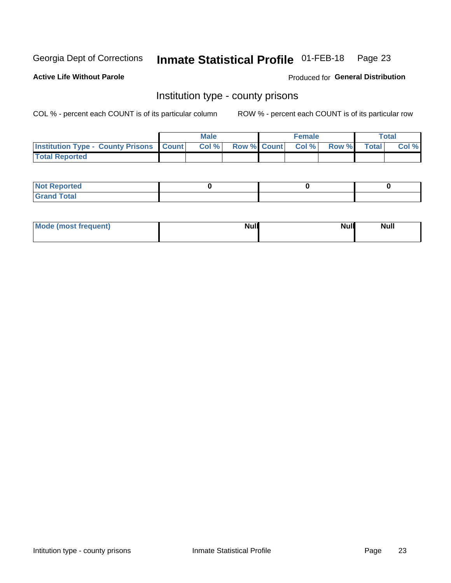#### **Inmate Statistical Profile 01-FEB-18** Page 23

**Active Life Without Parole** 

Produced for General Distribution

### Institution type - county prisons

COL % - percent each COUNT is of its particular column

|                                                    | <b>Male</b> |  | <b>Female</b>            |             | <b>Total</b> |
|----------------------------------------------------|-------------|--|--------------------------|-------------|--------------|
| <b>Institution Type - County Prisons   Count  </b> | Col %       |  | <b>Row % Count Col %</b> | Row % Total | Col %        |
| <b>Total Reported</b>                              |             |  |                          |             |              |

| <b>Not Reported</b>   |  |  |
|-----------------------|--|--|
| <b>Total</b><br>Granc |  |  |

| Mode (most frequent) | <b>Null</b> | <b>Null</b><br><b>Null</b> |
|----------------------|-------------|----------------------------|
|                      |             |                            |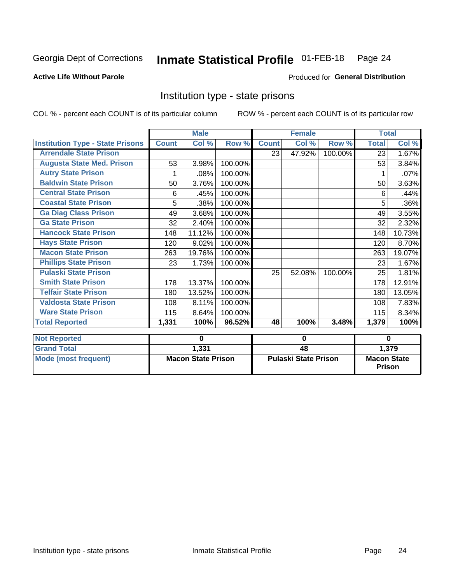#### Inmate Statistical Profile 01-FEB-18 Page 24

### **Active Life Without Parole**

#### Produced for General Distribution

### Institution type - state prisons

COL % - percent each COUNT is of its particular column

|                                         | <b>Male</b>               |        |                             |                 | <b>Female</b> |                                     | <b>Total</b> |        |
|-----------------------------------------|---------------------------|--------|-----------------------------|-----------------|---------------|-------------------------------------|--------------|--------|
| <b>Institution Type - State Prisons</b> | <b>Count</b>              | Col %  | Row %                       | <b>Count</b>    | Col %         | Row %                               | <b>Total</b> | Col %  |
| <b>Arrendale State Prison</b>           |                           |        |                             | 23              | 47.92%        | 100.00%                             | 23           | 1.67%  |
| <b>Augusta State Med. Prison</b>        | 53                        | 3.98%  | 100.00%                     |                 |               |                                     | 53           | 3.84%  |
| <b>Autry State Prison</b>               |                           | .08%   | 100.00%                     |                 |               |                                     |              | .07%   |
| <b>Baldwin State Prison</b>             | 50                        | 3.76%  | 100.00%                     |                 |               |                                     | 50           | 3.63%  |
| <b>Central State Prison</b>             | 6                         | .45%   | 100.00%                     |                 |               |                                     | 6            | .44%   |
| <b>Coastal State Prison</b>             | 5                         | .38%   | 100.00%                     |                 |               |                                     | 5            | .36%   |
| <b>Ga Diag Class Prison</b>             | 49                        | 3.68%  | 100.00%                     |                 |               |                                     | 49           | 3.55%  |
| <b>Ga State Prison</b>                  | 32                        | 2.40%  | 100.00%                     |                 |               |                                     | 32           | 2.32%  |
| <b>Hancock State Prison</b>             | 148                       | 11.12% | 100.00%                     |                 |               |                                     | 148          | 10.73% |
| <b>Hays State Prison</b>                | 120                       | 9.02%  | 100.00%                     |                 |               |                                     | 120          | 8.70%  |
| <b>Macon State Prison</b>               | 263                       | 19.76% | 100.00%                     |                 |               |                                     | 263          | 19.07% |
| <b>Phillips State Prison</b>            | 23                        | 1.73%  | 100.00%                     |                 |               |                                     | 23           | 1.67%  |
| <b>Pulaski State Prison</b>             |                           |        |                             | 25              | 52.08%        | 100.00%                             | 25           | 1.81%  |
| <b>Smith State Prison</b>               | 178                       | 13.37% | 100.00%                     |                 |               |                                     | 178          | 12.91% |
| <b>Telfair State Prison</b>             | 180                       | 13.52% | 100.00%                     |                 |               |                                     | 180          | 13.05% |
| <b>Valdosta State Prison</b>            | 108                       | 8.11%  | 100.00%                     |                 |               |                                     | 108          | 7.83%  |
| <b>Ware State Prison</b>                | 115                       | 8.64%  | 100.00%                     |                 |               |                                     | 115          | 8.34%  |
| <b>Total Reported</b>                   | 1,331                     | 100%   | 96.52%                      | 48              | 100%          | 3.48%                               | 1,379        | 100%   |
| <b>Not Reported</b>                     | $\bf{0}$                  |        | 0                           |                 |               | 0                                   |              |        |
| <b>Grand Total</b>                      |                           | 1,331  |                             | $\overline{48}$ |               |                                     | 1,379        |        |
| <b>Mode (most frequent)</b>             | <b>Macon State Prison</b> |        | <b>Pulaski State Prison</b> |                 |               | <b>Macon State</b><br><b>Prison</b> |              |        |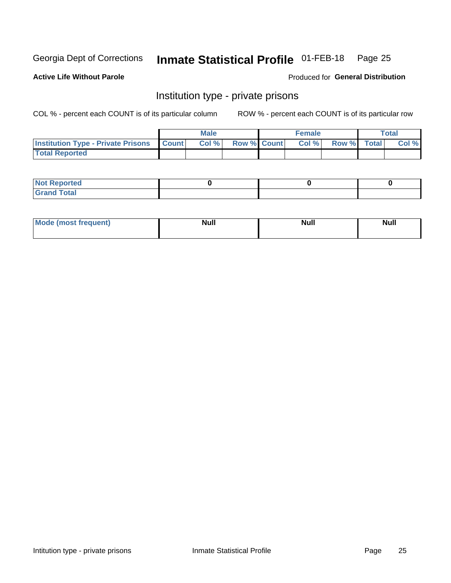# Inmate Statistical Profile 01-FEB-18 Page 25

#### **Active Life Without Parole**

#### Produced for General Distribution

# Institution type - private prisons

COL % - percent each COUNT is of its particular column

|                                                     | <b>Male</b> |                    | <b>Female</b> |             | <b>Total</b> |
|-----------------------------------------------------|-------------|--------------------|---------------|-------------|--------------|
| <b>Institution Type - Private Prisons   Count  </b> | Col%        | <b>Row % Count</b> | Col %         | Row % Total | Col %        |
| <b>Total Reported</b>                               |             |                    |               |             |              |

| Not Reported          |  |  |
|-----------------------|--|--|
| <b>Cotal</b><br>_____ |  |  |

| <b>Mo</b><br>frequent) | <b>Null</b> | <b>Null</b> | . . I *<br><b>IVUII</b> |
|------------------------|-------------|-------------|-------------------------|
|                        |             |             |                         |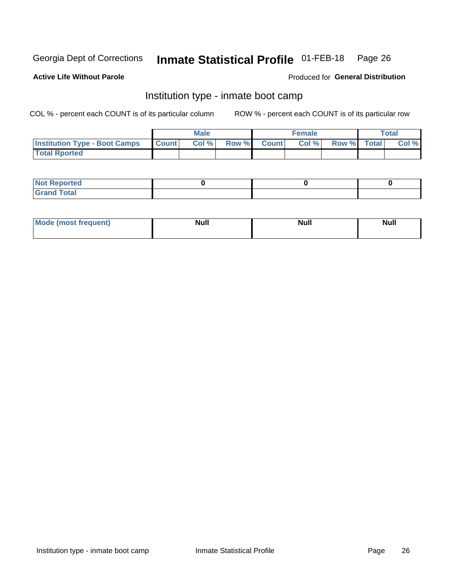#### Inmate Statistical Profile 01-FEB-18 Page 26

#### **Active Life Without Parole**

### Produced for General Distribution

# Institution type - inmate boot camp

COL % - percent each COUNT is of its particular column

|                                      | <b>Male</b>  |       |               |              | <b>Female</b> | <b>Total</b> |  |       |
|--------------------------------------|--------------|-------|---------------|--------------|---------------|--------------|--|-------|
| <b>Institution Type - Boot Camps</b> | <b>Count</b> | Col % | <b>Row %I</b> | <b>Count</b> | Col %         | Row % Total  |  | Col % |
| <b>Total Rported</b>                 |              |       |               |              |               |              |  |       |

| <b>Not Reported</b>            |  |  |
|--------------------------------|--|--|
| <b>Total</b><br>C <sub>r</sub> |  |  |

| Mod<br>uamo | Nul.<br>$- - - - - -$ | <b>Null</b> | <br>uu.<br>------ |
|-------------|-----------------------|-------------|-------------------|
|             |                       |             |                   |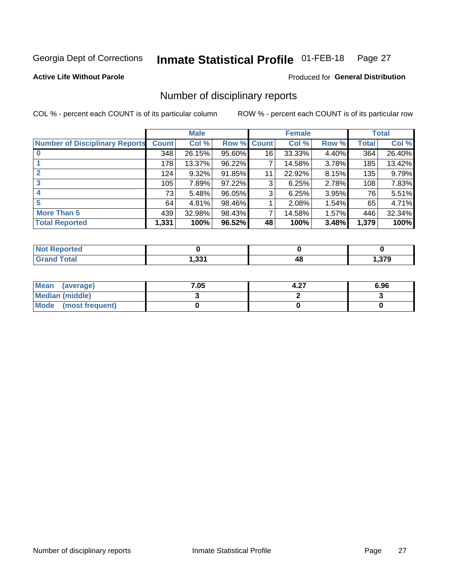#### Inmate Statistical Profile 01-FEB-18 Page 27

**Active Life Without Parole** 

**Produced for General Distribution** 

# Number of disciplinary reports

COL % - percent each COUNT is of its particular column

|                                       | <b>Male</b>  |        |             |    | <b>Female</b> | <b>Total</b> |              |        |
|---------------------------------------|--------------|--------|-------------|----|---------------|--------------|--------------|--------|
| <b>Number of Disciplinary Reports</b> | <b>Count</b> | Col %  | Row % Count |    | Col %         | Row %        | <b>Total</b> | Col %  |
|                                       | 348          | 26.15% | 95.60%      | 16 | 33.33%        | 4.40%        | 364          | 26.40% |
|                                       | 178          | 13.37% | 96.22%      | 7  | 14.58%        | 3.78%        | 185          | 13.42% |
| $\mathbf{2}$                          | 124          | 9.32%  | 91.85%      | 11 | 22.92%        | $8.15\%$     | 135          | 9.79%  |
| 3                                     | 105          | 7.89%  | 97.22%      | 3  | 6.25%         | 2.78%        | 108          | 7.83%  |
|                                       | 73           | 5.48%  | 96.05%      | 3  | 6.25%         | 3.95%        | 76           | 5.51%  |
| 5                                     | 64           | 4.81%  | 98.46%      |    | 2.08%         | 1.54%        | 65           | 4.71%  |
| <b>More Than 5</b>                    | 439          | 32.98% | 98.43%      | 7  | 14.58%        | 1.57%        | 446          | 32.34% |
| <b>Total Reported</b>                 | 1,331        | 100%   | 96.52%      | 48 | 100%          | 3.48%        | 1,379        | 100%   |

| ted.<br>NO |                |    |      |
|------------|----------------|----|------|
| Total      | - 221<br>، دد, | 46 | 379ء |

| Mean (average)       | 7.05 | 4.27 | 6.96 |
|----------------------|------|------|------|
| Median (middle)      |      |      |      |
| Mode (most frequent) |      |      |      |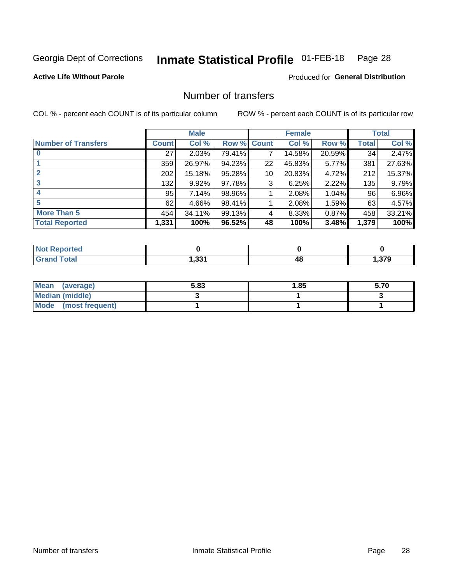#### **Inmate Statistical Profile 01-FEB-18** Page 28

**Active Life Without Parole** 

**Produced for General Distribution** 

# Number of transfers

COL % - percent each COUNT is of its particular column

|                            |         | <b>Male</b> |        |                 | <b>Female</b> |        |              | <b>Total</b> |
|----------------------------|---------|-------------|--------|-----------------|---------------|--------|--------------|--------------|
| <b>Number of Transfers</b> | Count l | Col %       | Row %  | <b>Count</b>    | Col %         | Row %  | <b>Total</b> | Col %        |
|                            | 27      | 2.03%       | 79.41% | 7               | 14.58%        | 20.59% | 34           | 2.47%        |
|                            | 359     | 26.97%      | 94.23% | 22              | 45.83%        | 5.77%  | 381          | 27.63%       |
| 2                          | 202     | 15.18%      | 95.28% | 10 <sup>1</sup> | 20.83%        | 4.72%  | 212          | 15.37%       |
| 3                          | 132     | $9.92\%$    | 97.78% | 3               | 6.25%         | 2.22%  | 135          | 9.79%        |
|                            | 95      | 7.14%       | 98.96% |                 | 2.08%         | 1.04%  | 96           | 6.96%        |
| 5                          | 62      | 4.66%       | 98.41% |                 | 2.08%         | 1.59%  | 63           | 4.57%        |
| <b>More Than 5</b>         | 454     | 34.11%      | 99.13% | 4               | 8.33%         | 0.87%  | 458          | 33.21%       |
| <b>Total Reported</b>      | 1,331   | 100%        | 96.52% | 48              | 100%          | 3.48%  | 1,379        | 100%         |

| <b>Not Reported</b> |                 |    |        |
|---------------------|-----------------|----|--------|
| 「otal               | - 221<br>ا دد,⊧ | 48 | .379،، |

| Mean (average)       | 5.83 | <b>1.85</b> | 5.70 |
|----------------------|------|-------------|------|
| Median (middle)      |      |             |      |
| Mode (most frequent) |      |             |      |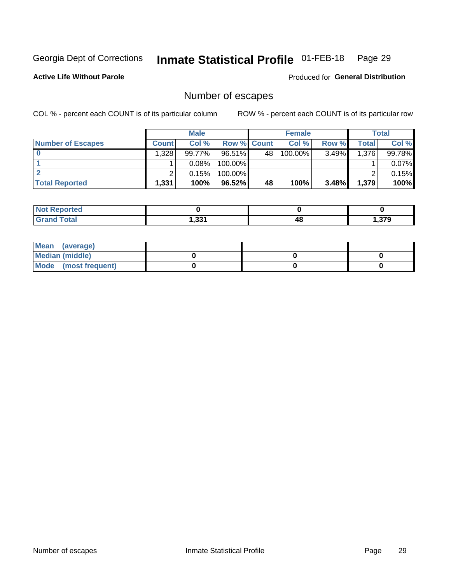#### **Inmate Statistical Profile 01-FEB-18** Page 29

**Active Life Without Parole** 

Produced for General Distribution

# Number of escapes

COL % - percent each COUNT is of its particular column

|                          | <b>Male</b>  |        |                    | <b>Female</b> |         |       | Total |        |
|--------------------------|--------------|--------|--------------------|---------------|---------|-------|-------|--------|
| <b>Number of Escapes</b> | <b>Count</b> | Col %  | <b>Row % Count</b> |               | Col %   | Row % | Total | Col %  |
|                          | 1,328        | 99.77% | 96.51%             | 48            | 100.00% | 3.49% | 1,376 | 99.78% |
|                          |              | 0.08%  | $100.00\%$         |               |         |       |       | 0.07%  |
|                          |              | 0.15%  | $100.00\%$         |               |         |       |       | 0.15%  |
| <b>Total Reported</b>    | 1,331        | 100%   | 96.52%             | 48            | 100%    | 3.48% | 1,379 | 100%   |

| <b>Not Reported</b>      |       |    |              |
|--------------------------|-------|----|--------------|
| Total<br>Gr <sup>o</sup> | 1,331 | 4۵ | 270<br>J / J |

| Mean (average)       |  |  |
|----------------------|--|--|
| Median (middle)      |  |  |
| Mode (most frequent) |  |  |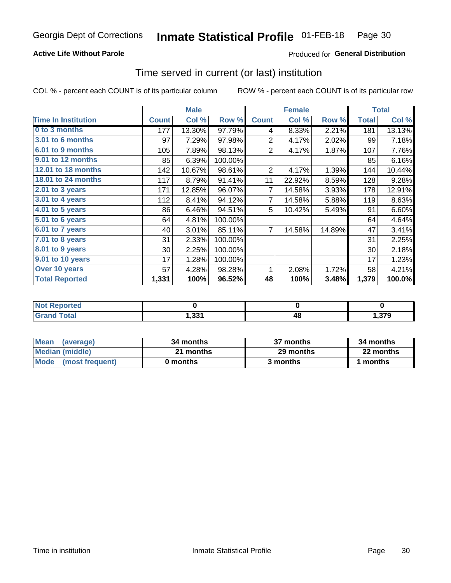### **Active Life Without Parole**

### Produced for General Distribution

### Time served in current (or last) institution

COL % - percent each COUNT is of its particular column

|                            |              | <b>Male</b> |         |                | <b>Female</b> | <b>Total</b> |              |        |
|----------------------------|--------------|-------------|---------|----------------|---------------|--------------|--------------|--------|
| <b>Time In Institution</b> | <b>Count</b> | Col %       | Row %   | <b>Count</b>   | Col %         | Row %        | <b>Total</b> | Col %  |
| 0 to 3 months              | 177          | 13.30%      | 97.79%  | 4              | 8.33%         | 2.21%        | 181          | 13.13% |
| <b>3.01 to 6 months</b>    | 97           | 7.29%       | 97.98%  | $\overline{2}$ | 4.17%         | 2.02%        | 99           | 7.18%  |
| 6.01 to 9 months           | 105          | 7.89%       | 98.13%  | 2              | 4.17%         | 1.87%        | 107          | 7.76%  |
| 9.01 to 12 months          | 85           | 6.39%       | 100.00% |                |               |              | 85           | 6.16%  |
| 12.01 to 18 months         | 142          | 10.67%      | 98.61%  | 2              | 4.17%         | 1.39%        | 144          | 10.44% |
| <b>18.01 to 24 months</b>  | 117          | 8.79%       | 91.41%  | 11             | 22.92%        | 8.59%        | 128          | 9.28%  |
| $2.01$ to 3 years          | 171          | 12.85%      | 96.07%  | 7              | 14.58%        | 3.93%        | 178          | 12.91% |
| $3.01$ to 4 years          | 112          | 8.41%       | 94.12%  | 7              | 14.58%        | 5.88%        | 119          | 8.63%  |
| 4.01 to 5 years            | 86           | 6.46%       | 94.51%  | 5              | 10.42%        | 5.49%        | 91           | 6.60%  |
| 5.01 to 6 years            | 64           | 4.81%       | 100.00% |                |               |              | 64           | 4.64%  |
| 6.01 to 7 years            | 40           | 3.01%       | 85.11%  | $\overline{7}$ | 14.58%        | 14.89%       | 47           | 3.41%  |
| 7.01 to 8 years            | 31           | 2.33%       | 100.00% |                |               |              | 31           | 2.25%  |
| 8.01 to 9 years            | 30           | 2.25%       | 100.00% |                |               |              | 30           | 2.18%  |
| 9.01 to 10 years           | 17           | 1.28%       | 100.00% |                |               |              | 17           | 1.23%  |
| Over 10 years              | 57           | 4.28%       | 98.28%  | 1              | 2.08%         | 1.72%        | 58           | 4.21%  |
| <b>Total Reported</b>      | 1,331        | 100%        | 96.52%  | 48             | 100%          | 3.48%        | 1,379        | 100.0% |

| Reported<br>INOT F     |           |    |      |
|------------------------|-----------|----|------|
| $f \wedge f \wedge f'$ | ີ<br>. აა | тu | .379 |

| <b>Mean</b><br>(average) | 34 months | 37 months | 34 months |
|--------------------------|-----------|-----------|-----------|
| Median (middle)          | 21 months | 29 months | 22 months |
| Mode (most frequent)     | 0 months  | 3 months  | 1 months  |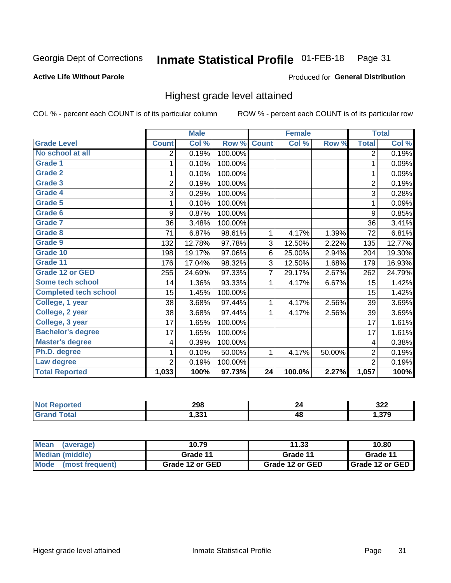#### Inmate Statistical Profile 01-FEB-18 Page 31

#### **Active Life Without Parole**

#### Produced for General Distribution

# Highest grade level attained

COL % - percent each COUNT is of its particular column

|                              |                | <b>Male</b> |         |                 | <b>Female</b> |        |                | <b>Total</b> |
|------------------------------|----------------|-------------|---------|-----------------|---------------|--------|----------------|--------------|
| <b>Grade Level</b>           | <b>Count</b>   | Col %       | Row %   | <b>Count</b>    | Col %         | Row %  | <b>Total</b>   | Col %        |
| No school at all             | 2              | 0.19%       | 100.00% |                 |               |        | $\overline{2}$ | 0.19%        |
| <b>Grade 1</b>               | 1              | 0.10%       | 100.00% |                 |               |        | 1              | 0.09%        |
| <b>Grade 2</b>               | 1              | 0.10%       | 100.00% |                 |               |        | 1              | 0.09%        |
| <b>Grade 3</b>               | $\overline{2}$ | 0.19%       | 100.00% |                 |               |        | $\overline{2}$ | 0.19%        |
| Grade 4                      | 3              | 0.29%       | 100.00% |                 |               |        | 3              | 0.28%        |
| Grade 5                      | 1              | 0.10%       | 100.00% |                 |               |        | 1              | 0.09%        |
| Grade 6                      | 9              | 0.87%       | 100.00% |                 |               |        | 9              | 0.85%        |
| Grade 7                      | 36             | 3.48%       | 100.00% |                 |               |        | 36             | 3.41%        |
| <b>Grade 8</b>               | 71             | 6.87%       | 98.61%  | 1               | 4.17%         | 1.39%  | 72             | 6.81%        |
| Grade 9                      | 132            | 12.78%      | 97.78%  | 3               | 12.50%        | 2.22%  | 135            | 12.77%       |
| Grade 10                     | 198            | 19.17%      | 97.06%  | 6               | 25.00%        | 2.94%  | 204            | 19.30%       |
| Grade 11                     | 176            | 17.04%      | 98.32%  | 3               | 12.50%        | 1.68%  | 179            | 16.93%       |
| <b>Grade 12 or GED</b>       | 255            | 24.69%      | 97.33%  | 7               | 29.17%        | 2.67%  | 262            | 24.79%       |
| Some tech school             | 14             | 1.36%       | 93.33%  | 1               | 4.17%         | 6.67%  | 15             | 1.42%        |
| <b>Completed tech school</b> | 15             | 1.45%       | 100.00% |                 |               |        | 15             | 1.42%        |
| College, 1 year              | 38             | 3.68%       | 97.44%  | 1               | 4.17%         | 2.56%  | 39             | 3.69%        |
| College, 2 year              | 38             | 3.68%       | 97.44%  | 1               | 4.17%         | 2.56%  | 39             | 3.69%        |
| College, 3 year              | 17             | 1.65%       | 100.00% |                 |               |        | 17             | 1.61%        |
| <b>Bachelor's degree</b>     | 17             | 1.65%       | 100.00% |                 |               |        | 17             | 1.61%        |
| <b>Master's degree</b>       | 4              | 0.39%       | 100.00% |                 |               |        | 4              | 0.38%        |
| Ph.D. degree                 | 1              | 0.10%       | 50.00%  | 1               | 4.17%         | 50.00% | $\overline{2}$ | 0.19%        |
| Law degree                   | $\overline{2}$ | 0.19%       | 100.00% |                 |               |        | $\overline{2}$ | 0.19%        |
| <b>Total Reported</b>        | 1,033          | 100%        | 97.73%  | $\overline{24}$ | 100.0%        | 2.27%  | 1,057          | 100%         |

| rtea<br>NO | 298            |    | $\sim$<br>JLL |
|------------|----------------|----|---------------|
|            | -224<br>ו ככ.ו | 48 | ,379          |

| <b>Mean</b><br>(average) | 10.79           | 11.33           | 10.80           |
|--------------------------|-----------------|-----------------|-----------------|
| Median (middle)          | Grade 11        | Grade 11        | Grade 11        |
| Mode<br>(most frequent)  | Grade 12 or GED | Grade 12 or GED | Grade 12 or GED |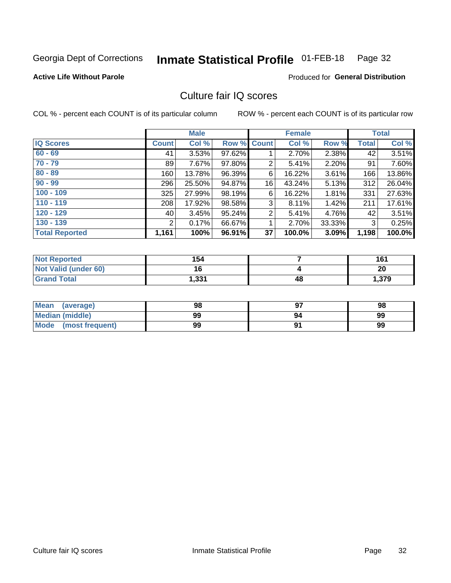#### **Inmate Statistical Profile 01-FEB-18** Page 32

#### **Active Life Without Parole**

### **Produced for General Distribution**

# Culture fair IQ scores

COL % - percent each COUNT is of its particular column

|                       |                | <b>Male</b> |        |                | <b>Female</b> |        |              | <b>Total</b> |
|-----------------------|----------------|-------------|--------|----------------|---------------|--------|--------------|--------------|
| <b>IQ Scores</b>      | <b>Count</b>   | Col %       | Row %  | Count          | Col %         | Row %  | <b>Total</b> | Col %        |
| $60 - 69$             | 41             | 3.53%       | 97.62% |                | 2.70%         | 2.38%  | 42           | 3.51%        |
| $70 - 79$             | 89             | 7.67%       | 97.80% | 2              | 5.41%         | 2.20%  | 91           | 7.60%        |
| $80 - 89$             | 160            | 13.78%      | 96.39% | 6              | 16.22%        | 3.61%  | 166          | 13.86%       |
| $90 - 99$             | 296            | 25.50%      | 94.87% | 16             | 43.24%        | 5.13%  | 312          | 26.04%       |
| $100 - 109$           | 325            | 27.99%      | 98.19% | 6              | 16.22%        | 1.81%  | 331          | 27.63%       |
| $110 - 119$           | 208            | 17.92%      | 98.58% | 3              | 8.11%         | 1.42%  | 211          | 17.61%       |
| $120 - 129$           | 40 l           | 3.45%       | 95.24% | $\overline{2}$ | 5.41%         | 4.76%  | 42           | 3.51%        |
| $130 - 139$           | $\overline{2}$ | 0.17%       | 66.67% | 1              | 2.70%         | 33.33% | 3            | 0.25%        |
| <b>Total Reported</b> | 1,161          | 100%        | 96.91% | 37             | 100.0%        | 3.09%  | 1,198        | 100.0%       |

| <b>Not Reported</b>  | 154   |    | 161   |
|----------------------|-------|----|-------|
| Not Valid (under 60) | 16    |    | 20    |
| <b>Grand Total</b>   | 1,331 | 48 | 1,379 |

| Mean<br>(average)      | 98 |    | 98 |
|------------------------|----|----|----|
| <b>Median (middle)</b> | 99 | 94 | 99 |
| Mode (most frequent)   | 99 |    | 99 |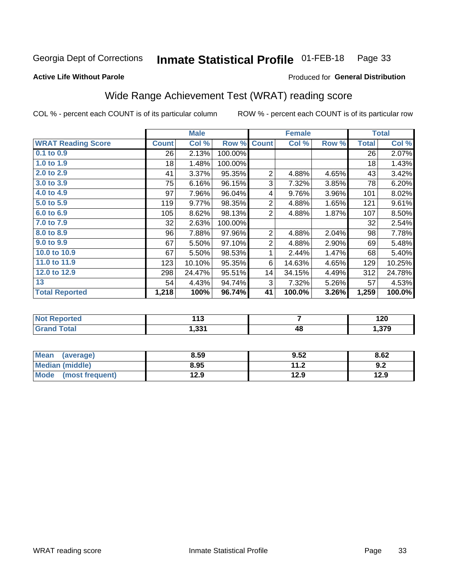#### **Inmate Statistical Profile 01-FEB-18** Page 33

#### **Active Life Without Parole**

### Produced for General Distribution

# Wide Range Achievement Test (WRAT) reading score

COL % - percent each COUNT is of its particular column

|                           |              | <b>Male</b> |         |                | <b>Female</b> |       |              | <b>Total</b> |
|---------------------------|--------------|-------------|---------|----------------|---------------|-------|--------------|--------------|
| <b>WRAT Reading Score</b> | <b>Count</b> | Col %       | Row %   | <b>Count</b>   | Col %         | Row % | <b>Total</b> | Col %        |
| $0.1$ to $0.9$            | 26           | 2.13%       | 100.00% |                |               |       | 26           | 2.07%        |
| 1.0 to 1.9                | 18           | 1.48%       | 100.00% |                |               |       | 18           | 1.43%        |
| 2.0 to 2.9                | 41           | 3.37%       | 95.35%  | $\overline{2}$ | 4.88%         | 4.65% | 43           | 3.42%        |
| 3.0 to 3.9                | 75           | 6.16%       | 96.15%  | 3              | 7.32%         | 3.85% | 78           | 6.20%        |
| 4.0 to 4.9                | 97           | 7.96%       | 96.04%  | 4              | 9.76%         | 3.96% | 101          | 8.02%        |
| 5.0 to 5.9                | 119          | 9.77%       | 98.35%  | $\sqrt{2}$     | 4.88%         | 1.65% | 121          | 9.61%        |
| 6.0 to 6.9                | 105          | 8.62%       | 98.13%  | 2              | 4.88%         | 1.87% | 107          | 8.50%        |
| 7.0 to 7.9                | 32           | 2.63%       | 100.00% |                |               |       | 32           | 2.54%        |
| 8.0 to 8.9                | 96           | 7.88%       | 97.96%  | $\overline{2}$ | 4.88%         | 2.04% | 98           | 7.78%        |
| 9.0 to 9.9                | 67           | 5.50%       | 97.10%  | $\sqrt{2}$     | 4.88%         | 2.90% | 69           | 5.48%        |
| 10.0 to 10.9              | 67           | 5.50%       | 98.53%  | 1              | 2.44%         | 1.47% | 68           | 5.40%        |
| 11.0 to 11.9              | 123          | 10.10%      | 95.35%  | 6              | 14.63%        | 4.65% | 129          | 10.25%       |
| 12.0 to 12.9              | 298          | 24.47%      | 95.51%  | 14             | 34.15%        | 4.49% | 312          | 24.78%       |
| 13                        | 54           | 4.43%       | 94.74%  | 3              | 7.32%         | 5.26% | 57           | 4.53%        |
| <b>Total Reported</b>     | 1,218        | 100%        | 96.74%  | 41             | 100.0%        | 3.26% | 1,259        | 100.0%       |
|                           |              |             |         |                |               |       |              |              |
| <b>Not Reported</b>       |              | 113         |         | $\overline{7}$ |               |       | 120          |              |
| <b>Grand Total</b>        |              | 1,331       |         |                | 48            |       |              | 1,379        |

| <b>Mean</b><br>(average) | 8.59 | 9.52        | 8.62 |
|--------------------------|------|-------------|------|
| Median (middle)          | 8.95 | 112<br>. ∠. | 9.2  |
| Mode<br>(most frequent)  | 12.9 | 12.9        | 12.9 |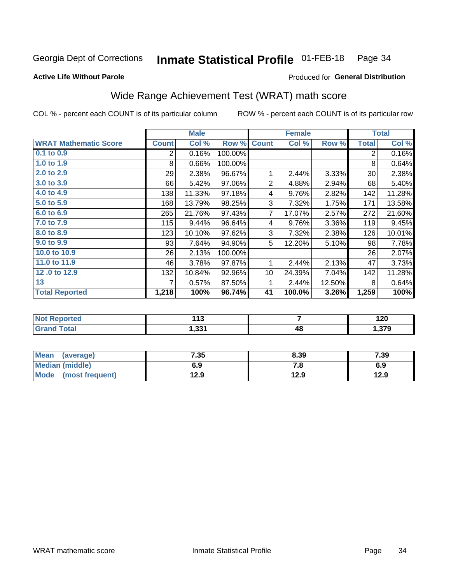#### **Inmate Statistical Profile 01-FEB-18** Page 34

#### **Active Life Without Parole**

### Produced for General Distribution

# Wide Range Achievement Test (WRAT) math score

COL % - percent each COUNT is of its particular column

ROW % - percent each COUNT is of its particular row

 $\overline{48}$ 

|                              |              | <b>Male</b> |         |                | <b>Female</b> |        |              | <b>Total</b> |
|------------------------------|--------------|-------------|---------|----------------|---------------|--------|--------------|--------------|
| <b>WRAT Mathematic Score</b> | <b>Count</b> | Col %       | Row %   | <b>Count</b>   | Col %         | Row %  | <b>Total</b> | Col %        |
| 0.1 to 0.9                   | 2            | 0.16%       | 100.00% |                |               |        | 2            | 0.16%        |
| 1.0 to 1.9                   | 8            | 0.66%       | 100.00% |                |               |        | 8            | 0.64%        |
| 2.0 to 2.9                   | 29           | 2.38%       | 96.67%  | 1              | 2.44%         | 3.33%  | 30           | 2.38%        |
| 3.0 to 3.9                   | 66           | 5.42%       | 97.06%  | $\overline{2}$ | 4.88%         | 2.94%  | 68           | 5.40%        |
| 4.0 to 4.9                   | 138          | 11.33%      | 97.18%  | 4              | 9.76%         | 2.82%  | 142          | 11.28%       |
| 5.0 to 5.9                   | 168          | 13.79%      | 98.25%  | 3              | 7.32%         | 1.75%  | 171          | 13.58%       |
| 6.0 to 6.9                   | 265          | 21.76%      | 97.43%  | 7              | 17.07%        | 2.57%  | 272          | 21.60%       |
| 7.0 to 7.9                   | 115          | 9.44%       | 96.64%  | 4              | 9.76%         | 3.36%  | 119          | 9.45%        |
| 8.0 to 8.9                   | 123          | 10.10%      | 97.62%  | 3              | 7.32%         | 2.38%  | 126          | 10.01%       |
| 9.0 to 9.9                   | 93           | 7.64%       | 94.90%  | 5              | 12.20%        | 5.10%  | 98           | 7.78%        |
| 10.0 to 10.9                 | 26           | 2.13%       | 100.00% |                |               |        | 26           | 2.07%        |
| 11.0 to 11.9                 | 46           | 3.78%       | 97.87%  | 1              | 2.44%         | 2.13%  | 47           | 3.73%        |
| 12.0 to 12.9                 | 132          | 10.84%      | 92.96%  | 10             | 24.39%        | 7.04%  | 142          | 11.28%       |
| 13                           | 7            | 0.57%       | 87.50%  | 1              | 2.44%         | 12.50% | 8            | 0.64%        |
| <b>Total Reported</b>        | 1,218        | 100%        | 96.74%  | 41             | 100.0%        | 3.26%  | 1,259        | 100%         |
|                              |              |             |         |                |               |        |              |              |
| <b>Not Reported</b>          |              | 113         |         |                | 7             |        |              | 120          |

| Mean<br>(average)       | 7.35 | 8.39 | 7.39 |
|-------------------------|------|------|------|
| <b>Median (middle)</b>  | 6.9  | ه. ا | 6.9  |
| Mode<br>(most frequent) | 12.9 | 12.9 | 12.9 |

 $1,331$ 

**Grand Total** 

1,379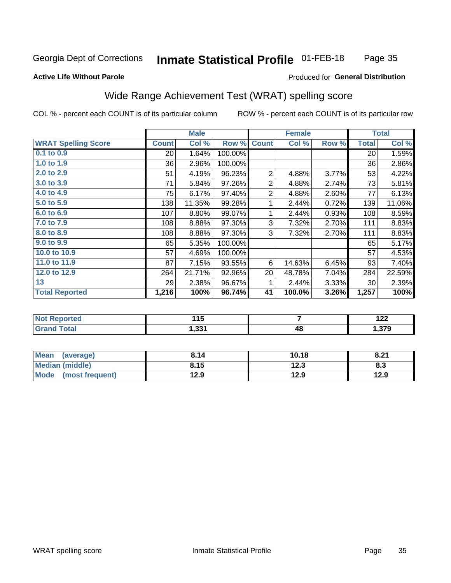#### **Inmate Statistical Profile 01-FEB-18** Page 35

#### **Active Life Without Parole**

#### Produced for General Distribution

# Wide Range Achievement Test (WRAT) spelling score

COL % - percent each COUNT is of its particular column

|                            |              | <b>Male</b> |         |                | <b>Female</b>  |       |              | <b>Total</b> |
|----------------------------|--------------|-------------|---------|----------------|----------------|-------|--------------|--------------|
| <b>WRAT Spelling Score</b> | <b>Count</b> | Col %       | Row %   | <b>Count</b>   | Col %          | Row % | <b>Total</b> | Col %        |
| 0.1 to 0.9                 | 20           | 1.64%       | 100.00% |                |                |       | 20           | 1.59%        |
| 1.0 to 1.9                 | 36           | 2.96%       | 100.00% |                |                |       | 36           | 2.86%        |
| 2.0 to 2.9                 | 51           | 4.19%       | 96.23%  | $\overline{2}$ | 4.88%          | 3.77% | 53           | 4.22%        |
| 3.0 to 3.9                 | 71           | 5.84%       | 97.26%  | $\overline{c}$ | 4.88%          | 2.74% | 73           | 5.81%        |
| 4.0 to 4.9                 | 75           | 6.17%       | 97.40%  | $\overline{2}$ | 4.88%          | 2.60% | 77           | 6.13%        |
| 5.0 to 5.9                 | 138          | 11.35%      | 99.28%  | 1              | 2.44%          | 0.72% | 139          | 11.06%       |
| 6.0 to 6.9                 | 107          | 8.80%       | 99.07%  | 1              | 2.44%          | 0.93% | 108          | 8.59%        |
| 7.0 to 7.9                 | 108          | 8.88%       | 97.30%  | 3              | 7.32%          | 2.70% | 111          | 8.83%        |
| 8.0 to 8.9                 | 108          | 8.88%       | 97.30%  | 3              | 7.32%          | 2.70% | 111          | 8.83%        |
| 9.0 to 9.9                 | 65           | 5.35%       | 100.00% |                |                |       | 65           | 5.17%        |
| 10.0 to 10.9               | 57           | 4.69%       | 100.00% |                |                |       | 57           | 4.53%        |
| 11.0 to 11.9               | 87           | 7.15%       | 93.55%  | 6              | 14.63%         | 6.45% | 93           | 7.40%        |
| 12.0 to 12.9               | 264          | 21.71%      | 92.96%  | 20             | 48.78%         | 7.04% | 284          | 22.59%       |
| 13                         | 29           | 2.38%       | 96.67%  | 1              | 2.44%          | 3.33% | 30           | 2.39%        |
| <b>Total Reported</b>      | 1,216        | 100%        | 96.74%  | 41             | 100.0%         | 3.26% | 1,257        | 100%         |
|                            |              |             |         |                |                |       |              |              |
| <b>Not Reported</b>        |              | 115         |         |                | $\overline{7}$ |       |              | 122          |
| <b>Grand Total</b>         |              | 1,331       |         |                | 48             |       |              | 1,379        |
|                            |              |             |         |                |                |       |              |              |
| $M = m \times L = 1$       |              | 0.44        |         |                | 10.10          |       |              | 0.24         |

| Mean (average)         | 8.14 | 10.18 | 8.21 |
|------------------------|------|-------|------|
| <b>Median (middle)</b> | 8.15 | 12.3  | 8.3  |
| Mode (most frequent)   | 12.9 | 12.9  | 12.9 |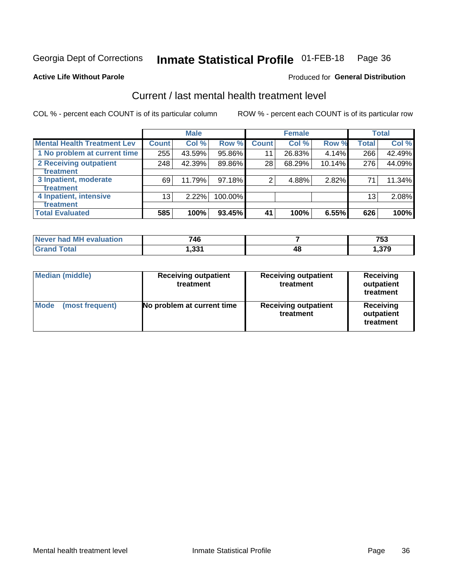#### **Inmate Statistical Profile 01-FEB-18** Page 36

#### **Active Life Without Parole**

### **Produced for General Distribution**

# Current / last mental health treatment level

COL % - percent each COUNT is of its particular column

|                                    |              | <b>Male</b> |           |                    | <b>Female</b> |        |                 | <b>Total</b> |
|------------------------------------|--------------|-------------|-----------|--------------------|---------------|--------|-----------------|--------------|
| <b>Mental Health Treatment Lev</b> | <b>Count</b> | Col %       | Row %     | Count <sup>1</sup> | Col%          | Row %  | <b>Total</b>    | Col %        |
| 1 No problem at current time       | 255          | 43.59%      | 95.86%    | 11                 | 26.83%        | 4.14%  | 266             | 42.49%       |
| 2 Receiving outpatient             | 248          | 42.39%      | 89.86%    | 28                 | 68.29%        | 10.14% | 276             | 44.09%       |
| <b>Treatment</b>                   |              |             |           |                    |               |        |                 |              |
| 3 Inpatient, moderate              | 69           | 11.79%      | $97.18\%$ | 2                  | 4.88%         | 2.82%  | 71              | 11.34%       |
| <b>Treatment</b>                   |              |             |           |                    |               |        |                 |              |
| 4 Inpatient, intensive             | 13           | $2.22\%$    | 100.00%   |                    |               |        | 13 <sub>1</sub> | 2.08%        |
| Treatment                          |              |             |           |                    |               |        |                 |              |
| <b>Total Evaluated</b>             | 585          | 100%        | 93.45%    | 41                 | 100%          | 6.55%  | 626             | 100%         |

| Never had MH evaluation | 746               |    | 753    |
|-------------------------|-------------------|----|--------|
| <b>Total</b>            | بە 10.<br>ا دد. ا | 4۵ | .379.، |

| <b>Median (middle)</b>         | <b>Receiving outpatient</b><br>treatment | <b>Receiving outpatient</b><br>treatment | <b>Receiving</b><br>outpatient<br>treatment |
|--------------------------------|------------------------------------------|------------------------------------------|---------------------------------------------|
| <b>Mode</b><br>(most frequent) | No problem at current time               | <b>Receiving outpatient</b><br>treatment | Receiving<br>outpatient<br>treatment        |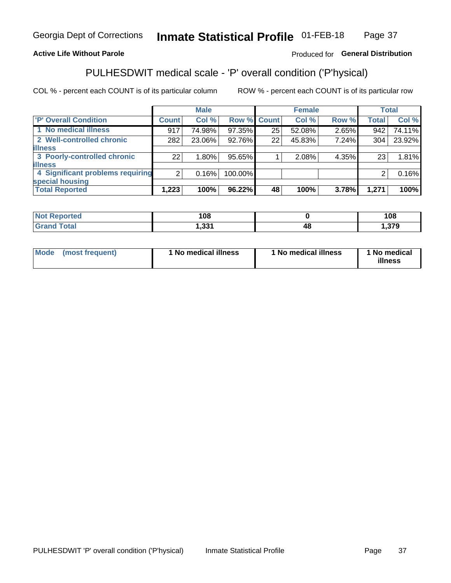#### Inmate Statistical Profile 01-FEB-18 Page 37

### **Active Life Without Parole**

### Produced for General Distribution

# PULHESDWIT medical scale - 'P' overall condition ('P'hysical)

COL % - percent each COUNT is of its particular column

|                                  |                | <b>Male</b> |             |    | <b>Female</b> |       |              | <b>Total</b> |
|----------------------------------|----------------|-------------|-------------|----|---------------|-------|--------------|--------------|
| 'P' Overall Condition            | <b>Count</b>   | Col %       | Row % Count |    | Col %         | Row % | <b>Total</b> | Col %        |
| 1 No medical illness             | 917            | 74.98%      | 97.35%      | 25 | 52.08%        | 2.65% | 942          | 74.11%       |
| 2 Well-controlled chronic        | 282            | 23.06%      | 92.76%      | 22 | 45.83%        | 7.24% | 304          | 23.92%       |
| <b>illness</b>                   |                |             |             |    |               |       |              |              |
| 3 Poorly-controlled chronic      | 22             | 1.80%       | 95.65%      |    | 2.08%         | 4.35% | 23           | 1.81%        |
| <b>illness</b>                   |                |             |             |    |               |       |              |              |
| 4 Significant problems requiring | 2 <sub>1</sub> | 0.16%       | 100.00%     |    |               |       | 2            | 0.16%        |
| special housing                  |                |             |             |    |               |       |              |              |
| <b>Total Reported</b>            | 1,223          | 100%        | 96.22%      | 48 | 100%          | 3.78% | 1,271        | 100%         |

| ៱៱៱<br>l V.C |    | 108       |
|--------------|----|-----------|
| 224<br>,JJ   | 48 | 0.70<br>. |

| <b>Mode</b> | (most frequent) | 1 No medical illness | 1 No medical illness | 1 No medical<br>illness |
|-------------|-----------------|----------------------|----------------------|-------------------------|
|-------------|-----------------|----------------------|----------------------|-------------------------|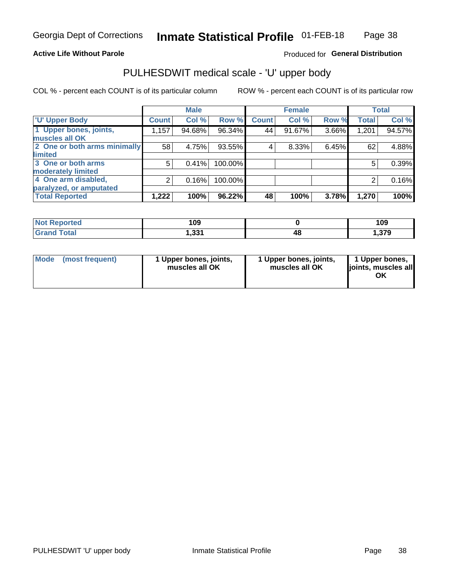### **Active Life Without Parole**

### Produced for General Distribution

# PULHESDWIT medical scale - 'U' upper body

COL % - percent each COUNT is of its particular column

|                              |              | <b>Male</b> |         |              | <b>Female</b> |       |              | <b>Total</b> |
|------------------------------|--------------|-------------|---------|--------------|---------------|-------|--------------|--------------|
| <b>'U' Upper Body</b>        | <b>Count</b> | Col %       | Row %   | <b>Count</b> | Col %         | Row % | <b>Total</b> | Col %        |
| 1 Upper bones, joints,       | 1,157        | 94.68%      | 96.34%  | 44           | 91.67%        | 3.66% | 1,201        | 94.57%       |
| muscles all OK               |              |             |         |              |               |       |              |              |
| 2 One or both arms minimally | 58           | 4.75%       | 93.55%  | 4            | 8.33%         | 6.45% | 62           | 4.88%        |
| limited                      |              |             |         |              |               |       |              |              |
| 3 One or both arms           | 5            | 0.41%       | 100.00% |              |               |       | 5            | 0.39%        |
| <b>moderately limited</b>    |              |             |         |              |               |       |              |              |
| 4 One arm disabled,          | 2            | 0.16%       | 100.00% |              |               |       | 2            | 0.16%        |
| paralyzed, or amputated      |              |             |         |              |               |       |              |              |
| <b>Total Reported</b>        | 1,222        | 100%        | 96.22%  | 48           | 100%          | 3.78% | 1,270        | 100%         |

| <b>Not Reported</b> | 109            |    | 109    |
|---------------------|----------------|----|--------|
| <b>Total</b>        | 500 -<br>ו טט, | 4٤ | .379.ء |

| Mode | (most frequent) | 1 Upper bones, joints,<br>muscles all OK | 1 Upper bones, joints,<br>muscles all OK | 1 Upper bones,<br>ljoints, muscles all<br>OK |
|------|-----------------|------------------------------------------|------------------------------------------|----------------------------------------------|
|------|-----------------|------------------------------------------|------------------------------------------|----------------------------------------------|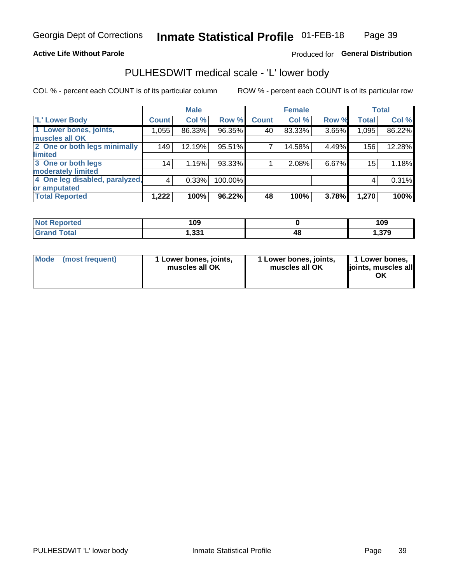### **Active Life Without Parole**

### Produced for General Distribution

# PULHESDWIT medical scale - 'L' lower body

COL % - percent each COUNT is of its particular column

|                                |                 | <b>Male</b> |           |              | <b>Female</b> |       |                 | <b>Total</b> |
|--------------------------------|-----------------|-------------|-----------|--------------|---------------|-------|-----------------|--------------|
| 'L' Lower Body                 | <b>Count</b>    | Col %       | Row %     | <b>Count</b> | Col %         | Row % | <b>Total</b>    | Col %        |
| 1 Lower bones, joints,         | 1,055           | 86.33%      | $96.35\%$ | 40           | 83.33%        | 3.65% | 1,095           | 86.22%       |
| muscles all OK                 |                 |             |           |              |               |       |                 |              |
| 2 One or both legs minimally   | 149             | 12.19%      | 95.51%    | 7            | 14.58%        | 4.49% | 156             | 12.28%       |
| limited                        |                 |             |           |              |               |       |                 |              |
| 3 One or both legs             | 14 <sub>1</sub> | 1.15%       | 93.33%    |              | 2.08%         | 6.67% | 15 <sub>1</sub> | 1.18%        |
| moderately limited             |                 |             |           |              |               |       |                 |              |
| 4 One leg disabled, paralyzed, | 4               | 0.33%       | 100.00%   |              |               |       | 4               | 0.31%        |
| or amputated                   |                 |             |           |              |               |       |                 |              |
| <b>Total Reported</b>          | 1,222           | 100%        | 96.22%    | 48           | 100%          | 3.78% | 1,270           | 100%         |

| <b>Not Reported</b> | 109            |    | 109          |
|---------------------|----------------|----|--------------|
| <b>Grand Total</b>  | 221<br>ا دد, ا | 4٤ | 270<br>ט וכו |

|  | Mode (most frequent) | 1 Lower bones, joints,<br>muscles all OK | 1 Lower bones, joints,<br>muscles all OK | 1 Lower bones,<br>ljoints, muscles all<br>OK |
|--|----------------------|------------------------------------------|------------------------------------------|----------------------------------------------|
|--|----------------------|------------------------------------------|------------------------------------------|----------------------------------------------|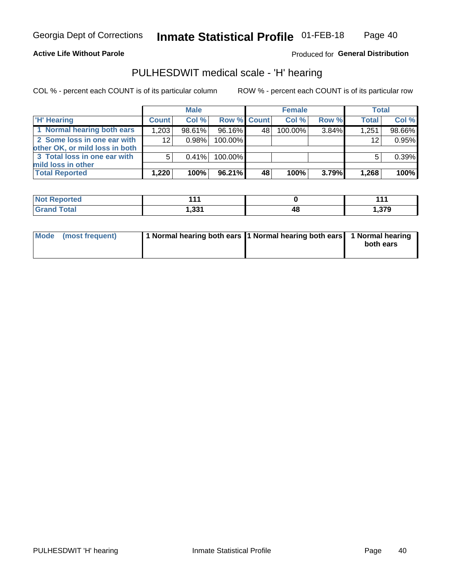### **Active Life Without Parole**

Produced for General Distribution

# PULHESDWIT medical scale - 'H' hearing

COL % - percent each COUNT is of its particular column

|                                                               |              | <b>Male</b> |             |    | <b>Female</b> |       | <b>Total</b> |        |
|---------------------------------------------------------------|--------------|-------------|-------------|----|---------------|-------|--------------|--------|
| <b>H' Hearing</b>                                             | <b>Count</b> | Col %       | Row % Count |    | Col%          | Row % | <b>Total</b> | Col %  |
| 1 Normal hearing both ears                                    | 1,203        | 98.61%      | 96.16%      | 48 | 100.00%       | 3.84% | 1,251        | 98.66% |
| 2 Some loss in one ear with<br>other OK, or mild loss in both | 12           | 0.98%       | 100.00%     |    |               |       | 12           | 0.95%  |
| 3 Total loss in one ear with<br>mild loss in other            | 5            | $0.41\%$    | 100.00%     |    |               |       | 5            | 0.39%  |
| <b>Total Reported</b>                                         | 1,220        | 100%        | 96.21%      | 48 | 100%          | 3.79% | 1,268        | 100%   |

| Reported     | .          |    | 447   |
|--------------|------------|----|-------|
| <b>NOT</b>   |            |    |       |
| <b>Total</b> | ີ<br>ו טטו | 4۵ | 1,379 |

| Mode (most frequent) | 1 Normal hearing both ears 1 Normal hearing both ears 1 Normal hearing | both ears |
|----------------------|------------------------------------------------------------------------|-----------|
|----------------------|------------------------------------------------------------------------|-----------|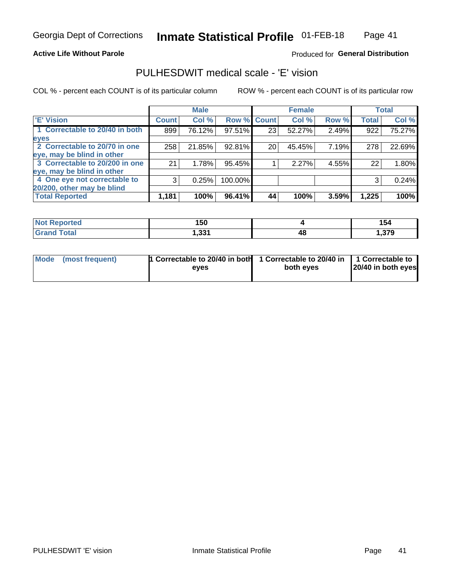### **Active Life Without Parole**

### Produced for General Distribution

# PULHESDWIT medical scale - 'E' vision

COL % - percent each COUNT is of its particular column

|                                |              | <b>Male</b> |             |    | <b>Female</b> |       |              | <b>Total</b> |
|--------------------------------|--------------|-------------|-------------|----|---------------|-------|--------------|--------------|
| <b>E' Vision</b>               | <b>Count</b> | Col %       | Row % Count |    | Col %         | Row % | <b>Total</b> | Col %        |
| 1 Correctable to 20/40 in both | 899          | 76.12%      | 97.51%      | 23 | 52.27%        | 2.49% | 922          | 75.27%       |
| eyes                           |              |             |             |    |               |       |              |              |
| 2 Correctable to 20/70 in one  | 258          | 21.85%      | 92.81%      | 20 | 45.45%        | 7.19% | 278          | 22.69%       |
| eye, may be blind in other     |              |             |             |    |               |       |              |              |
| 3 Correctable to 20/200 in one | 21           | 1.78%       | 95.45%      |    | 2.27%         | 4.55% | 22           | 1.80%        |
| eye, may be blind in other     |              |             |             |    |               |       |              |              |
| 4 One eye not correctable to   | 3            | 0.25%       | 100.00%     |    |               |       | 3            | 0.24%        |
| 20/200, other may be blind     |              |             |             |    |               |       |              |              |
| <b>Total Reported</b>          | 1,181        | 100%        | 96.41%      | 44 | 100%          | 3.59% | 1,225        | 100%         |

| <b>Not Reported</b> | 150              |    | 154  |
|---------------------|------------------|----|------|
| Total               | - 221<br>ו ככ, ו | 48 | -270 |

| Mode (most frequent) | 1 Correctable to 20/40 in both<br>eves | 1 Correctable to 20/40 in   1 Correctable to<br>both eves | 20/40 in both eyes |  |  |
|----------------------|----------------------------------------|-----------------------------------------------------------|--------------------|--|--|
|                      |                                        |                                                           |                    |  |  |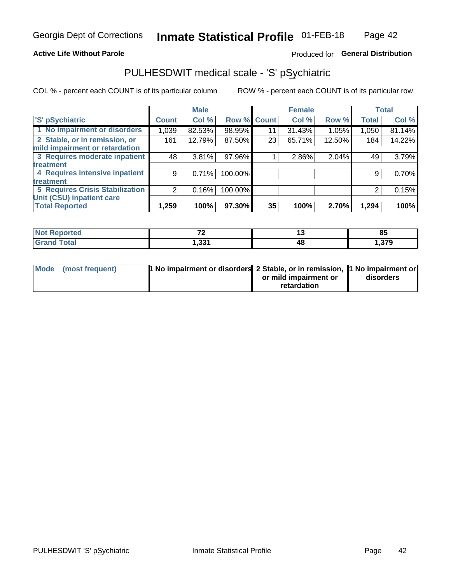### **Active Life Without Parole**

### Produced for General Distribution

# PULHESDWIT medical scale - 'S' pSychiatric

COL % - percent each COUNT is of its particular column

|                                        |              | <b>Male</b> |                    |    | <b>Female</b> |        |              | <b>Total</b> |
|----------------------------------------|--------------|-------------|--------------------|----|---------------|--------|--------------|--------------|
| 'S' pSychiatric                        | <b>Count</b> | Col %       | <b>Row % Count</b> |    | Col %         | Row %  | <b>Total</b> | Col %        |
| 1 No impairment or disorders           | 1,039        | 82.53%      | 98.95%             | 11 | 31.43%        | 1.05%  | 1,050        | 81.14%       |
| 2 Stable, or in remission, or          | 161          | 12.79%      | 87.50%             | 23 | 65.71%        | 12.50% | 184          | 14.22%       |
| mild impairment or retardation         |              |             |                    |    |               |        |              |              |
| 3 Requires moderate inpatient          | 48           | 3.81%       | 97.96%             |    | 2.86%         | 2.04%  | 49           | 3.79%        |
| treatment                              |              |             |                    |    |               |        |              |              |
| 4 Requires intensive inpatient         | 9            | 0.71%       | 100.00%            |    |               |        | 9            | 0.70%        |
| treatment                              |              |             |                    |    |               |        |              |              |
| <b>5 Requires Crisis Stabilization</b> |              | 0.16%       | 100.00%            |    |               |        | 2            | 0.15%        |
| Unit (CSU) inpatient care              |              |             |                    |    |               |        |              |              |
| <b>Total Reported</b>                  | 1,259        | 100%        | 97.30%             | 35 | 100%          | 2.70%  | 1,294        | 100%         |

| <b>Not Reported</b>          | $\rightarrow$    |    | 85    |
|------------------------------|------------------|----|-------|
| <b>Total</b><br><b>Grand</b> | - 221<br>ا دد, ا | 48 | 1,379 |

| Mode (most frequent) | <b>1 No impairment or disorders</b> 2 Stable, or in remission, 11 No impairment or |                       |           |
|----------------------|------------------------------------------------------------------------------------|-----------------------|-----------|
|                      |                                                                                    | or mild impairment or | disorders |
|                      |                                                                                    | retardation           |           |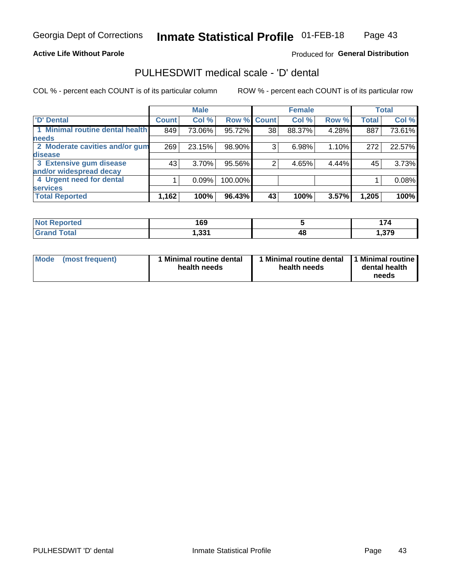### **Active Life Without Parole**

### Produced for General Distribution

# PULHESDWIT medical scale - 'D' dental

COL % - percent each COUNT is of its particular column

|                                 |              | <b>Male</b> |         |              | <b>Female</b> |       |              | <b>Total</b> |
|---------------------------------|--------------|-------------|---------|--------------|---------------|-------|--------------|--------------|
| <b>D'</b> Dental                | <b>Count</b> | Col %       | Row %   | <b>Count</b> | Col %         | Row % | <b>Total</b> | Col %        |
| 1 Minimal routine dental health | 849          | 73.06%      | 95.72%  | 38           | 88.37%        | 4.28% | 887          | 73.61%       |
| <b>needs</b>                    |              |             |         |              |               |       |              |              |
| 2 Moderate cavities and/or gum  | 269          | 23.15%      | 98.90%  | 3            | 6.98%         | 1.10% | 272          | 22.57%       |
| disease                         |              |             |         |              |               |       |              |              |
| 3 Extensive gum disease         | 43           | 3.70%       | 95.56%  |              | 4.65%         | 4.44% | 45           | 3.73%        |
| and/or widespread decay         |              |             |         |              |               |       |              |              |
| 4 Urgent need for dental        |              | 0.09%       | 100.00% |              |               |       |              | 0.08%        |
| <b>services</b>                 |              |             |         |              |               |       |              |              |
| <b>Total Reported</b>           | 1,162        | 100%        | 96.43%  | 43           | 100%          | 3.57% | 1,205        | 100%         |

| <b>Not Reported</b> | 169              |    | - -  |
|---------------------|------------------|----|------|
| Total               | - 221<br>ו ככ, ו | 48 | -270 |

| Mode<br>(most frequent) | <b>Minimal routine dental</b><br>health needs | 1 Minimal routine dental<br>health needs | 1 Minimal routine<br>dental health<br>needs |
|-------------------------|-----------------------------------------------|------------------------------------------|---------------------------------------------|
|-------------------------|-----------------------------------------------|------------------------------------------|---------------------------------------------|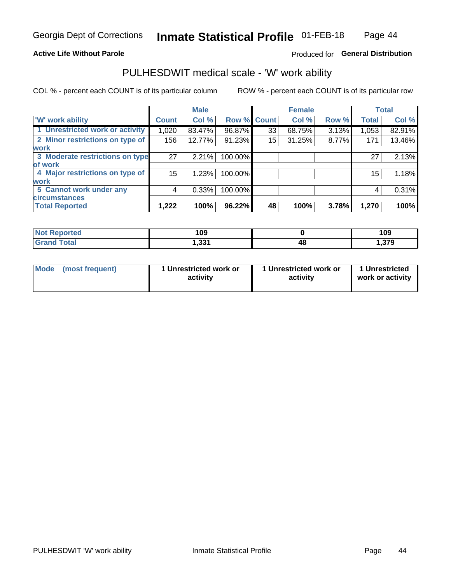### **Active Life Without Parole**

### Produced for General Distribution

### PULHESDWIT medical scale - 'W' work ability

COL % - percent each COUNT is of its particular column

|                                 |              | <b>Male</b> |         |             | <b>Female</b> |       |              | <b>Total</b> |
|---------------------------------|--------------|-------------|---------|-------------|---------------|-------|--------------|--------------|
| <b>W' work ability</b>          | <b>Count</b> | Col %       |         | Row % Count | Col %         | Row % | <b>Total</b> | Col %        |
| 1 Unrestricted work or activity | 1,020        | 83.47%      | 96.87%  | 33          | 68.75%        | 3.13% | 1,053        | 82.91%       |
| 2 Minor restrictions on type of | 156          | 12.77%      | 91.23%  | 15          | 31.25%        | 8.77% | 171          | 13.46%       |
| <b>work</b>                     |              |             |         |             |               |       |              |              |
| 3 Moderate restrictions on type | 27           | 2.21%       | 100.00% |             |               |       | 27           | 2.13%        |
| lof work                        |              |             |         |             |               |       |              |              |
| 4 Major restrictions on type of | 15           | 1.23%       | 100.00% |             |               |       | 15           | 1.18%        |
| <b>work</b>                     |              |             |         |             |               |       |              |              |
| 5 Cannot work under any         | 4            | 0.33%       | 100.00% |             |               |       | 4            | 0.31%        |
| <b>circumstances</b>            |              |             |         |             |               |       |              |              |
| <b>Total Reported</b>           | 1,222        | 100%        | 96.22%  | 48          | 100%          | 3.78% | 1,270        | 100%         |

| <b>Not Reported</b> | 109   |    | 109           |
|---------------------|-------|----|---------------|
| <b>Grand Total</b>  | 331,ا | 40 | 270<br>1.JI J |

| Mode            | 1 Unrestricted work or | 1 Unrestricted work or | 1 Unrestricted   |
|-----------------|------------------------|------------------------|------------------|
| (most frequent) | activity               | activity               | work or activity |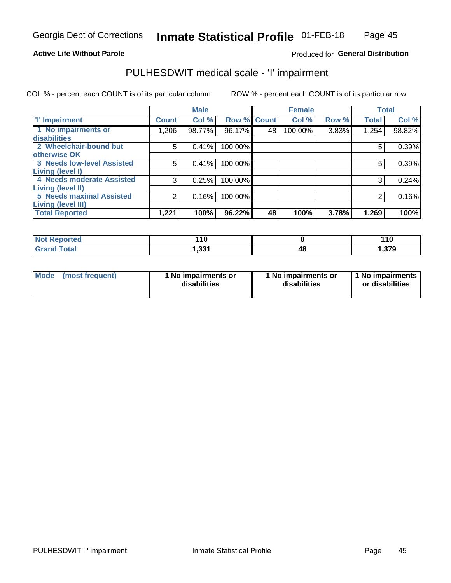### **Active Life Without Parole**

### Produced for General Distribution

# PULHESDWIT medical scale - 'I' impairment

|                                                              |              | <b>Male</b> |                    | <b>Female</b> |         |       | <b>Total</b> |        |
|--------------------------------------------------------------|--------------|-------------|--------------------|---------------|---------|-------|--------------|--------|
| <b>T' Impairment</b>                                         | <b>Count</b> | Col %       | <b>Row % Count</b> |               | Col %   | Row % | <b>Total</b> | Col %  |
| 1 No impairments or<br>disabilities                          | 1,206        | 98.77%      | 96.17%             | 48            | 100.00% | 3.83% | 1,254        | 98.82% |
| 2 Wheelchair-bound but                                       | 5            | 0.41%       | 100.00%            |               |         |       | 5            | 0.39%  |
| otherwise OK<br><b>3 Needs low-level Assisted</b>            | 5            | 0.41%       | 100.00%            |               |         |       | 5            | 0.39%  |
| Living (level I)<br>4 Needs moderate Assisted                | 3            | 0.25%       | 100.00%            |               |         |       |              | 0.24%  |
| <b>Living (level II)</b>                                     |              |             |                    |               |         |       |              |        |
| <b>5 Needs maximal Assisted</b><br><b>Living (level III)</b> | 2            | 0.16%       | 100.00%            |               |         |       |              | 0.16%  |
| <b>Total Reported</b>                                        | 1,221        | 100%        | 96.22%             | 48            | 100%    | 3.78% | 1,269        | 100%   |

| Reported     | 110   | 110   |
|--------------|-------|-------|
| <b>Total</b> | 331.ا | 1,379 |

| <b>Mode</b> | (most frequent) | <b>No impairments or</b><br>disabilities | 1 No impairments or<br>disabilities | 1 No impairments<br>or disabilities |
|-------------|-----------------|------------------------------------------|-------------------------------------|-------------------------------------|
|-------------|-----------------|------------------------------------------|-------------------------------------|-------------------------------------|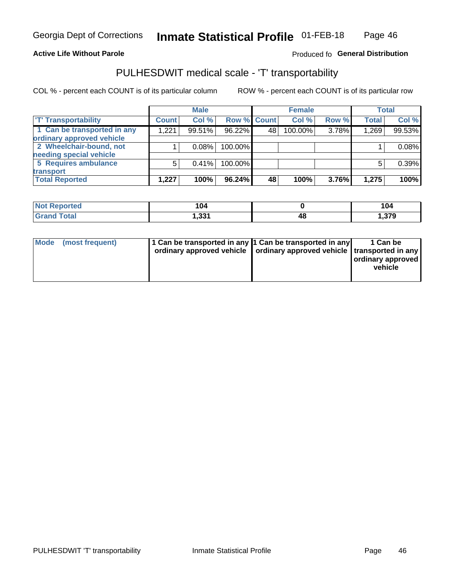### **Active Life Without Parole**

### Produced fo General Distribution

# PULHESDWIT medical scale - 'T' transportability

COL % - percent each COUNT is of its particular column

|                             |              | <b>Male</b> |             |    | <b>Female</b> |       |              | <b>Total</b> |
|-----------------------------|--------------|-------------|-------------|----|---------------|-------|--------------|--------------|
| <b>TT Transportability</b>  | <b>Count</b> | Col %       | Row % Count |    | Col %         | Row % | <b>Total</b> | Col %        |
| 1 Can be transported in any | 1,221        | 99.51%      | 96.22%      | 48 | 100.00%       | 3.78% | 1,269        | 99.53%       |
| ordinary approved vehicle   |              |             |             |    |               |       |              |              |
| 2 Wheelchair-bound, not     |              | 0.08%       | 100.00%     |    |               |       |              | 0.08%        |
| needing special vehicle     |              |             |             |    |               |       |              |              |
| 5 Requires ambulance        | 5            | 0.41%       | 100.00%     |    |               |       |              | 0.39%        |
| transport                   |              |             |             |    |               |       |              |              |
| <b>Total Reported</b>       | 1,227        | 100%        | $96.24\%$   | 48 | 100%          | 3.76% | 1,275        | 100%         |

| <b>eported</b> | 104   |    | 104   |
|----------------|-------|----|-------|
| <b>Total</b>   | 1,331 | 4Ł | 1,379 |

| Mode (most frequent) | 1 Can be transported in any 1 Can be transported in any | ordinary approved vehicle   ordinary approved vehicle   transported in any | 1 Can be<br>ordinary approved<br>vehicle |
|----------------------|---------------------------------------------------------|----------------------------------------------------------------------------|------------------------------------------|
|                      |                                                         |                                                                            |                                          |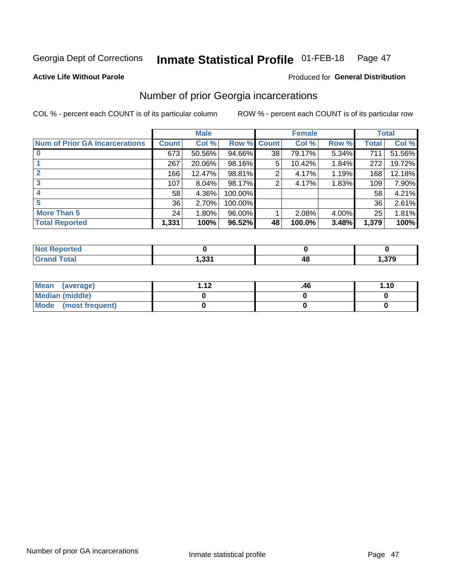#### Inmate Statistical Profile 01-FEB-18 Page 47

#### **Active Life Without Parole**

### Produced for General Distribution

# Number of prior Georgia incarcerations

COL % - percent each COUNT is of its particular column

|                                       |       | <b>Male</b> |             |    | <b>Female</b> | <b>Total</b> |       |        |
|---------------------------------------|-------|-------------|-------------|----|---------------|--------------|-------|--------|
| <b>Num of Prior GA Incarcerations</b> | Count | Col %       | Row % Count |    | Col %         | Row %        | Total | Col %  |
| $\bf{0}$                              | 673   | 50.56%      | 94.66%      | 38 | 79.17%        | 5.34%        | 711   | 51.56% |
|                                       | 267   | 20.06%      | 98.16%      | 5  | 10.42%        | 1.84%        | 272   | 19.72% |
|                                       | 166   | 12.47%      | 98.81%      | 2  | 4.17%         | 1.19%        | 168   | 12.18% |
| 3                                     | 107   | 8.04%       | 98.17%      | 2  | 4.17%         | 1.83%        | 109   | 7.90%  |
| 4                                     | 58    | 4.36%       | 100.00%     |    |               |              | 58    | 4.21%  |
| 5                                     | 36    | 2.70%       | 100.00%     |    |               |              | 36    | 2.61%  |
| <b>More Than 5</b>                    | 24    | 1.80%       | $96.00\%$   |    | 2.08%         | 4.00%        | 25    | 1.81%  |
| <b>Total Reported</b>                 | 1,331 | 100%        | 96.52%      | 48 | 100.0%        | 3.48%        | 1,379 | 100%   |

| eported<br>n Nov<br>$\sim$ |     |    |      |
|----------------------------|-----|----|------|
| <b>Total</b>               | 224 | 48 | ,379 |

| Mean (average)       | - 42 | .46 | 1.10 |
|----------------------|------|-----|------|
| Median (middle)      |      |     |      |
| Mode (most frequent) |      |     |      |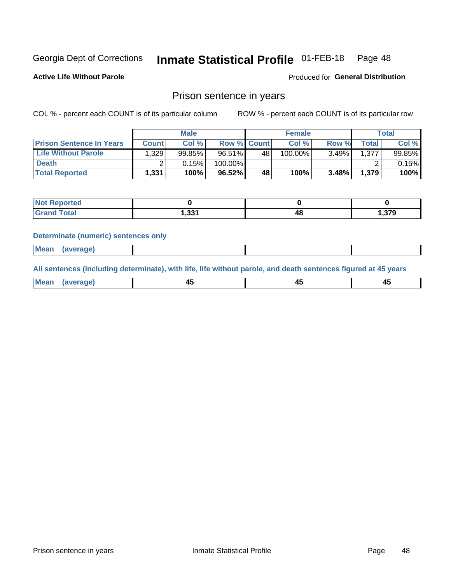#### Inmate Statistical Profile 01-FEB-18 Page 48

**Active Life Without Parole** 

Produced for General Distribution

### Prison sentence in years

COL % - percent each COUNT is of its particular column

ROW % - percent each COUNT is of its particular row

|                                 | <b>Male</b>  |        |                    | <b>Female</b> |         |       | $\tau$ otal  |           |
|---------------------------------|--------------|--------|--------------------|---------------|---------|-------|--------------|-----------|
| <b>Prison Sentence In Years</b> | <b>Count</b> | Col %  | <b>Row % Count</b> |               | Col %   | Row % | <b>Total</b> | Col %     |
| <b>Life Without Parole</b>      | 1.329        | 99.85% | 96.51%             | 48            | 100.00% | 3.49% | 1.377        | $99.85\%$ |
| <b>Death</b>                    |              | 0.15%  | 100.00%            |               |         |       |              | $0.15\%$  |
| <b>Total Reported</b>           | 1.331        | 100%   | 96.52%             | 48            | 100%    | 3.48% | 1.379        | 100%      |

| ported<br><b>NOT</b> |       |           |        |
|----------------------|-------|-----------|--------|
| <b>Total</b>         | 1,331 | ,,,<br>-- | 379. ا |

#### **Determinate (numeric) sentences only**

| ' Mea<br><b>Service</b> A<br>ЯМА. |  |  |  |
|-----------------------------------|--|--|--|
|                                   |  |  |  |

All sentences (including determinate), with life, life without parole, and death sentences figured at 45 years

| l Mea<br>חר<br> | ᠇៶<br>$\sim$ | $\sim$ | ╌ |
|-----------------|--------------|--------|---|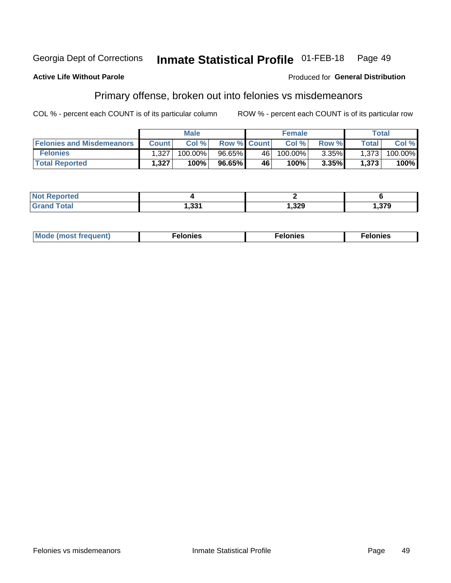#### Inmate Statistical Profile 01-FEB-18 Georgia Dept of Corrections Page 49

#### **Active Life Without Parole**

#### Produced for General Distribution

# Primary offense, broken out into felonies vs misdemeanors

COL % - percent each COUNT is of its particular column

|                                  |              | <b>Male</b> |                    |      | <b>Female</b> |       |                    | Total   |
|----------------------------------|--------------|-------------|--------------------|------|---------------|-------|--------------------|---------|
| <b>Felonies and Misdemeanors</b> | <b>Count</b> | Col%        | <b>Row % Count</b> |      | Col%          | Row % | Total <sub>1</sub> | Col %   |
| <b>Felonies</b>                  | 1,327        | 100.00%     | 96.65%             | 46 l | 100.00%       | 3.35% | 1,373              | 100.00% |
| <b>Total Reported</b>            | ,327         | $100\%$     | 96.65%             | 46   | 100%          | 3.35% | 1,373              | 100%    |

| <b>Not Reported</b>          |               |       |        |
|------------------------------|---------------|-------|--------|
| <b>Total</b><br><b>Grand</b> | 224<br>. CC I | 1,329 | 379, ا |

| <b>Mode</b><br>frequent)<br>nies<br>≧ (most tr.<br>. | onies<br>. | lonies<br>ею<br>____ |
|------------------------------------------------------|------------|----------------------|
|------------------------------------------------------|------------|----------------------|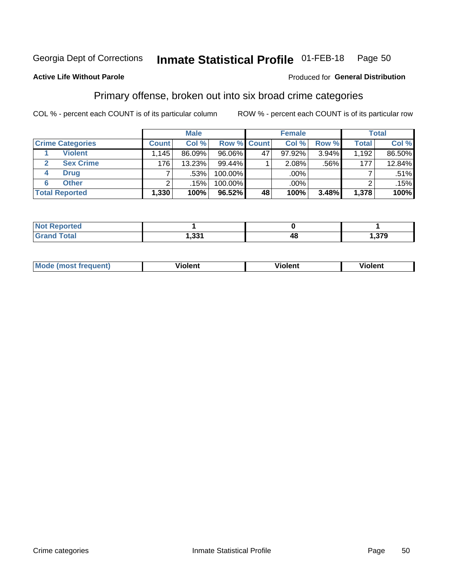#### **Inmate Statistical Profile 01-FEB-18** Page 50

### **Active Life Without Parole**

#### Produced for General Distribution

# Primary offense, broken out into six broad crime categories

COL % - percent each COUNT is of its particular column

|                         |                     | <b>Male</b> |           |             | <b>Female</b> |       |              | <b>Total</b> |
|-------------------------|---------------------|-------------|-----------|-------------|---------------|-------|--------------|--------------|
| <b>Crime Categories</b> | <b>Count</b>        | Col %       |           | Row % Count | Col %         | Row % | <b>Total</b> | Col %        |
| <b>Violent</b>          | $.145$ <sup>1</sup> | 86.09%      | 96.06%    | 47          | $97.92\%$     | 3.94% | 1,192        | 86.50%       |
| <b>Sex Crime</b>        | 176                 | 13.23%      | 99.44%    |             | 2.08%         | .56%  | 177          | 12.84%       |
| <b>Drug</b><br>4        |                     | .53%        | 100.00%   |             | .00%          |       |              | $.51\%$      |
| <b>Other</b><br>6       | ົ                   | .15%        | 100.00%   |             | .00%          |       |              | .15%         |
| <b>Total Reported</b>   | 1,330               | 100%        | $96.52\%$ | 48          | 100%          | 3.48% | 1,378        | 100%         |

| <b>Not Reported</b> |            |    |       |
|---------------------|------------|----|-------|
| $T0+0'$             | <b>موم</b> | 4C | 1,379 |

| Mode (most frequent) | <br>∕iolent | Violent | Violent |
|----------------------|-------------|---------|---------|
|                      |             |         |         |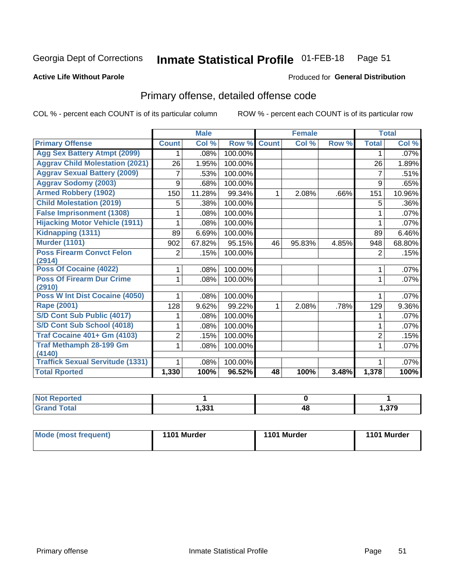#### **Inmate Statistical Profile 01-FEB-18** Page 51

#### **Active Life Without Parole**

#### Produced for General Distribution

# Primary offense, detailed offense code

COL % - percent each COUNT is of its particular column

|                                            |                | <b>Male</b>                |         |              | <b>Female</b> |       |                | <b>Total</b> |
|--------------------------------------------|----------------|----------------------------|---------|--------------|---------------|-------|----------------|--------------|
| <b>Primary Offense</b>                     | <b>Count</b>   | $\overline{\text{Col }^9}$ | Row %   | <b>Count</b> | Col %         | Row % | <b>Total</b>   | Col %        |
| <b>Agg Sex Battery Atmpt (2099)</b>        |                | .08%                       | 100.00% |              |               |       | 1              | $.07\%$      |
| <b>Aggrav Child Molestation (2021)</b>     | 26             | 1.95%                      | 100.00% |              |               |       | 26             | 1.89%        |
| <b>Aggrav Sexual Battery (2009)</b>        | 7              | .53%                       | 100.00% |              |               |       | 7              | .51%         |
| <b>Aggrav Sodomy (2003)</b>                | 9              | .68%                       | 100.00% |              |               |       | 9              | .65%         |
| <b>Armed Robbery (1902)</b>                | 150            | 11.28%                     | 99.34%  | 1            | 2.08%         | .66%  | 151            | 10.96%       |
| <b>Child Molestation (2019)</b>            | 5              | .38%                       | 100.00% |              |               |       | 5              | .36%         |
| <b>False Imprisonment (1308)</b>           |                | .08%                       | 100.00% |              |               |       |                | .07%         |
| <b>Hijacking Motor Vehicle (1911)</b>      |                | .08%                       | 100.00% |              |               |       |                | .07%         |
| Kidnapping (1311)                          | 89             | 6.69%                      | 100.00% |              |               |       | 89             | 6.46%        |
| <b>Murder (1101)</b>                       | 902            | 67.82%                     | 95.15%  | 46           | 95.83%        | 4.85% | 948            | 68.80%       |
| <b>Poss Firearm Convct Felon</b>           | 2              | .15%                       | 100.00% |              |               |       | $\overline{2}$ | .15%         |
| (2914)                                     |                |                            |         |              |               |       |                |              |
| Poss Of Cocaine (4022)                     |                | .08%                       | 100.00% |              |               |       | 1              | .07%         |
| <b>Poss Of Firearm Dur Crime</b><br>(2910) | 1              | .08%                       | 100.00% |              |               |       | 1              | .07%         |
| Poss W Int Dist Cocaine (4050)             |                | .08%                       | 100.00% |              |               |       |                | .07%         |
| Rape (2001)                                | 128            | 9.62%                      | 99.22%  |              | 2.08%         | .78%  | 129            | 9.36%        |
| S/D Cont Sub Public (4017)                 |                | .08%                       | 100.00% |              |               |       |                | .07%         |
| S/D Cont Sub School (4018)                 |                | .08%                       | 100.00% |              |               |       | 1              | .07%         |
| <b>Traf Cocaine 401+ Gm (4103)</b>         | $\overline{2}$ | .15%                       | 100.00% |              |               |       | $\overline{2}$ | .15%         |
| <b>Traf Methamph 28-199 Gm</b>             | 1              | .08%                       | 100.00% |              |               |       | 1              | .07%         |
| (4140)                                     |                |                            |         |              |               |       |                |              |
| <b>Traffick Sexual Servitude (1331)</b>    |                | .08%                       | 100.00% |              |               |       |                | .07%         |
| <b>Total Rported</b>                       | 1,330          | 100%                       | 96.52%  | 48           | 100%          | 3.48% | 1,378          | 100%         |

| чнес |     |    |               |
|------|-----|----|---------------|
|      | .22 | 40 | 270<br>I.JI J |

| Mode (most frequent) | 1101 Murder | 1101 Murder | 1101 Murder |
|----------------------|-------------|-------------|-------------|
|                      |             |             |             |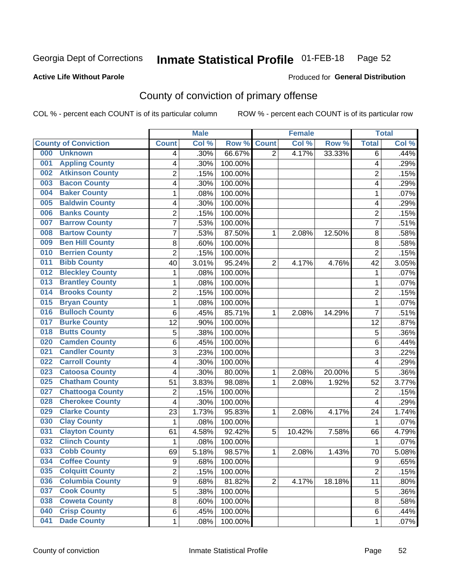#### Inmate Statistical Profile 01-FEB-18 Page 52

### **Active Life Without Parole**

#### Produced for General Distribution

# County of conviction of primary offense

COL % - percent each COUNT is of its particular column

|                                |                | <b>Male</b> |         |                | <b>Female</b> |        |                | <b>Total</b> |
|--------------------------------|----------------|-------------|---------|----------------|---------------|--------|----------------|--------------|
| <b>County of Conviction</b>    | <b>Count</b>   | Col %       | Row %   | <b>Count</b>   | Col %         | Row %  | <b>Total</b>   | Col %        |
| 000<br><b>Unknown</b>          | 4              | .30%        | 66.67%  | $\overline{2}$ | 4.17%         | 33.33% | 6              | .44%         |
| <b>Appling County</b><br>001   | 4              | .30%        | 100.00% |                |               |        | 4              | .29%         |
| <b>Atkinson County</b><br>002  | $\overline{c}$ | .15%        | 100.00% |                |               |        | $\overline{c}$ | .15%         |
| <b>Bacon County</b><br>003     | 4              | .30%        | 100.00% |                |               |        | 4              | .29%         |
| <b>Baker County</b><br>004     | 1              | .08%        | 100.00% |                |               |        | 1              | .07%         |
| <b>Baldwin County</b><br>005   | 4              | .30%        | 100.00% |                |               |        | 4              | .29%         |
| <b>Banks County</b><br>006     | $\overline{c}$ | .15%        | 100.00% |                |               |        | $\overline{2}$ | .15%         |
| <b>Barrow County</b><br>007    | 7              | .53%        | 100.00% |                |               |        | $\overline{7}$ | .51%         |
| <b>Bartow County</b><br>008    | 7              | .53%        | 87.50%  | 1              | 2.08%         | 12.50% | 8              | .58%         |
| <b>Ben Hill County</b><br>009  | 8              | .60%        | 100.00% |                |               |        | 8              | .58%         |
| <b>Berrien County</b><br>010   | $\overline{c}$ | .15%        | 100.00% |                |               |        | $\overline{2}$ | .15%         |
| <b>Bibb County</b><br>011      | 40             | 3.01%       | 95.24%  | $\overline{2}$ | 4.17%         | 4.76%  | 42             | 3.05%        |
| <b>Bleckley County</b><br>012  | 1              | .08%        | 100.00% |                |               |        | 1              | .07%         |
| <b>Brantley County</b><br>013  | 1              | .08%        | 100.00% |                |               |        | 1              | .07%         |
| <b>Brooks County</b><br>014    | $\overline{c}$ | .15%        | 100.00% |                |               |        | $\overline{2}$ | .15%         |
| <b>Bryan County</b><br>015     | 1              | .08%        | 100.00% |                |               |        | 1              | .07%         |
| <b>Bulloch County</b><br>016   | 6              | .45%        | 85.71%  | 1              | 2.08%         | 14.29% | $\overline{7}$ | .51%         |
| <b>Burke County</b><br>017     | 12             | .90%        | 100.00% |                |               |        | 12             | .87%         |
| <b>Butts County</b><br>018     | $\overline{5}$ | .38%        | 100.00% |                |               |        | 5              | .36%         |
| <b>Camden County</b><br>020    | 6              | .45%        | 100.00% |                |               |        | 6              | .44%         |
| <b>Candler County</b><br>021   | 3              | .23%        | 100.00% |                |               |        | 3              | .22%         |
| <b>Carroll County</b><br>022   | 4              | .30%        | 100.00% |                |               |        | 4              | .29%         |
| <b>Catoosa County</b><br>023   | 4              | .30%        | 80.00%  | 1              | 2.08%         | 20.00% | 5              | .36%         |
| <b>Chatham County</b><br>025   | 51             | 3.83%       | 98.08%  | 1              | 2.08%         | 1.92%  | 52             | 3.77%        |
| <b>Chattooga County</b><br>027 | $\overline{2}$ | .15%        | 100.00% |                |               |        | $\overline{2}$ | .15%         |
| <b>Cherokee County</b><br>028  | 4              | .30%        | 100.00% |                |               |        | 4              | .29%         |
| <b>Clarke County</b><br>029    | 23             | 1.73%       | 95.83%  | 1              | 2.08%         | 4.17%  | 24             | 1.74%        |
| <b>Clay County</b><br>030      | 1              | .08%        | 100.00% |                |               |        | 1              | .07%         |
| <b>Clayton County</b><br>031   | 61             | 4.58%       | 92.42%  | 5              | 10.42%        | 7.58%  | 66             | 4.79%        |
| <b>Clinch County</b><br>032    | 1              | .08%        | 100.00% |                |               |        | 1              | .07%         |
| <b>Cobb County</b><br>033      | 69             | 5.18%       | 98.57%  | 1              | 2.08%         | 1.43%  | 70             | 5.08%        |
| 034<br><b>Coffee County</b>    | 9              | .68%        | 100.00% |                |               |        | 9              | .65%         |
| <b>Colquitt County</b><br>035  | $\overline{2}$ | .15%        | 100.00% |                |               |        | $\overline{2}$ | .15%         |
| <b>Columbia County</b><br>036  | 9              | .68%        | 81.82%  | $\overline{2}$ | 4.17%         | 18.18% | 11             | .80%         |
| <b>Cook County</b><br>037      | $\overline{5}$ | .38%        | 100.00% |                |               |        | 5              | .36%         |
| <b>Coweta County</b><br>038    | 8              | .60%        | 100.00% |                |               |        | 8              | .58%         |
| <b>Crisp County</b><br>040     | 6              | .45%        | 100.00% |                |               |        | 6              | .44%         |
| <b>Dade County</b><br>041      | 1              | .08%        | 100.00% |                |               |        | 1              | .07%         |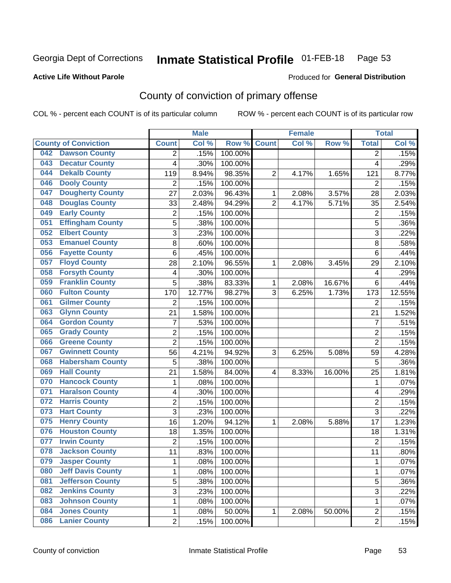#### Inmate Statistical Profile 01-FEB-18 Page 53

### **Active Life Without Parole**

#### Produced for General Distribution

# County of conviction of primary offense

COL % - percent each COUNT is of its particular column

|                                 |                         | <b>Male</b> |         |                | <b>Female</b> |        |                | <b>Total</b> |
|---------------------------------|-------------------------|-------------|---------|----------------|---------------|--------|----------------|--------------|
| <b>County of Conviction</b>     | <b>Count</b>            | Col %       | Row %   | <b>Count</b>   | Col %         | Row %  | <b>Total</b>   | Col %        |
| <b>Dawson County</b><br>042     | 2                       | .15%        | 100.00% |                |               |        | 2              | .15%         |
| <b>Decatur County</b><br>043    | 4                       | .30%        | 100.00% |                |               |        | 4              | .29%         |
| <b>Dekalb County</b><br>044     | 119                     | 8.94%       | 98.35%  | $\overline{2}$ | 4.17%         | 1.65%  | 121            | 8.77%        |
| <b>Dooly County</b><br>046      | $\overline{2}$          | .15%        | 100.00% |                |               |        | 2              | .15%         |
| <b>Dougherty County</b><br>047  | 27                      | 2.03%       | 96.43%  | 1              | 2.08%         | 3.57%  | 28             | 2.03%        |
| <b>Douglas County</b><br>048    | 33                      | 2.48%       | 94.29%  | $\overline{2}$ | 4.17%         | 5.71%  | 35             | 2.54%        |
| <b>Early County</b><br>049      | $\overline{2}$          | .15%        | 100.00% |                |               |        | $\overline{2}$ | .15%         |
| <b>Effingham County</b><br>051  | 5                       | .38%        | 100.00% |                |               |        | 5              | .36%         |
| <b>Elbert County</b><br>052     | 3                       | .23%        | 100.00% |                |               |        | 3              | .22%         |
| <b>Emanuel County</b><br>053    | 8                       | .60%        | 100.00% |                |               |        | 8              | .58%         |
| <b>Fayette County</b><br>056    | 6                       | .45%        | 100.00% |                |               |        | 6              | .44%         |
| <b>Floyd County</b><br>057      | 28                      | 2.10%       | 96.55%  | 1              | 2.08%         | 3.45%  | 29             | 2.10%        |
| <b>Forsyth County</b><br>058    | $\overline{\mathbf{4}}$ | .30%        | 100.00% |                |               |        | 4              | .29%         |
| <b>Franklin County</b><br>059   | 5                       | .38%        | 83.33%  | 1              | 2.08%         | 16.67% | 6              | .44%         |
| <b>Fulton County</b><br>060     | 170                     | 12.77%      | 98.27%  | 3              | 6.25%         | 1.73%  | 173            | 12.55%       |
| <b>Gilmer County</b><br>061     | $\overline{2}$          | .15%        | 100.00% |                |               |        | 2              | .15%         |
| <b>Glynn County</b><br>063      | 21                      | 1.58%       | 100.00% |                |               |        | 21             | 1.52%        |
| <b>Gordon County</b><br>064     | 7                       | .53%        | 100.00% |                |               |        | $\overline{7}$ | .51%         |
| <b>Grady County</b><br>065      | $\overline{2}$          | .15%        | 100.00% |                |               |        | $\overline{2}$ | .15%         |
| <b>Greene County</b><br>066     | $\overline{2}$          | .15%        | 100.00% |                |               |        | $\overline{2}$ | .15%         |
| <b>Gwinnett County</b><br>067   | 56                      | 4.21%       | 94.92%  | 3              | 6.25%         | 5.08%  | 59             | 4.28%        |
| <b>Habersham County</b><br>068  | $\overline{5}$          | .38%        | 100.00% |                |               |        | 5              | .36%         |
| <b>Hall County</b><br>069       | 21                      | 1.58%       | 84.00%  | 4              | 8.33%         | 16.00% | 25             | 1.81%        |
| <b>Hancock County</b><br>070    | 1                       | .08%        | 100.00% |                |               |        | 1              | .07%         |
| <b>Haralson County</b><br>071   | 4                       | .30%        | 100.00% |                |               |        | 4              | .29%         |
| <b>Harris County</b><br>072     | $\overline{c}$          | .15%        | 100.00% |                |               |        | $\overline{2}$ | .15%         |
| <b>Hart County</b><br>073       | $\overline{3}$          | .23%        | 100.00% |                |               |        | $\overline{3}$ | .22%         |
| 075<br><b>Henry County</b>      | 16                      | 1.20%       | 94.12%  | 1              | 2.08%         | 5.88%  | 17             | 1.23%        |
| <b>Houston County</b><br>076    | 18                      | 1.35%       | 100.00% |                |               |        | 18             | 1.31%        |
| <b>Irwin County</b><br>077      | $\overline{2}$          | .15%        | 100.00% |                |               |        | $\overline{2}$ | .15%         |
| <b>Jackson County</b><br>078    | 11                      | .83%        | 100.00% |                |               |        | 11             | .80%         |
| 079<br><b>Jasper County</b>     | 1                       | .08%        | 100.00% |                |               |        | 1              | .07%         |
| <b>Jeff Davis County</b><br>080 | 1                       | .08%        | 100.00% |                |               |        | $\mathbf{1}$   | .07%         |
| <b>Jefferson County</b><br>081  | 5                       | .38%        | 100.00% |                |               |        | 5              | .36%         |
| <b>Jenkins County</b><br>082    | $\overline{3}$          | .23%        | 100.00% |                |               |        | $\overline{3}$ | .22%         |
| <b>Johnson County</b><br>083    | 1                       | .08%        | 100.00% |                |               |        | 1              | .07%         |
| <b>Jones County</b><br>084      | 1                       | .08%        | 50.00%  | 1              | 2.08%         | 50.00% | $\overline{2}$ | .15%         |
| <b>Lanier County</b><br>086     | $\overline{2}$          | .15%        | 100.00% |                |               |        | $\overline{2}$ | .15%         |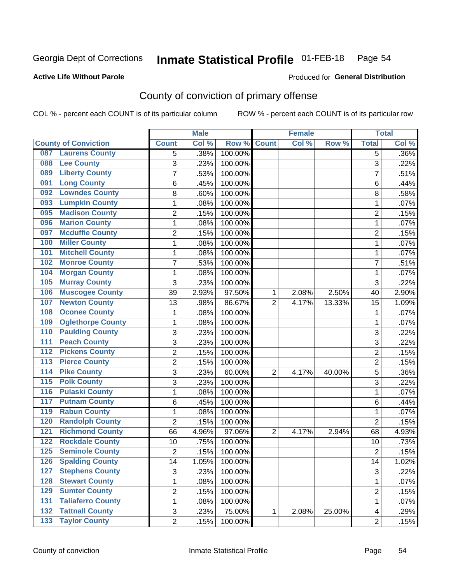#### Inmate Statistical Profile 01-FEB-18 Page 54

### **Active Life Without Parole**

### **Produced for General Distribution**

# County of conviction of primary offense

COL % - percent each COUNT is of its particular column

|                                           |                | <b>Male</b> |         |                | <b>Female</b> |        |                | <b>Total</b> |
|-------------------------------------------|----------------|-------------|---------|----------------|---------------|--------|----------------|--------------|
| <b>County of Conviction</b>               | <b>Count</b>   | Col %       | Row %   | <b>Count</b>   | Col %         | Row %  | <b>Total</b>   | Col %        |
| <b>Laurens County</b><br>087              | 5              | .38%        | 100.00% |                |               |        | 5              | $.36\%$      |
| <b>Lee County</b><br>088                  | 3              | .23%        | 100.00% |                |               |        | 3              | .22%         |
| <b>Liberty County</b><br>089              | 7              | .53%        | 100.00% |                |               |        | $\overline{7}$ | .51%         |
| <b>Long County</b><br>091                 | 6              | .45%        | 100.00% |                |               |        | 6              | .44%         |
| <b>Lowndes County</b><br>092              | 8              | .60%        | 100.00% |                |               |        | 8              | .58%         |
| <b>Lumpkin County</b><br>093              | 1              | .08%        | 100.00% |                |               |        | $\mathbf{1}$   | .07%         |
| <b>Madison County</b><br>095              | $\overline{c}$ | .15%        | 100.00% |                |               |        | $\overline{2}$ | .15%         |
| <b>Marion County</b><br>096               | 1              | .08%        | 100.00% |                |               |        | $\mathbf{1}$   | .07%         |
| <b>Mcduffie County</b><br>097             | 2              | .15%        | 100.00% |                |               |        | $\overline{2}$ | .15%         |
| <b>Miller County</b><br>100               | 1              | .08%        | 100.00% |                |               |        | $\mathbf{1}$   | .07%         |
| <b>Mitchell County</b><br>101             | 1              | .08%        | 100.00% |                |               |        | 1              | .07%         |
| <b>Monroe County</b><br>102               | 7              | .53%        | 100.00% |                |               |        | 7              | .51%         |
| <b>Morgan County</b><br>104               | 1              | .08%        | 100.00% |                |               |        | 1              | .07%         |
| 105<br><b>Murray County</b>               | 3              | .23%        | 100.00% |                |               |        | 3              | .22%         |
| <b>Muscogee County</b><br>106             | 39             | 2.93%       | 97.50%  | 1              | 2.08%         | 2.50%  | 40             | 2.90%        |
| <b>Newton County</b><br>107               | 13             | .98%        | 86.67%  | $\overline{2}$ | 4.17%         | 13.33% | 15             | 1.09%        |
| <b>Oconee County</b><br>108               | 1              | .08%        | 100.00% |                |               |        | 1              | .07%         |
| <b>Oglethorpe County</b><br>109           | 1              | .08%        | 100.00% |                |               |        | $\mathbf{1}$   | .07%         |
| <b>Paulding County</b><br>110             | 3              | .23%        | 100.00% |                |               |        | 3              | .22%         |
| <b>Peach County</b><br>111                | $\overline{3}$ | .23%        | 100.00% |                |               |        | $\overline{3}$ | .22%         |
| <b>Pickens County</b><br>$\overline{112}$ | 2              | .15%        | 100.00% |                |               |        | $\overline{2}$ | .15%         |
| <b>Pierce County</b><br>113               | $\overline{2}$ | .15%        | 100.00% |                |               |        | $\overline{2}$ | .15%         |
| <b>Pike County</b><br>$\overline{114}$    | 3              | .23%        | 60.00%  | $\overline{2}$ | 4.17%         | 40.00% | 5              | .36%         |
| 115<br><b>Polk County</b>                 | 3              | .23%        | 100.00% |                |               |        | 3              | .22%         |
| <b>Pulaski County</b><br>116              | 1              | .08%        | 100.00% |                |               |        | $\mathbf{1}$   | .07%         |
| <b>Putnam County</b><br>117               | 6              | .45%        | 100.00% |                |               |        | 6              | .44%         |
| <b>Rabun County</b><br>119                | 1              | .08%        | 100.00% |                |               |        | 1              | .07%         |
| <b>Randolph County</b><br>120             | $\overline{2}$ | .15%        | 100.00% |                |               |        | $\overline{2}$ | .15%         |
| <b>Richmond County</b><br>121             | 66             | 4.96%       | 97.06%  | $\overline{2}$ | 4.17%         | 2.94%  | 68             | 4.93%        |
| <b>Rockdale County</b><br>122             | 10             | .75%        | 100.00% |                |               |        | 10             | .73%         |
| <b>Seminole County</b><br>125             | 2              | .15%        | 100.00% |                |               |        | $\overline{2}$ | .15%         |
| 126<br><b>Spalding County</b>             | 14             | 1.05%       | 100.00% |                |               |        | 14             | 1.02%        |
| <b>Stephens County</b><br>127             | 3              | .23%        | 100.00% |                |               |        | 3              | .22%         |
| <b>Stewart County</b><br>128              | 1              | .08%        | 100.00% |                |               |        | $\mathbf{1}$   | .07%         |
| <b>Sumter County</b><br>129               | 2              | .15%        | 100.00% |                |               |        | $\overline{c}$ | .15%         |
| <b>Taliaferro County</b><br>131           | 1              | .08%        | 100.00% |                |               |        | $\mathbf{1}$   | .07%         |
| <b>Tattnall County</b><br>132             | 3              | .23%        | 75.00%  | 1              | 2.08%         | 25.00% | 4              | .29%         |
| <b>Taylor County</b><br>$\overline{133}$  | $\overline{2}$ | .15%        | 100.00% |                |               |        | $\overline{2}$ | .15%         |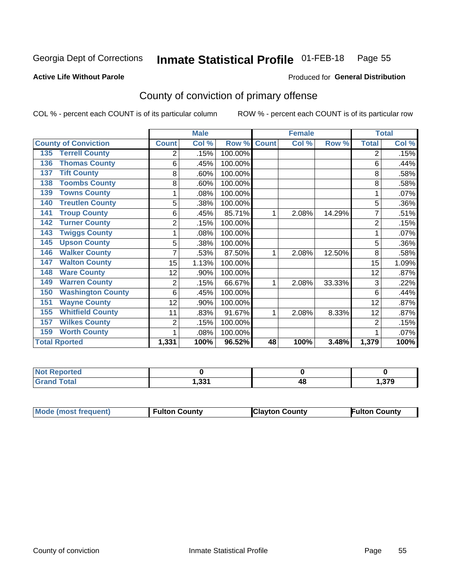#### Inmate Statistical Profile 01-FEB-18 Page 55

#### **Active Life Without Parole**

#### Produced for General Distribution

# County of conviction of primary offense

COL % - percent each COUNT is of its particular column

|                                 |                | <b>Male</b> |         | <b>Female</b> |       |        | <b>Total</b>   |       |
|---------------------------------|----------------|-------------|---------|---------------|-------|--------|----------------|-------|
| <b>County of Conviction</b>     | <b>Count</b>   | Col %       | Row %   | <b>Count</b>  | Col % | Row %  | <b>Total</b>   | Col % |
| <b>Terrell County</b><br>135    | 2              | .15%        | 100.00% |               |       |        | 2              | .15%  |
| <b>Thomas County</b><br>136     | 6              | .45%        | 100.00% |               |       |        | 6              | .44%  |
| <b>Tift County</b><br>137       | 8              | .60%        | 100.00% |               |       |        | 8              | .58%  |
| <b>Toombs County</b><br>138     | 8              | .60%        | 100.00% |               |       |        | 8              | .58%  |
| <b>Towns County</b><br>139      |                | .08%        | 100.00% |               |       |        |                | .07%  |
| <b>Treutlen County</b><br>140   | 5              | .38%        | 100.00% |               |       |        | 5              | .36%  |
| <b>Troup County</b><br>141      | 6              | .45%        | 85.71%  | 1             | 2.08% | 14.29% | 7              | .51%  |
| <b>Turner County</b><br>142     | $\overline{2}$ | .15%        | 100.00% |               |       |        | $\overline{2}$ | .15%  |
| <b>Twiggs County</b><br>143     |                | .08%        | 100.00% |               |       |        |                | .07%  |
| <b>Upson County</b><br>145      | 5              | .38%        | 100.00% |               |       |        | 5              | .36%  |
| <b>Walker County</b><br>146     | 7              | .53%        | 87.50%  | 1             | 2.08% | 12.50% | 8              | .58%  |
| <b>Walton County</b><br>147     | 15             | 1.13%       | 100.00% |               |       |        | 15             | 1.09% |
| <b>Ware County</b><br>148       | 12             | .90%        | 100.00% |               |       |        | 12             | .87%  |
| <b>Warren County</b><br>149     | 2              | .15%        | 66.67%  | 1             | 2.08% | 33.33% | 3              | .22%  |
| <b>Washington County</b><br>150 | 6              | .45%        | 100.00% |               |       |        | 6              | .44%  |
| <b>Wayne County</b><br>151      | 12             | .90%        | 100.00% |               |       |        | 12             | .87%  |
| <b>Whitfield County</b><br>155  | 11             | .83%        | 91.67%  | 1             | 2.08% | 8.33%  | 12             | .87%  |
| <b>Wilkes County</b><br>157     | 2              | .15%        | 100.00% |               |       |        | $\overline{2}$ | .15%  |
| <b>Worth County</b><br>159      | 1              | .08%        | 100.00% |               |       |        |                | .07%  |
| <b>Total Rported</b>            | 1,331          | 100%        | 96.52%  | 48            | 100%  | 3.48%  | 1,379          | 100%  |

| ola (etol<br>N<br>. |     |        |     |
|---------------------|-----|--------|-----|
| <i>i</i> otal       | 224 | 4С     | 270 |
| _____               |     | $\sim$ | - 2 |

| Mode (most frequent) | <b>Fulton County</b> | <b>Clayton County</b> | <b>Fulton County</b> |
|----------------------|----------------------|-----------------------|----------------------|
|                      |                      |                       |                      |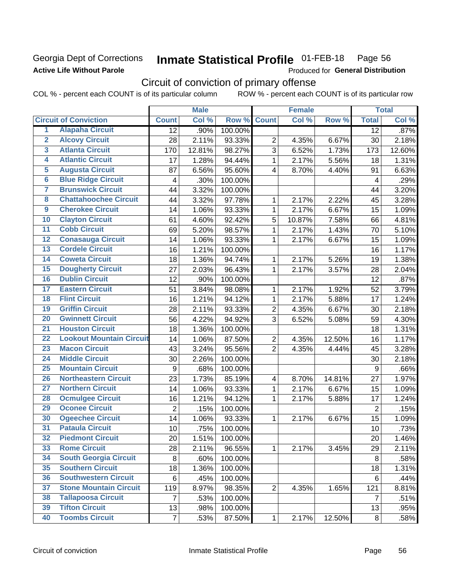### Georgia Dept of Corrections **Active Life Without Parole**

#### Inmate Statistical Profile 01-FEB-18 Page 56

Produced for General Distribution

# Circuit of conviction of primary offense

|                         |                                 |                         | <b>Male</b> |         |                         | <b>Female</b> |        |                         | <b>Total</b> |
|-------------------------|---------------------------------|-------------------------|-------------|---------|-------------------------|---------------|--------|-------------------------|--------------|
|                         | <b>Circuit of Conviction</b>    | <b>Count</b>            | Col %       | Row %   | <b>Count</b>            | Col %         | Row %  | <b>Total</b>            | Col %        |
| 1                       | <b>Alapaha Circuit</b>          | 12                      | .90%        | 100.00% |                         |               |        | 12                      | .87%         |
| $\overline{2}$          | <b>Alcovy Circuit</b>           | 28                      | 2.11%       | 93.33%  | $\overline{2}$          | 4.35%         | 6.67%  | 30                      | 2.18%        |
| $\overline{\mathbf{3}}$ | <b>Atlanta Circuit</b>          | 170                     | 12.81%      | 98.27%  | 3                       | 6.52%         | 1.73%  | 173                     | 12.60%       |
| 4                       | <b>Atlantic Circuit</b>         | 17                      | 1.28%       | 94.44%  | $\mathbf{1}$            | 2.17%         | 5.56%  | 18                      | 1.31%        |
| $\overline{5}$          | <b>Augusta Circuit</b>          | 87                      | 6.56%       | 95.60%  | $\overline{4}$          | 8.70%         | 4.40%  | 91                      | 6.63%        |
| $\overline{6}$          | <b>Blue Ridge Circuit</b>       | $\overline{\mathbf{4}}$ | .30%        | 100.00% |                         |               |        | $\overline{\mathbf{4}}$ | .29%         |
| 7                       | <b>Brunswick Circuit</b>        | 44                      | 3.32%       | 100.00% |                         |               |        | 44                      | 3.20%        |
| 8                       | <b>Chattahoochee Circuit</b>    | 44                      | 3.32%       | 97.78%  | 1                       | 2.17%         | 2.22%  | 45                      | 3.28%        |
| $\overline{9}$          | <b>Cherokee Circuit</b>         | 14                      | 1.06%       | 93.33%  | $\mathbf{1}$            | 2.17%         | 6.67%  | 15                      | 1.09%        |
| 10                      | <b>Clayton Circuit</b>          | 61                      | 4.60%       | 92.42%  | 5                       | 10.87%        | 7.58%  | 66                      | 4.81%        |
| $\overline{11}$         | <b>Cobb Circuit</b>             | 69                      | 5.20%       | 98.57%  | $\mathbf{1}$            | 2.17%         | 1.43%  | 70                      | 5.10%        |
| $\overline{12}$         | <b>Conasauga Circuit</b>        | 14                      | 1.06%       | 93.33%  | $\mathbf{1}$            | 2.17%         | 6.67%  | 15                      | 1.09%        |
| $\overline{13}$         | <b>Cordele Circuit</b>          | 16                      | 1.21%       | 100.00% |                         |               |        | 16                      | 1.17%        |
| $\overline{14}$         | <b>Coweta Circuit</b>           | 18                      | 1.36%       | 94.74%  | $\mathbf{1}$            | 2.17%         | 5.26%  | 19                      | 1.38%        |
| $\overline{15}$         | <b>Dougherty Circuit</b>        | 27                      | 2.03%       | 96.43%  | $\mathbf{1}$            | 2.17%         | 3.57%  | 28                      | 2.04%        |
| 16                      | <b>Dublin Circuit</b>           | 12                      | .90%        | 100.00% |                         |               |        | 12                      | .87%         |
| $\overline{17}$         | <b>Eastern Circuit</b>          | 51                      | 3.84%       | 98.08%  | 1                       | 2.17%         | 1.92%  | 52                      | 3.79%        |
| $\overline{18}$         | <b>Flint Circuit</b>            | 16                      | 1.21%       | 94.12%  | $\mathbf{1}$            | 2.17%         | 5.88%  | 17                      | 1.24%        |
| 19                      | <b>Griffin Circuit</b>          | 28                      | 2.11%       | 93.33%  | $\overline{2}$          | 4.35%         | 6.67%  | 30                      | 2.18%        |
| 20                      | <b>Gwinnett Circuit</b>         | 56                      | 4.22%       | 94.92%  | 3                       | 6.52%         | 5.08%  | 59                      | 4.30%        |
| $\overline{21}$         | <b>Houston Circuit</b>          | 18                      | 1.36%       | 100.00% |                         |               |        | 18                      | 1.31%        |
| $\overline{22}$         | <b>Lookout Mountain Circuit</b> | 14                      | 1.06%       | 87.50%  | $\overline{2}$          | 4.35%         | 12.50% | 16                      | 1.17%        |
| 23                      | <b>Macon Circuit</b>            | 43                      | 3.24%       | 95.56%  | $\overline{2}$          | 4.35%         | 4.44%  | 45                      | 3.28%        |
| $\overline{24}$         | <b>Middle Circuit</b>           | 30                      | 2.26%       | 100.00% |                         |               |        | 30                      | 2.18%        |
| $\overline{25}$         | <b>Mountain Circuit</b>         | $\boldsymbol{9}$        | .68%        | 100.00% |                         |               |        | 9                       | .66%         |
| 26                      | <b>Northeastern Circuit</b>     | 23                      | 1.73%       | 85.19%  | $\overline{\mathbf{4}}$ | 8.70%         | 14.81% | 27                      | 1.97%        |
| $\overline{27}$         | <b>Northern Circuit</b>         | 14                      | 1.06%       | 93.33%  | $\mathbf{1}$            | 2.17%         | 6.67%  | 15                      | 1.09%        |
| 28                      | <b>Ocmulgee Circuit</b>         | 16                      | 1.21%       | 94.12%  | 1                       | 2.17%         | 5.88%  | 17                      | 1.24%        |
| 29                      | <b>Oconee Circuit</b>           | $\overline{2}$          | .15%        | 100.00% |                         |               |        | $\overline{2}$          | .15%         |
| 30                      | <b>Ogeechee Circuit</b>         | 14                      | 1.06%       | 93.33%  | $\mathbf{1}$            | 2.17%         | 6.67%  | 15                      | 1.09%        |
| $\overline{31}$         | <b>Pataula Circuit</b>          | 10                      | .75%        | 100.00% |                         |               |        | 10                      | .73%         |
| 32                      | <b>Piedmont Circuit</b>         | 20                      | 1.51%       | 100.00% |                         |               |        | 20                      | 1.46%        |
| 33                      | <b>Rome Circuit</b>             | 28                      | 2.11%       | 96.55%  | $\mathbf{1}$            | 2.17%         | 3.45%  | 29                      | 2.11%        |
| 34                      | <b>South Georgia Circuit</b>    | 8                       | .60%        | 100.00% |                         |               |        | 8                       | .58%         |
| 35                      | <b>Southern Circuit</b>         | 18                      | 1.36%       | 100.00% |                         |               |        | 18                      | 1.31%        |
| 36                      | <b>Southwestern Circuit</b>     | 6                       | .45%        | 100.00% |                         |               |        | 6                       | .44%         |
| 37                      | <b>Stone Mountain Circuit</b>   | 119                     | 8.97%       | 98.35%  | 2                       | 4.35%         | 1.65%  | 121                     | 8.81%        |
| 38                      | <b>Tallapoosa Circuit</b>       | $\overline{7}$          | .53%        | 100.00% |                         |               |        | $\overline{7}$          | .51%         |
| 39                      | <b>Tifton Circuit</b>           | 13                      | .98%        | 100.00% |                         |               |        | 13                      | .95%         |
| 40                      | <b>Toombs Circuit</b>           | $\overline{7}$          | .53%        | 87.50%  | $\mathbf{1}$            | 2.17%         | 12.50% | 8                       | .58%         |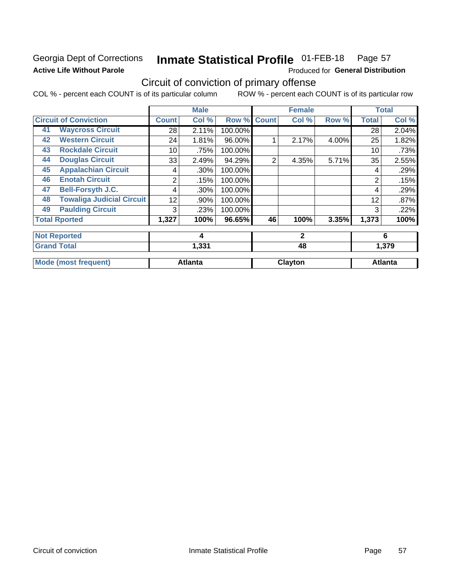# Georgia Dept of Corrections **Active Life Without Parole**

#### Inmate Statistical Profile 01-FEB-18 Page 57

Produced for General Distribution

# Circuit of conviction of primary offense

|    |                                  |              | <b>Male</b>    |         |              | <b>Female</b> |       | <b>Total</b>   |                |
|----|----------------------------------|--------------|----------------|---------|--------------|---------------|-------|----------------|----------------|
|    | <b>Circuit of Conviction</b>     | <b>Count</b> | Col %          | Row %   | <b>Count</b> | Col %         | Row % | <b>Total</b>   | Col %          |
| 41 | <b>Waycross Circuit</b>          | 28           | 2.11%          | 100.00% |              |               |       | 28             | 2.04%          |
| 42 | <b>Western Circuit</b>           | 24           | 1.81%          | 96.00%  |              | 2.17%         | 4.00% | 25             | 1.82%          |
| 43 | <b>Rockdale Circuit</b>          | 10           | .75%           | 100.00% |              |               |       | 10             | .73%           |
| 44 | <b>Douglas Circuit</b>           | 33           | 2.49%          | 94.29%  | 2            | 4.35%         | 5.71% | 35             | 2.55%          |
| 45 | <b>Appalachian Circuit</b>       | 4            | .30%           | 100.00% |              |               |       | 4              | .29%           |
| 46 | <b>Enotah Circuit</b>            | 2            | .15%           | 100.00% |              |               |       | $\overline{2}$ | .15%           |
| 47 | <b>Bell-Forsyth J.C.</b>         | 4            | .30%           | 100.00% |              |               |       | 4              | .29%           |
| 48 | <b>Towaliga Judicial Circuit</b> | 12           | .90%           | 100.00% |              |               |       | 12             | .87%           |
| 49 | <b>Paulding Circuit</b>          | 3            | .23%           | 100.00% |              |               |       | 3              | .22%           |
|    | <b>Total Rported</b>             | 1,327        | 100%           | 96.65%  | 46           | 100%          | 3.35% | 1,373          | 100%           |
|    | <b>Not Reported</b>              |              | 4              |         |              | $\mathbf{2}$  |       |                | 6              |
|    | <b>Grand Total</b>               |              | 1,331          |         |              | 48            |       |                | 1,379          |
|    | <b>Mode (most frequent)</b>      |              | <b>Atlanta</b> |         |              | Clayton       |       |                | <b>Atlanta</b> |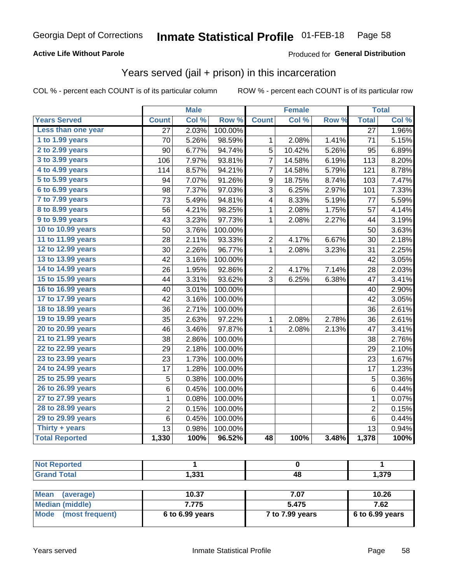### **Active Life Without Parole**

### Produced for General Distribution

# Years served (jail + prison) in this incarceration

COL % - percent each COUNT is of its particular column

|                        | <b>Male</b>     |       | <b>Female</b> |                         |        | <b>Total</b> |                 |       |
|------------------------|-----------------|-------|---------------|-------------------------|--------|--------------|-----------------|-------|
| <b>Years Served</b>    | <b>Count</b>    | Col % | Row %         | <b>Count</b>            | Col %  | Row %        | <b>Total</b>    | Col % |
| Less than one year     | $\overline{27}$ | 2.03% | 100.00%       |                         |        |              | $\overline{27}$ | 1.96% |
| 1 to 1.99 years        | 70              | 5.26% | 98.59%        | 1                       | 2.08%  | 1.41%        | 71              | 5.15% |
| 2 to 2.99 years        | 90              | 6.77% | 94.74%        | 5                       | 10.42% | 5.26%        | 95              | 6.89% |
| 3 to 3.99 years        | 106             | 7.97% | 93.81%        | 7                       | 14.58% | 6.19%        | 113             | 8.20% |
| 4 to 4.99 years        | 114             | 8.57% | 94.21%        | 7                       | 14.58% | 5.79%        | 121             | 8.78% |
| 5 to 5.99 years        | 94              | 7.07% | 91.26%        | $\boldsymbol{9}$        | 18.75% | 8.74%        | 103             | 7.47% |
| 6 to 6.99 years        | 98              | 7.37% | 97.03%        | 3                       | 6.25%  | 2.97%        | 101             | 7.33% |
| 7 to 7.99 years        | 73              | 5.49% | 94.81%        | $\overline{\mathbf{4}}$ | 8.33%  | 5.19%        | 77              | 5.59% |
| <b>8 to 8.99 years</b> | 56              | 4.21% | 98.25%        | $\mathbf{1}$            | 2.08%  | 1.75%        | 57              | 4.14% |
| 9 to 9.99 years        | 43              | 3.23% | 97.73%        | $\mathbf 1$             | 2.08%  | 2.27%        | 44              | 3.19% |
| 10 to 10.99 years      | 50              | 3.76% | 100.00%       |                         |        |              | 50              | 3.63% |
| 11 to 11.99 years      | 28              | 2.11% | 93.33%        | $\overline{c}$          | 4.17%  | 6.67%        | 30              | 2.18% |
| 12 to 12.99 years      | 30              | 2.26% | 96.77%        | 1                       | 2.08%  | 3.23%        | 31              | 2.25% |
| 13 to 13.99 years      | 42              | 3.16% | 100.00%       |                         |        |              | 42              | 3.05% |
| 14 to 14.99 years      | 26              | 1.95% | 92.86%        | $\overline{c}$          | 4.17%  | 7.14%        | 28              | 2.03% |
| 15 to 15.99 years      | 44              | 3.31% | 93.62%        | 3                       | 6.25%  | 6.38%        | 47              | 3.41% |
| 16 to 16.99 years      | 40              | 3.01% | 100.00%       |                         |        |              | 40              | 2.90% |
| 17 to 17.99 years      | 42              | 3.16% | 100.00%       |                         |        |              | 42              | 3.05% |
| 18 to 18.99 years      | 36              | 2.71% | 100.00%       |                         |        |              | 36              | 2.61% |
| 19 to 19.99 years      | 35              | 2.63% | 97.22%        | 1                       | 2.08%  | 2.78%        | 36              | 2.61% |
| 20 to 20.99 years      | 46              | 3.46% | 97.87%        | $\mathbf{1}$            | 2.08%  | 2.13%        | 47              | 3.41% |
| 21 to 21.99 years      | 38              | 2.86% | 100.00%       |                         |        |              | 38              | 2.76% |
| 22 to 22.99 years      | 29              | 2.18% | 100.00%       |                         |        |              | 29              | 2.10% |
| 23 to 23.99 years      | 23              | 1.73% | 100.00%       |                         |        |              | 23              | 1.67% |
| 24 to 24.99 years      | 17              | 1.28% | 100.00%       |                         |        |              | 17              | 1.23% |
| 25 to 25.99 years      | 5               | 0.38% | 100.00%       |                         |        |              | 5               | 0.36% |
| 26 to 26.99 years      | 6               | 0.45% | 100.00%       |                         |        |              | 6               | 0.44% |
| 27 to 27.99 years      | 1               | 0.08% | 100.00%       |                         |        |              | 1               | 0.07% |
| 28 to 28.99 years      | $\overline{c}$  | 0.15% | 100.00%       |                         |        |              | $\overline{2}$  | 0.15% |
| 29 to 29.99 years      | 6               | 0.45% | 100.00%       |                         |        |              | 6               | 0.44% |
| Thirty + years         | 13              | 0.98% | 100.00%       |                         |        |              | 13              | 0.94% |
| <b>Total Reported</b>  | 1,330           | 100%  | 96.52%        | 48                      | 100%   | 3.48%        | 1,378           | 100%  |

| reo                   |             |    |       |
|-----------------------|-------------|----|-------|
| $f = 4 - 7$<br>$\sim$ | -994<br>,JJ | −™ | 1,379 |

| Mean<br>(average)    | 10.37             | 7.07            | 10.26             |
|----------------------|-------------------|-----------------|-------------------|
| Median (middle)      | 7.775             | 5.475           | 7.62              |
| Mode (most frequent) | $6$ to 6.99 years | 7 to 7.99 years | $6$ to 6.99 years |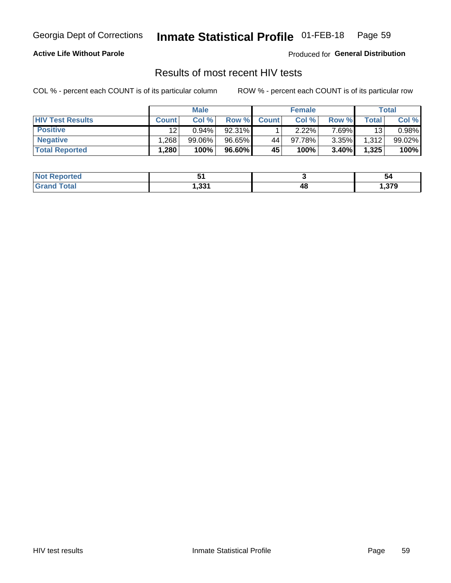#### Inmate Statistical Profile 01-FEB-18 Page 59

### **Active Life Without Parole**

Produced for General Distribution

# Results of most recent HIV tests

COL % - percent each COUNT is of its particular column

|                         | <b>Male</b>  |           | <b>Female</b> |              |           | Total |       |        |
|-------------------------|--------------|-----------|---------------|--------------|-----------|-------|-------|--------|
| <b>HIV Test Results</b> | <b>Count</b> | Col%      | Row %I        | <b>Count</b> | Col %     | Row % | Total | Col %  |
| <b>Positive</b>         | 12           | 0.94%     | 92.31%        |              | $2.22\%$  | 7.69% | 13    | 0.98%  |
| <b>Negative</b>         | .268         | $99.06\%$ | 96.65%        | 44           | $97.78\%$ | 3.35% | 1,312 | 99.02% |
| <b>Total Reported</b>   | .280         | 100%      | 96.60%        | <b>45'</b>   | 100%      | 3.40% | 1,325 | 100%   |

| <b>Not Reported</b> |         |        | 54   |
|---------------------|---------|--------|------|
| <b>Total</b>        | - 221   | 40     | .379 |
| Gran <sub>(</sub>   | ا دد. ا | $\sim$ |      |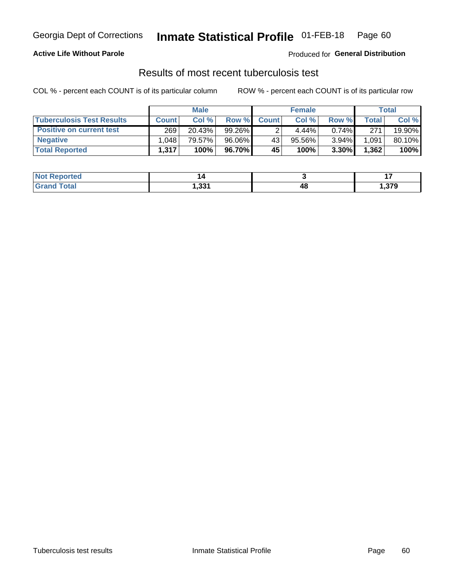# Georgia Dept of Corrections **Inmate Statistical Profile** 01-FEB-18 Page 60

### **Active Life Without Parole**

Produced for **General Distribution**

# Results of most recent tuberculosis test

|                                  | <b>Male</b>  |        |        | <b>Female</b> |          |          | Total |        |
|----------------------------------|--------------|--------|--------|---------------|----------|----------|-------|--------|
| <b>Tuberculosis Test Results</b> | <b>Count</b> | Col%   | Row %I | <b>Count</b>  | Col %    | Row %    | Total | Col %  |
| <b>Positive on current test</b>  | 269          | 20.43% | 99.26% |               | $4.44\%$ | $0.74\%$ | 271   | 19.90% |
| <b>Negative</b>                  | .048         | 79.57% | 96.06% | 43            | 95.56%   | 3.94%    | 1,091 | 80.10% |
| <b>Total Reported</b>            | 1,317        | 100%   | 96.70% | 45            | 100%     | 3.30%    | 1,362 | 100%   |

| <b>Not Reported</b> |       |    |      |
|---------------------|-------|----|------|
| <b>Total</b>        | 331.ا | 48 | .379 |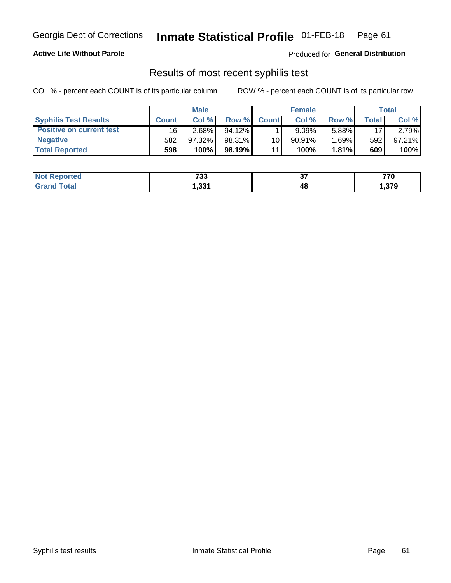# Georgia Dept of Corrections **Inmate Statistical Profile** 01-FEB-18 Page 61

### **Active Life Without Parole**

Produced for **General Distribution**

### Results of most recent syphilis test

|                                 | <b>Male</b>  |           |           | <b>Female</b> |           |          | Total |        |
|---------------------------------|--------------|-----------|-----------|---------------|-----------|----------|-------|--------|
| <b>Syphilis Test Results</b>    | <b>Count</b> | Col%      | Row %     | <b>Count</b>  | Col %     | Row %I   | Total | Col %  |
| <b>Positive on current test</b> | 16           | 2.68%     | $94.12\%$ |               | 9.09%     | 5.88%    | 17    | 2.79%  |
| <b>Negative</b>                 | 582          | $97.32\%$ | 98.31%    | 10            | $90.91\%$ | $1.69\%$ | 592   | 97.21% |
| <b>Total Reported</b>           | 598          | 100%      | 98.19%I   | 11            | 100%      | $1.81\%$ | 609   | 100%   |

| <b>Not Reported</b> | 700<br>00 | ~-<br>v. | 770  |
|---------------------|-----------|----------|------|
| <b>Grand Total</b>  | 331,ا     | 48       | ,379 |